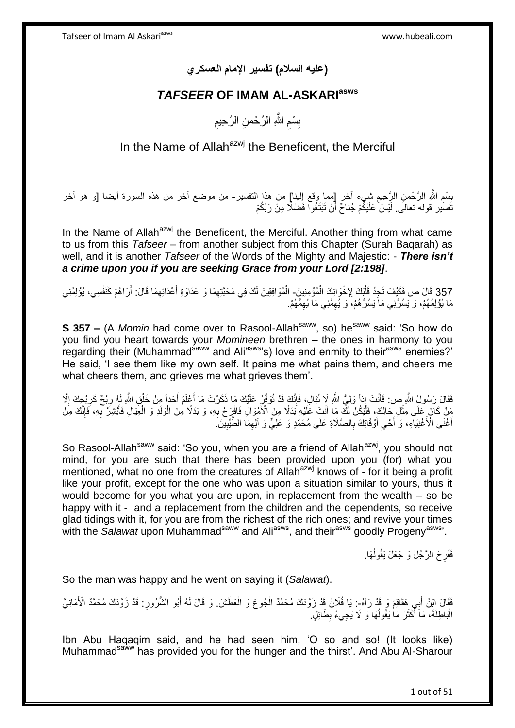**)عليه السالم( تفسير اإلمام العسكري**

#### *TAFSEER* **OF IMAM AL-ASKARIasws**

ِ بِسْمِ اللَّهِ الرَّحْمنِ الرَّحِيمِ ِ ِ

In the Name of Allah $a^{z}$  the Beneficent, the Merciful

ِ بِسْمِ اللَّهِ الرَّحْمنِ الرَّحِيمِ شِيءٍ أخر [مما وقع الِلينا] من هذا التفسير- من موضع أخر من هذه السورة أيضا [و هو أخر ِ نَفسُير قوله تعالَى. لَيْسَ عَلَيْكُمْ جُناحٌ أَنْ تَبْتَغُوا فَضْلًا مِنْ رَبِّكُمْ َ

In the Name of Allah<sup>azwj</sup> the Beneficent, the Merciful. Another thing from what came to us from this *Tafseer* – from another subject from this Chapter (Surah Baqarah) as well, and it is another *Tafseer* of the Words of the Mighty and Majestic: - *There isn't a crime upon you if you are seeking Grace from your Lord [2:198]*.

357 قَالَ ص فَكَيْفَ تَجِدُ قَلْبَكَ لِإِخْوَانِكَ الْمُؤْمِنِينَ- الْمُوَافِقِينَ لَكَ فِي مَحَبَّتِهِمَا وَ عَدَاوَةِ أَعْدَائِهِمَا قَالَ: أَرَاهُمْ كَنَفْسِي، يُؤْلِمُنِي<br>معاذذا ا َ َ ْ ْ ْ مَا يُؤْلِمُهُمْ، وَ يَسُرَّنِي مَا يَسُرَّهُمْ، وَ يُهِمَّنِي مَا يُهِمُّهُمْ. ِ ِ

**S 357 –** (A *Momin* had come over to Rasool-Allah<sup>saww</sup>, so) he<sup>saww</sup> said: 'So how do you find you heart towards your *Momineen* brethren – the ones in harmony to you regarding their (Muhammad<sup>saww</sup> and Ali<sup>asws</sup>'s) love and enmity to their<sup>asws</sup> enemies?' He said, 'I see them like my own self. It pains me what pains them, and cheers me what cheers them, and grieves me what grieves them'.

فَقَالَ رَسُولُ اللَّهِ ص: فَأَنْتَ إِذا وَلِيُّ اللَّهِ لَإِ نُبَالٍ، فَإِنَّكَ قَدْ نُوَفَّنُ عَلَيْكَ مَا ذَكَرْتَ مَا أَعْلَمُ أَحَداً مِِنْ خَلْقِ اللَّهِ لَهُ رِبْحٌ كَرِبْحِكَ إِلَّا َ ׀ו<br>ְי َ ِ ِ ْ َ ِ مَنْ كَانَ عَلَى مِثْلِ حَالِكَ، فَلْيَكُنْ لَكَ مَا أَنْتَ عَلَيْهِ بَدَلًا مِنَ الْأُمْوَالِ فَافْرِحْ بِهِ، وَ بَدَلًا مِنَ الْمُوَالِمُ وَالْحِيَالِ فَأَبْشِرْ بِهِ، فَإِنَّكَ مِنْ ْ ِ َ أُ ْ ا∣<br>ِ∘ِ **∶** َ ْ لَ أَغْنَى الْأَغْنِيَاءِ، وَ أَحْيِ أَوْقَاتِكَ بِالصَّلَاةِ عَلَى مُحَمَّدٍ وَ عَلِيٍّ وَ الْعِمَا الطَّيِّبِينَ ِ َ ِ َ َ ِ ِ

So Rasool-Allah<sup>saww</sup> said: 'So you, when you are a friend of Allah<sup>azwj</sup>, you should not mind, for you are such that there has been provided upon you (for) what you mentioned, what no one from the creatures of Allahazwj knows of - for it being a profit like your profit, except for the one who was upon a situation similar to yours, thus it would become for you what you are upon, in replacement from the wealth – so be happy with it - and a replacement from the children and the dependents, so receive glad tidings with it, for you are from the richest of the rich ones; and revive your times with the *Salawat* upon Muhammad<sup>saww</sup> and Ali<sup>asws</sup>, and their<sup>asws</sup> goodly Progeny<sup>asws</sup>.

> فَفَرِحَ الرَّجُلُ وَ جَعَلَ يَقُولُهَا. ٔ<br>ا ِ

So the man was happy and he went on saying it (*Salawat*).

فَقَالَ إِبْنُ أَبِي هَقَاقِمَ وَ قَدْ رَآهُ-: يَا فُلَانُ قَدْ زَوَّدَكَ مُحَمَّدٌ الْجُوعَ وَ الْعَطَشَ. وَ قَالَ لَهُ أَبُو الشُّرُورِ: قَدْ زَوَّدَكَ مُحَمَّدٌ الْأَمَانِيَّ ْ ْ ِ َ الْبَاطِلَةَ، مَاَ أَكْثَرَ مَاٰ يَقُولُهَا وَ لَا يَجِيءُ بِطَائِلٍ َ َ ُ ِ

Ibn Abu Haqaqim said, and he had seen him, 'O so and so! (It looks like) Muhammad<sup>saww</sup> has provided you for the hunger and the thirst'. And Abu Al-Sharour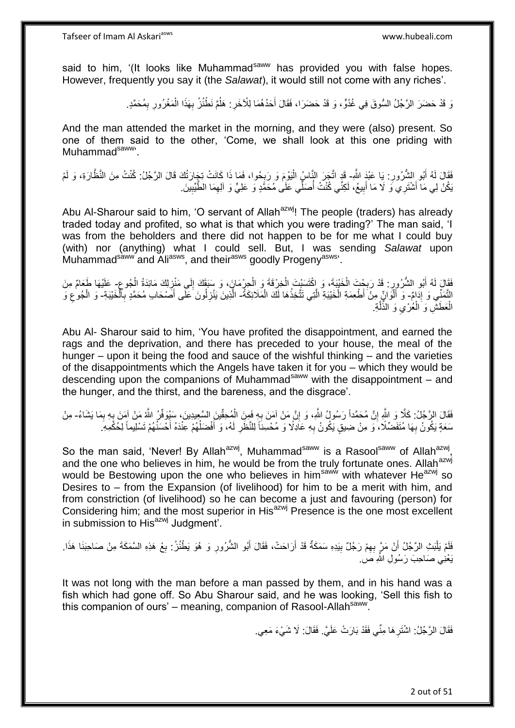said to him, '(It looks like Muhammad<sup>saww</sup> has provided you with false hopes. However, frequently you say it (the *Salawat*), it would still not come with any riches'.

> وَ قَدْ حَضَرَ الرَّجُلُ السُّوقَ فِي غُدُوٍّ ، وَ قَدْ حَضَرَا، فَقَالَ أَحَدُهُمَا لِلْأَخَرِ : هَلُمَّ نَطْنُزُ بِهَذَا الْمَغْرُورِ بِمُحَمَّدٍ. ْ ِ ُ ِ َ ِ **ٍ**

And the man attended the market in the morning, and they were (also) present. So one of them said to the other, 'Come, we shall look at this one priding with Muhammad<sup>saww</sup>'.

فَقَالَ لَمُ أَبُو الشُّرُورِ : يَا عَبْدَ اللَّهِ- قَدِ اتَّجَرَ النَّاسُ الْيَوْمَ وَ رَبِحُوا، فَمَا ذَا كَانَتْ تِجَارَتُكَ قَالَ الرَّجُلُ: كُنْتُ مِنَ النَّظَّارَةِ، وَ لَمْ ِ َ ِ ْ ِّيكُنْ لِي مَا أَشْتَرِيِّي ۖ وَ لَا مَا أَبِيعُ، لَكِنِّي كُنْتُ أُصَلِّي عَلَىٰ مُحَمَّدٍ وَ عَلِيٍّ وَ اَلِهِمَا الطَّيِّبِينَ ِ ِ ا<br>ا **!** َ َ

Abu Al-Sharour said to him, 'O servant of Allah<sup>azwj</sup>! The people (traders) has already traded today and profited, so what is that which you were trading?' The man said, 'I was from the beholders and there did not happen to be for me what I could buy (with) nor (anything) what I could sell. But, I was sending *Salawat* upon Muhammad<sup>saww</sup> and Ali<sup>asws</sup>, and their<sup>asws</sup> goodly Progeny<sup>asws</sup>'.

ِ فَقَالَ لَهُ أَبُو الشُّرُورِ : قَدْ رَبِحْتَ الْخَيْبَةَ، وَ اِكْتَسَنْتَ الْخِرْقَةَ وَ الْحِرْمَانَ، وَ سَبَقَكَ إِلَى مَنْزِلِكَ مَائِدَةُ الْجُوعِ- عَلَيْهَا طَعَامٌ مِنَ ِ ْ ْ ْ **∶** ِ َ ِ التَّمَنِّي وَ إِدَامٌ- وَ أَلْوَانٍ مِنْ أَطْعِمَةِ الْخَيْبَةِ الَّتِي تَتَّخِذُهَا لَكَ الْمَلَائِكَةُ- الْأِينَ يَنْزِلُونَ عَلَى أَصْحَابِ مُحَمَّدٍ بِالْخَيْبَةِ- وَ الْجُوعِ وَ ِ ْ ه ْ ْ ْ ِ َ **∶** ِ ْ الْعَطَشِّ وَ الْمُٰرْمِيِّ وَ الذِّلَّةِ. ه  $\ddot{\phantom{0}}$ ْ ْ

Abu Al- Sharour said to him, 'You have profited the disappointment, and earned the rags and the deprivation, and there has preceded to your house, the meal of the hunger – upon it being the food and sauce of the wishful thinking – and the varieties of the disappointments which the Angels have taken it for you – which they would be descending upon the companions of Muhammad<sup>saww</sup> with the disappointment – and the hunger, and the thirst, and the bareness, and the disgrace'.

فَقَالَ الرَّجُلُ: كَلَّا وَ اللَّهِ إِنَّ مُحَمَّداً رَسُولُ اللَّهِ، وَ إِنَّ مَنْ آمَنَ بِهِ فَمِنَ الْمُحِقِّينَ السَّعِيدِينَ، سَيُوَفِّنُ اللَّهُ مَنْ آمَنَ بِهِ بِمَا يَشَاءُ- مِنْ ِ ِ ِ.<br>پ ْ **∶** ֧<u>׀</u> سَعَةٍ يَكُونُ بِهَا مُتَفَضِّلًا، َو مِنْ ضِيقٍ يَكُونُ بِهِ عَادِلًا وَ مُحْسِنَاً لِلنَّظَرِ لَهُ، وَ أَفْضَلُهُمْ عِنْدَهُ أَحْسَنُهُمْ تَسْلِيماً لِحُكْمِهِ ۖ **∶** َ ُ َ لَ ِ ِ

So the man said, 'Never! By Allah<sup>azwj</sup>, Muhammad<sup>saww</sup> is a Rasool<sup>saww</sup> of Allah<sup>azwj</sup>, and the one who believes in him, he would be from the truly fortunate ones. Allah<sup>azwj</sup> would be Bestowing upon the one who believes in him<sup>saww</sup> with whatever He<sup>azwj</sup> so Desires to – from the Expansion (of livelihood) for him to be a merit with him, and from constriction (of livelihood) so he can become a just and favouring (person) for Considering him; and the most superior in His<sup>azwj</sup> Presence is the one most excellent in submission to His<sup>azwj</sup> Judgment'.

فَلَمْ يَلْبَثِ الرَّجُلُ أَنْ مَرَّ بِهِمْ رَجُلٌ بِيَدِهِ سَمَكَةٌ قَدْ أَرَاحَتْ، فَقَالَ أَبُو الشُّرُورِ وَ هُوَ يَطْنُزُ : بِعْ هَذِهِ السَّمَكَةَ مِنْ صَاحِبَنَا هَذَا. ِ َ **!** ِ َ :<br>ا ِ يَعْنِي صَاحِبَ رَسُولِ اللَّهِ صَ

It was not long with the man before a man passed by them, and in his hand was a fish which had gone off. So Abu Sharour said, and he was looking, 'Sell this fish to this companion of ours' – meaning, companion of Rasool-Allah<sup>saww</sup>.

> فَقَالَ الرَّجُلُ: اشْتَرِ هَا مِنِّي فَقَدْ بَارَتْ عَلَيَّ. فَقَالَ: لَا شَيْءَ مَعِي. ِ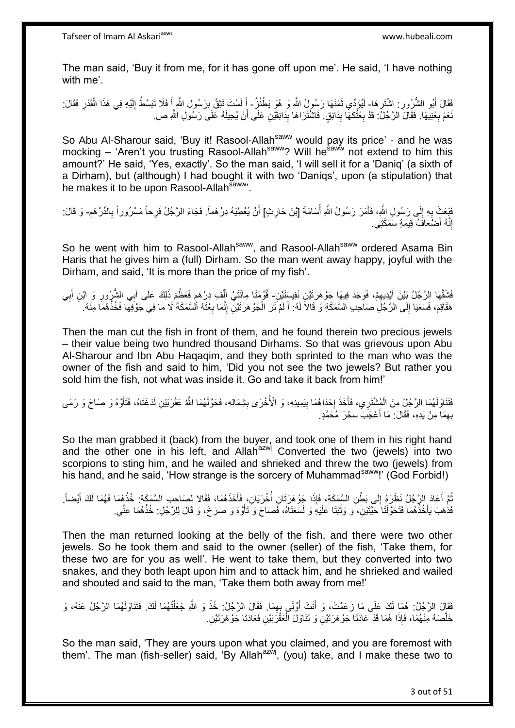The man said, 'Buy it from me, for it has gone off upon me'. He said, 'I have nothing with me'.

فَقَالَ أَبُو الشُّرُورِ : اشْتَرِهَا- لَيُؤَدِّي ثَمَنَهَا رَسُولُ اللَّهِ وَ هُوَ يَطْنُزُ- أَ لَسْتَ تَتْقُ بِرَسُولِ اللَّهِ أَ فَلَا تَبَسَّطُ إِلَيْهِ فِي هَذَا الْقَدْرِ فَقَالَ: ֦֧֦֧ ِ َ ان<br>ا ِ لَ َ ِ ْ لَ ِ َ نَعَمْ بِعْنِيهَا. فَقَالَ الرَّجُلُ: قَدْ بِعْتُكَهَا بِدَانِقٍ. فَاشْتَرَاهَا بِدَانِقَيْنِ عَلَى أَنْ يُحِيلَهُ عَلَى رَسُولِ اللَّهِ ص ِ ِ **∶** اُ **∣** 

So Abu Al-Sharour said, 'Buy it! Rasool-Allah<sup>saww</sup> would pay its price' - and he was mocking – 'Aren't you trusting Rasool-Allah<sup>saww</sup>? Will he<sup>saww</sup> not extend to him this amount?' He said, 'Yes, exactly'. So the man said, 'I will sell it for a 'Daniq' (a sixth of a Dirham), but (although) I had bought it with two 'Daniqs', upon (a stipulation) that he makes it to be upon Rasool-Allah<sup>saww</sup>.

فَيَعَتَ بِهِ إِلَى رَسُولِ اللَّهِ، فَأَمَرَ رَسُولُ اللَّهِ أَسَامَةَ [بْنَ حَارِثٍ] أَنْ يُعْطِيَهُ دِرْهَماً. فَجَاءَ الرَّجُلُ فَرِحاً مَسْرُوراً بِالدِّرْهَمِ- وَ قَالَ: ِ :<br>ا َ ِ **∶** َ ِ ِ إِنَّهُ أَصْنَعَافَ قِيمَةِ سَمَكَتِي. َ ِ

So he went with him to Rasool-Allah<sup>saww</sup>, and Rasool-Allah<sup>saww</sup> ordered Asama Bin Haris that he gives him a (full) Dirham. So the man went away happy, joyful with the Dirham, and said, 'It is more than the price of my fish'.

فَشَقَّهَا الِرَّجُلُ بَيْنَ أَيْدِيهِمْ، فَوَجَدَ فِيهَا جَوْهَرَتَيْنِ نَفِيسَتَيْنِ- قُوِّمَتَا مِائَتَيْ أَلْفِ دِرْهَمٍ فَعَظُمَ ذَلِكَ عَلَى أَبِي الشُّرُورِ وَ ابْنِ أَبِي ِ َ ْ َ ِ َ ِ َ ׇ֖֖֦֧֚֚֚֚֚֩֘֝֝֓֝ لَ  $\frac{1}{2}$ هَقَاقِمَ، فَسَعَيَا إِلَى الرَّجُلِ صَاحِبِ الْسَّمَكَةِ وَ قَالاً لَهُ: أَ لَمْ تَرَ الْجَوْهَرَتَيْنِ إِنَّمَا بِعْثَهُ أَلْسَّمَكَةَ لَا مَا فِي جَوْفِهَا فَخُذْهُمَا مِنْهُ. ِ ِ ْ لَ َ

Then the man cut the fish in front of them, and he found therein two precious jewels – their value being two hundred thousand Dirhams. So that was grievous upon Abu Al-Sharour and Ibn Abu Haqaqim, and they both sprinted to the man who was the owner of the fish and said to him, 'Did you not see the two jewels? But rather you sold him the fish, not what was inside it. Go and take it back from him!'

فَتَنَاوَلَهُمَا الرَّجُلُ مِنَ الْمُشْتَرِي، فَأَخَذَ إِحْدَاهُمَا بِيَمِينِهِ، وَ الْأُخْرَى بِشِمَالِهِ، فَحَوَّلَهُمَا اللَّهُ عَقْرَبَيْنِ لَدَغَتَاهُ، فَتَأَوَّهُ وَ صَاحَ وَ رَمَى  $\frac{1}{2}$ ِ ·<br>∶ َ ْ آ بِهِمَا مِنْ يَدِهِ، فَقَالَ: مَا أَعْجَبَ سِحْرَ مُحَمَّدٍ. ِ َ

So the man grabbed it (back) from the buyer, and took one of them in his right hand and the other one in his left, and Allah<sup>azwj</sup> Converted the two (jewels) into two scorpions to sting him, and he wailed and shrieked and threw the two (jewels) from his hand, and he said, 'How strange is the sorcery of Muhammad<sup>saww</sup>!' (God Forbid!)

ثُمَّ أَعَادَ الرَّجُلُ نَظَرَهُ إِلَى بَطْنِ السَّمَكَةِ، فَإِذَا جَوْهَرَتَانِ أُخْرَيَانِ، فَأَخَذَهُمَا، فَقَالا لِصَاحِبِ السَّمَكَةِ: خُذْهُمَا فَهُمَا لَكَ أَيْضاً. َ ا<br>ا  $\frac{1}{2}$ َ ُ َ **ٔ** فَذُهَبَ يَأْخُذُهُمَا فَتَحَوَّلَنَا حَيَّتَيْنِ، ۖ وَ وَثَبَنَا عَلَيْهِۖ وَ لَسَعَنَاهُ، فَصَاحَ وَ تَأَوَّهَ وَ صَرَخَ، وَ قَالَ لِلرَّجُلِ: خُذْهُمَا عَنِّي. َ اً<br>ا :<br>.<br>. **ٔ** 

Then the man returned looking at the belly of the fish, and there were two other jewels. So he took them and said to the owner (seller) of the fish, 'Take them, for these two are for you as well'. He went to take them, but they converted into two snakes, and they both leapt upon him and to attack him, and he shrieked and wailed and shouted and said to the man, 'Take them both away from me!'

َفَقَالَ الرَّجُلُ: هُمَا لَكَ عَلَى مَا زَعَمْتَ، وَ أَنْتَ أَوْلَى بِهِمَا. فَقَالَ الرَّجُلُ: خُذْ وَ اللَّهِ جَعَلْتُهُمَا لَكَ. فَتَنَاوَلَهُمَا الرَّجُلُ عَنْهُ، وَ ْ **ٔ** ِ َ َ لَ خَلَّصَهُ مِنْهُمَا، فَإِذَا هُمَا قَدْ عَادَتَا جَوْهَرَتَيْنِ وَ تَذَاوَلَ الْعَقَّرَبَيْنِ فَعَادَتَا جَوْهَرَتَيْنِ. ْ

So the man said, 'They are yours upon what you claimed, and you are foremost with them'. The man (fish-seller) said, 'By Allah<sup>azwj</sup>, (you) take, and I make these two to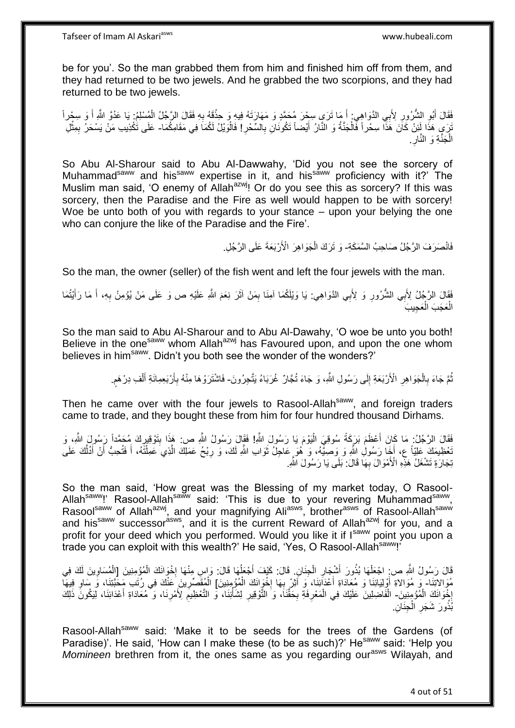be for you'. So the man grabbed them from him and finished him off from them, and they had returned to be two jewels. And he grabbed the two scorpions, and they had returned to be two jewels.

فَقَالَ أَبُو الشُّرُورِ لِأَبِي الدَّوَاهِيِ أَ مَا تَرَي سِجْرَ مُحَمَّدٍ وَ مَهَارَتَهُ فِيهِ وَ حِذْقَهُ بِهِ فَقَالَ الرَّجُلُ الْمُسْلِمُ: يَا عَدُوَّ اللَّهِ أَ وَ سِجْراً ِ َ َ ْ ¦ **ٔ** َ َنَ مِ هَذَا لَئِنْ كَانَ هَذَا سِحْراً فْالْجَنَّةُ وَ النَّارُ أَيْضاً تَكُونَانِ بِالسِّحْرِ! فَالْوَيْلُ لَكُمَاَ فِي مَقَامِكُمَا- عَلَى تَكْذِيبِ مَنْ يَسْحَرُ بِمِثْلِ ْ ِ ِ َ ْ ْ ِ الْجَنَّةِ وَ النَّارِ ِ ْ

So Abu Al-Sharour said to Abu Al-Dawwahy, 'Did you not see the sorcery of Muhammad<sup>saww</sup> and his<sup>saww</sup> expertise in it, and his<sup>saww</sup> proficiency with it?' The Muslim man said, 'O enemy of Allah<sup>azwj</sup>! Or do you see this as sorcery? If this was sorcery, then the Paradise and the Fire as well would happen to be with sorcery! Woe be unto both of you with regards to your stance – upon your belying the one who can conjure the like of the Paradise and the Fire'.

> فَانْصَرَفَ الرَّجُلُ صَاحِبُ السَّمَكَةِ- وَ تَرَكَ الْجَوَاهِرَ الْأَرْبَعَةَ عَلَى الرَّجُلِ. ْ

So the man, the owner (seller) of the fish went and left the four jewels with the man.

فَقَالَ الرَّجُلُ لِأَبِي الشُّرُورِ وَ لِأَبِي الذَّوَاهِي: يَا وَيْلَكُمَا آمِنَا بِمَنْ آثَرَ نِعَمَ اللَّهِ عَلَيْهِ ص وَ عَلَى مَنْ يُؤمِنُ بِهِ، أَ مَا رَأَيْتُمَا ِ َ َ ِ َ ِ الْعَجَبَ الْعَجِيبَ ْ ْ

So the man said to Abu Al-Sharour and to Abu Al-Dawahy, 'O woe be unto you both! Believe in the one<sup>saww</sup> whom Allah<sup>azwj</sup> has Favoured upon, and upon the one whom believes in him<sup>saww</sup>. Didn't you both see the wonder of the wonders?'

> نُّمَّ جَاءَ بِالْجَوَاهِرِ الْأَرْبَعَةِ إِلَى رَسُولِ اللَّهِ، وَ جَاءَ تُجَّارٌ غُرَبَاءُ يَتَّجِرُونَ- فَاشْتَرَوْهَا مِنْهُ بِأَرْبَعِمِائَةِ أَلْفِ دِرْهَمٍ ِ ِ ْ **∶** ֧֖֧֖֖֖֖֖֧֖֖֧֧֧֧ׅ֧֧֧֧֧֧֧֧֧֧֧֧֚֚֚֚֚֚֚֚֝֝֟֓֝֓֝֓֝֬֟֓֟֓֝֬֝֬֝֓֝֬֜֓֝֬֜֓֝֬֝֓֝֬֝֓֝֬֝֬֓֝֬֝֬֝ ْ َ َ ِ

Then he came over with the four jewels to Rasool-Allah<sup>saww</sup>, and foreign traders came to trade, and they bought these from him for four hundred thousand Dirhams.

فَقَالَ الرَّجُلُ: مَا كَانَ أَعْظَمَ بَرَكَةً سُوقِيَ الْيَوْمَ يَا رَسُولَ اللَّهِ! فَقَالَ رَسُولَ اللَّهِ ص: هَذَا بِتَوْقِيرِكَ مُحَمَّداً رَسُولِ اللَّهِ، وَ ْ َ ِ ِ َخْطِيمَكَ عَلِيّاً ع، أَخِا رَسُولِ اللَّهِ وَ وَصِيَّهُ، وَ هُوَ عَاجِلُ ثَوَابِ اللَّهِ لَكَ، وَ رِبْحُ عَمَلِكَ الَّذِي َعَمِلْتَهُ، أَ فَتُحِبُّ أَنْ أَدُلَّكَ عَلَى َ أ َ ْ ه **ٍ** ه َ نِجَارَةٍ تَشْغَلُ هَذِهِ الْأَمْوَالَ بِهَا قَالَ: بَلَى يَا رَسُولَ اللَّهِ. **∶** 

So the man said, 'How great was the Blessing of my market today, O Rasool-Allah<sup>saww</sup>!' Rasool-Allah<sup>saww</sup> said: 'This is due to your revering Muhammad<sup>saww</sup>, Rasool<sup>saww</sup> of Allah<sup>azwj</sup>, and your magnifying Ali<sup>asws</sup>, brother<sup>asws</sup> of Rasool-Allah<sup>saww</sup> and his<sup>saww</sup> successor<sup>asws</sup>, and it is the current Reward of Allah<sup>azwj</sup> for you, and a profit for your deed which you performed. Would you like it if I<sup>saww</sup> point you upon a trade you can exploit with this wealth?' He said, 'Yes, O Rasool-Allah<sup>saww</sup>!'

قَالَ رَسُولُ اللَّهِ ص: اجْعَلْهَا بُذُورَ أَشْجَارِ الْجِنَانِ. قَالَ: كَيْفَ أَجْعَلُهَا قَالَ: وَإِسٍ مِنْهَا إِخْوَانَكَ الْمُؤْمِنِينَ [الْمُسَاوِينَ لَكَ فِي ا.<br>\* ُ َ ْ ِ َ ْ ِ ْ ْ مُوَالاتِنَا- وَ مُوَالاةِ أُوْلِيَائِنَا وَ مُعَادَاةِ أَعْدَانِنَا، وَ أَثِرْ بِهَا إِخْوَانَكَ الْمُؤْمِنِينَ] الْمُقَصِّرِينَ عَنْكَ فِي رُتَبِ مَِحَبَّتِنَا، وَ سَاوِ فِيهَا ْ ·<br>∶\* ِ َ َ ِ ِ ْ إِخْوَانَكَ الْمُؤْمِنِينَ- الْفَاصِلِينَ عَلَيْكَ فِي الْمَعْرِفَةِ بِحَقَّنَا، وَ التَّوْقِيرِ لِشَأْنِنَا، وَ للتَّعْظِيمِ لِأَمْرِنَا، وَ مُعَادَاةِ أَعْدَائِنَا، لِيَكُونَّ ذَلِكَ ْ ·<br>∶ ِ ِ ْ َ ِ ِ ْ ِ بُذُورَ شَجَرِ الْجِنَانِ. ْ ِ

Rasool-Allah<sup>saww</sup> said: 'Make it to be seeds for the trees of the Gardens (of Paradise)'. He said, 'How can I make these (to be as such)?' He<sup>saww</sup> said: 'Help you *Momineen* brethren from it, the ones same as you regarding our<sup>asws</sup> Wilayah, and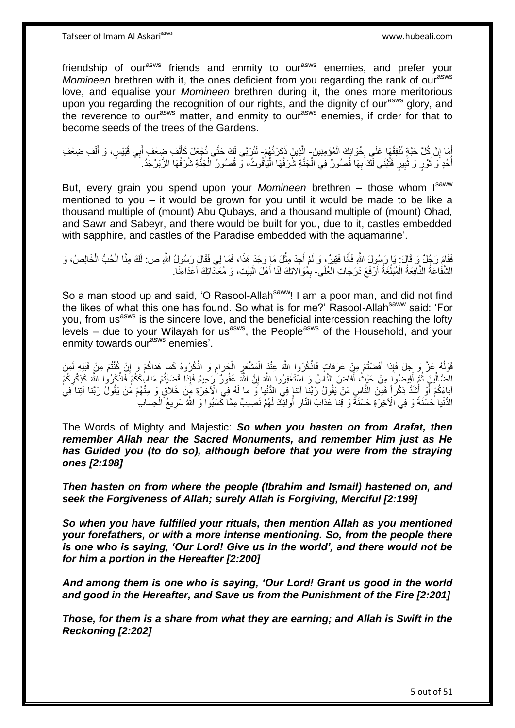Tafseer of Imam Al Askariasws www.hubeali.com

friendship of our<sup>asws</sup> friends and enmity to our<sup>asws</sup> enemies, and prefer your *Momineen* brethren with it, the ones deficient from you regarding the rank of our<sup>asws</sup> love, and equalise your *Momineen* brethren during it, the ones more meritorious upon you regarding the recognition of our rights, and the dignity of our<sup>asws</sup> glory, and the reverence to our<sup>asws</sup> matter, and enmity to our<sup>asws</sup> enemies, if order for that to become seeds of the trees of the Gardens.

أَمَا إِنَّ كُلَّ حَبَّةٍ تُنْفِقُهَا عَلَي إِخْوَانِكَ الْمُؤْمِنِينَ- الَّذِينَ ذَكَرْتُهُمْ- لَتُرَبَّى لَكَ حَتَّى تُجْعَلَ كَأَلْفِ ضِعْفِ أَبِي قُبَيْسٍ، وَ أَلْفِ ضِعْفِ ْ ·<br>∶ ِ ْ َ َ ْ َ لَ أُخُدٍ وَ ثَوْرٍ وَ ثَبِيرٍ فَتُبْنَى لَكَ بِهَا قُصُورٌ فِي الْجَذَّةِ شُرَفُهَا الْيَاقُوتُ، وَ قُصُورُ الْجَذَّةِ شُرَفُهَا الزَّبَرْجَدُ. روبا<br>سا ابل<br>المسابق ْ ْ ْ ِ **!** َ

But, every grain you spend upon your *Momineen* brethren – those whom Isaww mentioned to you – it would be grown for you until it would be made to be like a thousand multiple of (mount) Abu Qubays, and a thousand multiple of (mount) Ohad, and Sawr and Sabeyr, and there would be built for you, due to it, castles embedded with sapphire, and castles of the Paradise embedded with the aquamarine'.

َفَقَامَ رَجُلٌ وَ قَالَ: يَا رَسُولَ اللَّهِ فَأَنَا فَقِيرٌ ، وَ لَمْ أَجِدْ مِثْلَ مَا وَجَدَ هَذَا، فَمَا لِي فَقَالَ رَسُولُ اللَّهِ ص: لَكَ مِنَّا الْحُبُّ الْخَالِصُ، وَ **ٔ** َ َ ْ ْ الشَّفَاعَةُ النَّافِعَةُ الْمُبَلِّغَةُ أَرْفَعَ دَرَجَاتِ الْعُلَى- بِمُوَالَاتِكَ لَنَا أَهْلَ الْبَيْتِ، وَ مُعَادَاتِكَ أَعْدَاءَنَا ْ ْ اُ َ ْ َ ِ

So a man stood up and said, 'O Rasool-Allah<sup>saww</sup>! I am a poor man, and did not find the likes of what this one has found. So what is for me?' Rasool-Allah<sup>saww</sup> said: 'For you, from us<sup>asws</sup> is the sincere love, and the beneficial intercession reaching the lofty levels – due to your Wilayah for usasws, the Peopleasws of the Household, and your enmity towards our<sup>asws</sup> enemies'.

قَوْلُهُ عَزَّ وَ جَلَ فَإِذا أَفَضْتُمْ مِنْ عَرَفاتٍ فَاذْكُرُوا اللَّهَ عِنْدَ الْمَشْعَرِ الْحَرامِ وَ اذْكُرُوهُ كَما هَداكُمْ وَ إِنْ كُنْتُمْ مِنْ قَبْلِهِ لَمِنَ ا<br>ا ِ ِ **ٔ** ِ ْ **∶** ْ **ٔ** الْضَالِّينِ ثُمَّ أَفِيضُوا مِنْ حَيْثُ أَفَاضَ النَّاسُ وَ اسْتَغْفِرُوا اللَّهَ إِنَّ اللَّهَ غَفُولٌ رَحِيمٌ فَإِذا قَضَيْتُمْ مَناسِكَكُمْ فَاذْكُرُوا اللَّهَ كَذِكْرِكُمْ ِّ ∣اٍ ِ َ ِ **ٔ** ابِاءَكُمْ أَوْ أَشَدَّ ذِكْراً فَمِنَ النَّاسِ مَنْ يَقُولُ رَبَّنا آتِنا فِي الدُّنْيا وَ ما لَهُ فِي الْآخِرَةِ مَبِنْ خَلاقٍ وَ مِنْهُمْ مَنْ يَقُولُ رَبَّنا آتِنا َفِي َ َ النُّنْيا حَسَنَةً وَ فِي الْأَخِرَةِ حَسَنَةً وَ قِنا عَذابَ النَّارِ أُولئِكَ لَهُمْ نَصِيبٌ مِمَّا كَسَبُوا وَ اللَّهُ سَرِيعُ الْحِسابِ ْ ِ ُ **∶** 

The Words of Mighty and Majestic: *So when you hasten on from Arafat, then remember Allah near the Sacred Monuments, and remember Him just as He has Guided you (to do so), although before that you were from the straying ones [2:198]*

*Then hasten on from where the people (Ibrahim and Ismail) hastened on, and seek the Forgiveness of Allah; surely Allah is Forgiving, Merciful [2:199]*

*So when you have fulfilled your rituals, then mention Allah as you mentioned your forefathers, or with a more intense mentioning. So, from the people there is one who is saying, 'Our Lord! Give us in the world', and there would not be for him a portion in the Hereafter [2:200]*

*And among them is one who is saying, 'Our Lord! Grant us good in the world and good in the Hereafter, and Save us from the Punishment of the Fire [2:201]*

*Those, for them is a share from what they are earning; and Allah is Swift in the Reckoning [2:202]*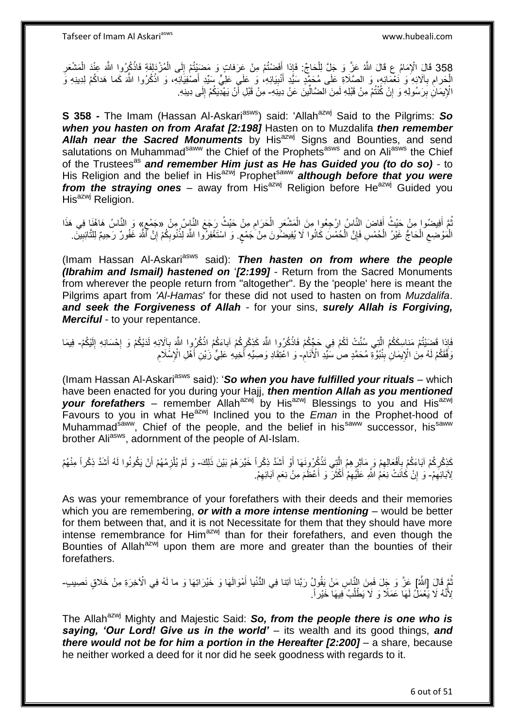Tafseer of Imam Al Askariasws www.hubeali.com

358 قَالَ الْإِمَامُ عِ قَالَ اللَّهُ عَنَّ وَ جَلَّ لِلْحَاجِّ: فَإِذا أَفَضْتُمْ مِنْ عَرَفاتٍ وَ مَضَيْتُمْ إِلَى الْمُزْدَلِفَةِ فَاذْكُرُوا اللَّهَ عِنْدَ الْمَشْعَرِ ْ **ٔ** ْ ِ َ ْ **ُ** الْحَرامِ بِٱلْأَنِهِ ۖ وَ نَعْمَائِهِ، وَ الصَّلَاةِ عَلَى مُحَمَّدٍ سَيِّدِ أُنْبِيَائِهِ، وَ عَلَى سَيِّدِ أَصْفِيَائِهِ، وَ اذْكُرُوا اللَّهَ كَما هَداكُمْ لِدِينِهِ وَ ْ ِ َ **∶ ٔ:** َ الْإِيمَانِۢ بِرَسُولِهِ وَ إِنْ كُنْتُمْ مِنْ قَبْلِهِ لَمِنَ الضَّالِّينَ عَنْ دِينَهِ- مِنْ قَبْلِ أَنْ يَهْدِيَكُمْ إِلَى دِينِهِ. ِ ِّ ِ لَ ِ َ

**S 358 -** The Imam (Hassan Al-Askari<sup>asws</sup>) said: 'Allah<sup>azwj</sup> Said to the Pilgrims: So *when you hasten on from Arafat [2:198]* Hasten on to Muzdalifa *then remember*  Allah near the Sacred Monuments by His<sup>azwj</sup> Signs and Bounties, and send salutations on Muhammad<sup>saww</sup> the Chief of the Prophets<sup>asws</sup> and on Ali<sup>asws</sup> the Chief of the Trustees<sup>as</sup> and remember Him just as He has Guided you (to do so) - to His Religion and the belief in His<sup>azwj</sup> Prophet<sup>saww</sup> **although before that you were** *from the straying ones – away from His<sup>azwj</sup> Religion before He<sup>azwj</sup> Guided you* His<sup>azwj</sup> Religion.

ُمَّ أَفِيضُوا مِنْ حَيْثُ أَفاضَ النَّاسُ ارْجِعُوا مِنَ الْمَشْعَرِ الْحَرَامِ مِنْ حَيْثُ رَجَعَ النَّاسُ مِنْ «جَمْعِ» وَ النَّاسُ هَاهُنَا فِي هَذَا َ ِ ْ **∶** ْ ٍ الْمَوْضِعِ الْحَاجُّ غَيْرُ الْحُمْسِ فَإِنَّ الْحُمْسَ كَانُوا لَا يُفِيضُونَ مِنْ جَمْعٍ. وَ اسْتَغْفِرُوا اللَّهَ لِذُنُوبِكُمْ إِنَّ أَلَّمَ غَفُورٌ رَحِيمٌ لِلتَّائِبِيْنَ. ْ ْ  $\zeta$ ْ ْ ِ ٍ ๎ ِ ِ ِ

(Imam Hassan Al-Askari<sup>asws</sup> said): **Then hasten on from where the people** *(Ibrahim and Ismail) hastened on* '*[2:199]* - Return from the Sacred Monuments from wherever the people return from "altogether". By the 'people' here is meant the Pilgrims apart from *'Al-Hamas*' for these did not used to hasten on from *Muzdalifa*. *and seek the Forgiveness of Allah* - for your sins, *surely Allah is Forgiving, Merciful* - to your repentance.

َفَإِذا قَصَيْتُمْ مَناسِكَكُمْ الَّذِي سُنَّتْ لَكُمْ فِي حَجِّكُمْ فَاذْكُرُوا اللَّهَ كَذِكْرِكُمْ آباءَكُمْ اِنْكُرُوا اللَّهَ بِآلَائِهِ لَدَيْكُمْ وَ إِحْسَانِهِ إِلَيْكُمْ- فِيمَا ِ **ٔ** لَ ِ ן<br>י **∶ ٔ** وَفَّقَكُمْ لَهُ مِنَ الْإِيمَانِٰ بِنُبُوَّةٍ مُحَمَّدٍ صلٰ سَنِّدِ الْأَنَامِ- وَ اعْتِقَادِ وَصِيِّهِ أَخِيلِهِ عَلِيٍّ زَيْنِ أَهْلِ الْإِسْلَامِ ِ ِ ِ َ

(Imam Hassan Al-Askari<sup>asws</sup> said): 'So when you have fulfilled your rituals - which have been enacted for you during your Hajj, *then mention Allah as you mentioned*  your forefathers – remember Allah<sup>azwj</sup> by His<sup>azwj</sup> Blessings to you and His<sup>azwj</sup> Favours to you in what He<sup>azwj</sup> Inclined you to the *Eman* in the Prophet-hood of Muhammad<sup>saww</sup>, Chief of the people, and the belief in his<sup>saww</sup> successor, his<sup>saww</sup> brother Ali<sup>asws</sup>, adornment of the people of Al-Islam.

كَذِكْرِكُمْ آبَاءَكُمْ بِأَفْعَالِهِمْ وَ مَآثِرِ هِمُ الَّتِي تَذْكُرُونَهَا أَوْ أَشَدَّ ذِكْراً مَنْهُمْ أَن يَكُونُوا لَهُ أَشَدَّ ذِكْراً مِنْهُمْ َ اُ **ٔ** ه ֦֧֦֦֦֦֦֦֦֦֦֦֦֦֦֦֝֝֝֜֜֜֜֜ ِ َ ِ ِ َ اُ ِ لِآبَائِهِمْ-ٰ وَ ۚ إِنْ كَانَتْ نِعَمُٰ اللَّهِ عَلَيْهِمْ أَكْثَرَ ۖ وَ أَعْظَمَ مِنْ نِعَمِ آبَائِهِمْ. ِ ِ ِ َ َ َ ِ ِ

As was your remembrance of your forefathers with their deeds and their memories which you are remembering, *or with a more intense mentioning* – would be better for them between that, and it is not Necessitate for them that they should have more intense remembrance for Him<sup>azwj</sup> than for their forefathers, and even though the Bounties of Allah<sup>azwj</sup> upon them are more and greater than the bounties of their forefathers.

تُمَّ قَالَ [الثَّهُ] عَزَّ وَ جَلَ فَمِنَ النَّاسِ مَنْ يَقُولُ رَبَّنا آتِنا فِي الدُّنْيا أَمْوَالَهَا وَ خَيْرَاتِهَا وَ ما لَهُ فِي الْآخِرَةِ مِنْ خَلاقٍ نَصِيبٍ-َ لِأَنَّهُ لَا يَعْمَلُ لَهَا عَمَلًا وَ لَا يَطْلُبُ فِيهَا خَيْراً. ا<br>ا ُ

The Allah<sup>azwj</sup> Mighty and Majestic Said: So, from the people there is one who is *saying, 'Our Lord! Give us in the world'* – its wealth and its good things, *and there would not be for him a portion in the Hereafter [2:200]* – a share, because he neither worked a deed for it nor did he seek goodness with regards to it.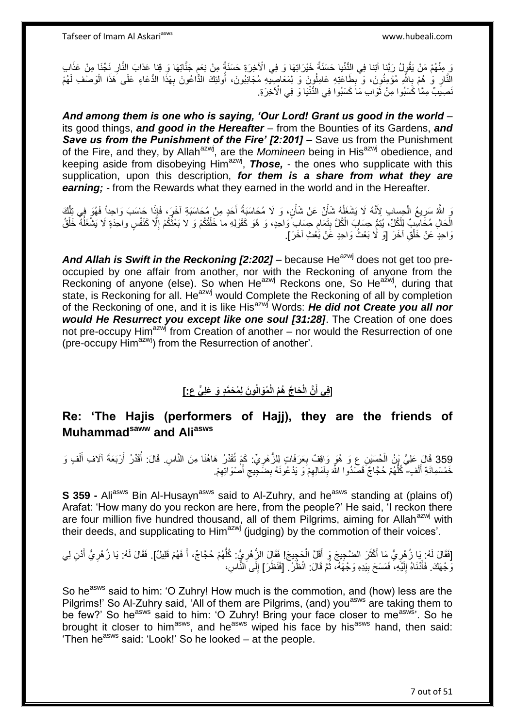وَ مِنْهُمْ مَنْ يَقُولُ رَبَّنا آتِنا فِي الثُّنْيا حَسَنَةً خَيْرَاتِهَا وَ فِي الْآخِرَةِ حَسَنَةً مِنْ نِعَم جَنَّاتِهَا وَ قِنا عَذابَ النَّارِ نَجّنَا مِنْ عَذَاب ្ទ្រ ِ النَّارِ وَ هُمْ بِاللَّهِ مُؤْمِنُوِنَ، وَ يِطَاعَتِهِ عَامِلُوٖنَ وَ لِمَعَاصِيَّهِ مُجَانِبُونَ، أُولَئِكَ الذَّاعُونَ بِهَذَا الذَّعَاءِ عَلَى هَذَا الْوَصْفِ لَهُمْ ُ ِ ِ ِ ْ ِ لَ نَصِيَبٌ مِمَّا كَسَبُوا مِنْ ثَوَابِ مَاَ كَسَبُوا فِي الدُّنْيَا وَ فِي الْآخِرَةِ.  $\ddot{\phantom{0}}$ 

*And among them is one who is saying, 'Our Lord! Grant us good in the world –* its good things, *and good in the Hereafter* – from the Bounties of its Gardens, *and Save us from the Punishment of the Fire' [2:201]* – Save us from the Punishment of the Fire, and they, by Allahazwj, are the *Momineen* being in Hisazwj obedience, and keeping aside from disobeying Him<sup>azwj</sup>, **Those,** - the ones who supplicate with this supplication, upon this description, *for them is a share from what they are earning; -* from the Rewards what they earned in the world and in the Hereafter.

َوَ اللَّهُ سَرِيعُ الْحِسابِ لِأَنَّهُ لَا يَشْغَلُهُ شَأْنٌ عَنْ شَأْنٍ، وَ لَا مُحَاسَبَةً أَحَدٍ مِنْ مُحَاسَبَةِ آخَرٍ، فَإِذَا حَاسَبَ وَاحِداً فَهُوَ فِي تِلْكَ<br>وَيُوْمُ الْمَرْضَى الْمُؤْسَسِ الْمُؤْسَسِ الْمَسْئَ ْ ِ َ ْ ْ ُ ْ الْحَالِ مُكَاسِبٌ لِلْكُلِّ، يُتِمُّ حِسَابَ الْكُلَّ بِتَمَامِ حِسَابِ ۖ وَاحِدٍ، وَ هُوَ كَقَوْلِهِ ما خَلْقُكُمْ وَ لا بَعْثُكُمْ إِلَّا كَنَفْسٍ واحِدَةٍ لَا يَشْغَلُهُ خَلْقُ ِ **!** ْ  $\overline{a}$ ِ ا پایا<br>سال ْ وَاحِدٍ عَنْ خَلْقِ آخَرَ [وَ لَا بَعْثُ وَاحِدٍ عََنْ بَعْثِ آخَرَ]. ْ

And Allah is Swift in the Reckoning [2:202] – because He<sup>azwj</sup> does not get too preoccupied by one affair from another, nor with the Reckoning of anyone from the Reckoning of anyone (else). So when He<sup>azwj</sup> Reckons one, So He<sup>azwj</sup>, during that state, is Reckoning for all. He<sup>azwj</sup> would Complete the Reckoning of all by completion of the Reckoning of one, and it is like Hisazwj Words: *He did not Create you all nor would He Resurrect you except like one soul [31:28]*. The Creation of one does not pre-occupy Him<sup>azwj</sup> from Creation of another – nor would the Resurrection of one (pre-occupy Him<sup>azwj</sup>) from the Resurrection of another'.

# ] **و َن لِ ُم َح َّمٍد َو َعلِ ٍّي ع:[ ُمَوالُ َحا َّج ُه ُم الْ َّن الْ فِي أ**

## **Re: 'The Hajis (performers of Hajj), they are the friends of Muhammadsaww and Aliasws**

359 قَالَ عَلِيُّ بِنُ الْحُسَيْنِ عِ وَ هُوَ وَاقِفٌ بِعَرَفَاتٍ لِلزُّهْرِيِّ: كَمْ تُقَدِّرُ هَاهُنَا مِنَ النَّاسِ. قَالَ: أُقَدِّرُ أَرْبَعَةَ آلَافِ أَلْفٍ وَ َ ْ ُخَمْسَمِائَةِ أَلْفٍ- ۚ كُلُّهُمْ حُجَّاجٌ ۖ قَصَدُوا اللَّهَ بِآمَالِهِمْ وَ يَدْعُونَهُ بِضَجِّيجِ أَصْوَاتِهِمْ. ْ َ ِ ِ ُّ ِ َ  $\zeta$ ِ

**S 359 -** Ali<sup>asws</sup> Bin Al-Husayn<sup>asws</sup> said to Al-Zuhry, and he<sup>asws</sup> standing at (plains of) Arafat: 'How many do you reckon are here, from the people?' He said, 'I reckon there are four million five hundred thousand, all of them Pilgrims, aiming for Allah<sup>azwj</sup> with their deeds, and supplicating to  $\lim_{n \to \infty}$  (judging) by the commotion of their voices'.

#### [فَقَالَ لَهُ: يَا زُهْرِيُّ مَا أَكْثَرَ الضَّجِيجَ وَ أَقَلَّ الْجَجِيجَ! فَقَالَ الزُّهْرِيُّ. كُلُّهُمْ حُجَّاجٌ، أَ فَهُمْ قَلِيلٌ]. فَقَالَ لَهُ: يَا زُهْرِيُّ أُدْنِ لِي َ ُّ ِ ْ َ ٔ, َ **∶** َ ِ وَّجْهَكَ. فَأَذْنَاهُ إِلَيْهِ، فَمَسَحَ بِيَدِهِ وَجْهَهُ، ثُمَّ قَالَ: انْظُرْ ۖ [فَنَظَرَ] إِلَى النِّاسِ، **!** لَ ِ َ ُ ِ

So he<sup>asws</sup> said to him: 'O Zuhry! How much is the commotion, and (how) less are the Pilgrims!' So Al-Zuhry said, 'All of them are Pilgrims, (and) you<sup>asws</sup> are taking them to be few?' So he<sup>asws</sup> said to him: 'O Zuhry! Bring your face closer to me<sup>asws</sup>'. So he brought it closer to him<sup>asws</sup>, and he<sup>asws</sup> wiped his face by his<sup>asws</sup> hand, then said: 'Then he<sup>asws</sup> said: 'Look!' So he looked – at the people.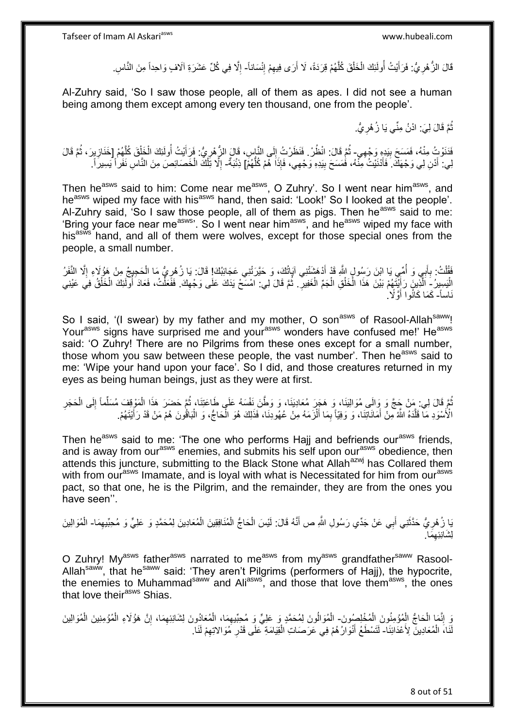قَالَ الزُّهْرِيُّ: فَرَأَيْتُ أُولَئِكَ الْخَلْقَ كُلَّهُمْ قِرَدَةً، لَا أَرَى فِيهِمْ إِنْسَاناً- إِلَّا فِي كُلِّ عَشَرَةِ آلَافٍ وَاحِداً مِنَ النَّاسِ ْ ْ ُ َ **∶** ِ ِ َ ه ِ

Al-Zuhry said, 'So I saw those people, all of them as apes. I did not see a human being among them except among every ten thousand, one from the people'.

> ُّمَّ قَالَ لِيَ: ادْنُ مِنِّي يَا زُهْرِيُّ. ِ ُ

فَذَوْتُ مِنْهُ، فَمَسَحَ بِبَدِهِ رَجْهِي- ثُمَّ قَالَ: انْظُرْ فَنَظَرْتُ إِلَى النَّاسِ، قَالَ الزُّهْرِيُّ. فَرَأَيْتُ أُولَئِكَ الْخَلْقَ كُلِّهُمْ إِخَذَازِيِرَ، ثُمَّ قَالَ **!** ِ ِ ُ **ٍ** ه ْ ْ ا<br>ا َ لِي. أَدْنِ لِي وَجْهَكَ ۚ فَأَدْنَيْتُ مِنّْهُ، فَمَسَحَ بِيَدِهِ وَجْهِي، فَإِذَا هُمْ كُلُّهُمْۤ] ذِنْبَةٌ- إِلَّا تِلْكَ الْخَصَائِصَ مِنَ النَّاسِ نَفَراْ يَسِيرَ ٱ ۚ ُّ ِ َ ْ ْ ِ

Then he<sup>asws</sup> said to him: Come near me<sup>asws</sup>, O Zuhry'. So I went near him<sup>asws</sup>, and he<sup>asws</sup> wiped my face with his<sup>asws</sup> hand, then said: 'Look!' So I looked at the people'. Al-Zuhry said, 'So I saw those people, all of them as pigs. Then he<sup>asws</sup> said to me: 'Bring your face near me<sup>asws</sup>'. So I went near him<sup>asws</sup>, and he<sup>asws</sup> wiped my face with his<sup>asws</sup> hand, and all of them were wolves, except for those special ones from the people, a small number.

فَقُلْتُ: بِأَبِي وَ أُمِّي يَا ابْنَ رَسُولٍ اللَّهِ قَدْ أَدْهَشَنْتِي آيَاتُكَ، وَ حَيَّرَتْنِي عَجَائِبُكَ! قَالَ: يَا زُهْرِيُّ مَا الْحَجِيجُ مِنْ هَؤُلَاءِ إِلَّا النَّفَرُ َ ُ َ **∶** .<br>ا ْ ِ ِ الْيَسِيرُ - اَلَّذِينَ رَأِيَّتَهُمْ بَيْنَ هَذَا الْخَلْقِ الْجَمِّ الْغَفِيرِ ۖ. ثُمَّ قَالَ لِي: امْسَحْ يَذَكَ عَلَى وَجْهِكَ. فَفَعَلْتُ، فَعَادَ أُولَئِكَ الْخَلْقُ فِي عَيْنِي :<br>ا ِ ْ ْ ْ ْ َ ِ ْ ْ اُ ْ نَاساً- كَمَا كَانُوا أَوَّلًا ۢ َ

So I said, '(I swear) by my father and my mother, O son<sup>asws</sup> of Rasool-Allah<sup>saww</sup>! Yourasws signs have surprised me and your<sup>asws</sup> wonders have confused me!' He<sup>asws</sup> said: 'O Zuhry! There are no Pilgrims from these ones except for a small number, those whom you saw between these people, the vast number'. Then he<sup>asws</sup> said to me: 'Wipe your hand upon your face'. So I did, and those creatures returned in my eyes as being human beings, just as they were at first.

ُمَّ قَالَ لِي. مَِنْ جَجَّ وَ وَالَى مُوَالِيَنَا، وَ هَجَرَ مُعَادِيَنَا، وَ وَطَّنَ نَفْسَهُ عَلَى طَاعَتِنَا، ثُمَّ حَضَرَ هَذَا الْمَوْقِفَ مُسَلِّماً إِلَى الْحَجَرِ ُ ِ ْ ِ ِّ ْ ُ الْأَسْوَدِ مَا قَلَّدَهُ اللَّهُ مِنْ أَمَانَاتِنَا، وَ وَفِيّاً بِمَا أَلْزَمَهُ مِنْ عُهُودِنَا، فَذَلِكَ هُوَ الْحَاجُ، وَ الْبَاقُونَ هُمْ مَنْ قَدْ رَأَيْتَهُمْ. ْ َ ِ َ ه ْ ْ َ

Then he<sup>asws</sup> said to me: 'The one who performs Hajj and befriends our<sup>asws</sup> friends, and is away from our<sup>asws</sup> enemies, and submits his self upon our<sup>asws</sup> obedience, then attends this juncture, submitting to the Black Stone what Allah<sup>azwj</sup> has Collared them with from our<sup>asws</sup> Imamate, and is loyal with what is Necessitated for him from our<sup>asws</sup> pact, so that one, he is the Pilgrim, and the remainder, they are from the ones you have seen''.

يَا زُهْرِيُّ حَدَّثَنِي أَبِي عَنْ جَدِّي رَسُولِ اللَّهِ ص أَنَّهُ قَالَ: لَيْسَ الْحَاجُّ الْمُنَافِقِينَ الْمُعَادِينَ لِمُحَمَّدٍ وَ عَلِيٍّ وَ مُحِبِّيهِمَا- الْمُوَالِينَ َ َ ِ َ ْ ْ ْ ْ َما. ِ <u>ل</u>ِشَانِئِهِ

O Zuhry! My<sup>asws</sup> father<sup>asws</sup> narrated to me<sup>asws</sup> from my<sup>asws</sup> grandfather<sup>saww</sup> Rasool-Allah<sup>saww</sup>, that he<sup>saww</sup> said: 'They aren't Pilgrims (performers of Hajj), the hypocrite, the enemies to Muhammad<sup>saww</sup> and Ali<sup>asws</sup>, and those that love them<sup>asws</sup>, the ones that love their<sup>asws</sup> Shias.

وَ إِنَّمَا الْحَاجُّ الْمُؤْمِنُونَ الْمُخْلِصُونَ- الْمُوَالُونَ لِمُحَمَّدٍ وَ عَلِيٍّ وَ مُحِبِّيهِمَا، الْمُعَادُونَ لِشَانِئِهِمَا، إِنَّ هَؤُلَاءِ الْمُؤْمِنِينَ الْمُوَالِينَ ْ ْ ْ ِ ا<br>ا ْ ْ ِ ِ ْ لَنَاءَ الْمُعَادِينَ لِأَعْدَائِنَا ۖ لَتَسْطَعُ أَنْوَارُ هُمْ فِي عَرَصَاتِ الْقِيَامَةِ ۖ عَلَى قَدْرِ ۖ مُوَالاتِهِمْ لَنَا ۖ ْ ِ **ٍ** ْ َ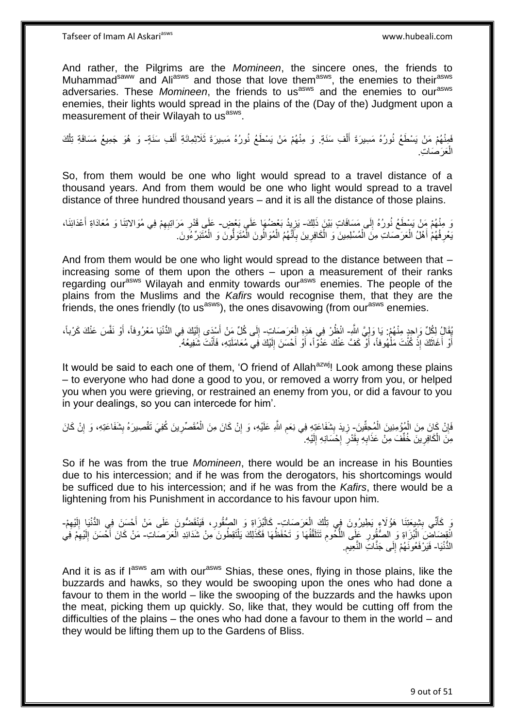And rather, the Pilgrims are the *Momineen*, the sincere ones, the friends to Muhammad<sup>saww</sup> and Ali<sup>asws</sup> and those that love them<sup>asws</sup>, the enemies to their<sup>asws</sup> adversaries. These *Momineen*, the friends to us<sup>asws</sup> and the enemies to our<sup>asws</sup> enemies, their lights would spread in the plains of the (Day of the) Judgment upon a measurement of their Wilayah to us<sup>asws</sup>.

فَمِنْهُمْ مَنْ يَسْطَعُ نُورُهُ مَسِيرَةَ أَلْفِ سَنَةٍ. وَ مِنْهُمْ مَنْ يَسْطَعُ نُورُهُ مَسِيرَةَ ثَلَاثِمِائَةِ أَلْفِ سَنَةٍ- وَ هُوَ جَمِيعُ مَسَافَةِ تِلْكَ ْ َ ْ َ ْ العَرَصَاتِ. ْ

So, from them would be one who light would spread to a travel distance of a thousand years. And from them would be one who light would spread to a travel distance of three hundred thousand years – and it is all the distance of those plains.

وَ مِنْهُمْ مَنْ يَسْطَعُ نُورُهُ إِلَى مَسَافَاتٍ بَيْنَ ذَلِكَ- يَزِيدُ بَعْضُهَا عَلَى بَعْضٍ – عَلَى قَدْرِ مَرَاتِبِهِمْ فِي مُوَالاتِنَا وَ مُعَادَاةِ أَعْدَائِنَا، ِ ¦ َ ِ **ٍ** يَعْرِ فُهُمْ أَهْلُ الْعَرَصَاتِ مِنَ الْمُسْلِمِينَ وَ الْكَافِرِينَ بِأَنَّهُمُ الْمُوَالُونَ الْمُتَوَلِّونَ وَ الْمُتَبَرِّءُونَ ـ ْ ْ َ ِ ِ ْ ْ ْ َ ِ ْ

And from them would be one who light would spread to the distance between that – increasing some of them upon the others – upon a measurement of their ranks regarding our<sup>asws</sup> Wilayah and enmity towards our<sup>asws</sup> enemies. The people of the plains from the Muslims and the *Kafirs* would recognise them, that they are the friends, the ones friendly (to us<sup>asws</sup>), the ones disavowing (from our<sup>asws</sup> enemies.

ُفِّالُ لِكُلِّ وَاحِدٍ مِنْهُمْ: يَا وَلِيَّ اللَّهِ- انْظُرْ فِي هَذِهِ الْعَرَصَاتِ- إِلَى كُلِّ مَنْ أَسْدَى إِلَيْكَ فِي الدُّنْيَا مَعْرُوفاً، أَوْ نَفَّسَ عَنْكَ كَرْباً، ْ ِ َ لَ  $\frac{1}{2}$ َ أَوْ أَغَاثَكَ إِذْ كُنْتَ مَلْهُوفاً، أَوْ كَفَّ عَنْكَ عَدُوّاً، أَوْ أَحْسَنَ إِلَيْكَ فَِي مُعَامَلَتِهِ، فَأَنْتَ شَفِيعُهُ. َ لَ ِ َ َ َ ْ **ٔ** ٔ، اً<br>ا َ

It would be said to each one of them, 'O friend of Allah<sup>azwj</sup>! Look among these plains – to everyone who had done a good to you, or removed a worry from you, or helped you when you were grieving, or restrained an enemy from you, or did a favour to you in your dealings, so you can intercede for him'.

فَإِنْ كَانَ مِنَ الْمُؤْمِنِينَ الْمُحِقِّينَ- زِيدَ بِشَفَاعَتِهِ فِي نِعَم اللَّهِ عَلَيْهِ، وَ إِنْ كَانَ مِنَ الْمُقَصِّرِينَ كُفِيَ تَقْصِيرَهُ بِشَفَاعَتِهِ، وَ إِنْ كَانَ ْ ْ ِ ِ ِ ِ ْ ِ ِ **∣ ∶** مِنَ الْكَافِرِينَ خُفِّفَ مِنْ عَذَابِهِ بِقَدْرِ ۖ إِحْسَانِهِ إِلَيْهِ. لَ יִי<br>י ¦<br>∶ ِ **∣** ِ **∶** ْ

So if he was from the true *Momineen*, there would be an increase in his Bounties due to his intercession; and if he was from the derogators, his shortcomings would be sufficed due to his intercession; and if he was from the *Kafirs*, there would be a lightening from his Punishment in accordance to his favour upon him.

يَ كَأَنِّي بِشِيعَتِنَا هَؤُلاءِ يَطِيرُونَ فِي تِلْكَ الْعَرَصَاتِ- كَالْبُزَاةِ وَ الصُّقُورِ، فَيَنْقَصُونَ عَلَى مَنْ أَحْسَنَ فِي الدُّنْيَا إِلَيْهِمْ-ْ ْ ِ َ ِ لَ ِ َ ِ **∶** انْقِِضَاضَّ الْبُزَاةِ وَ الصُّقُورِ عَلَى اللُّحُومِ تَتَلَقَّفُهَا وَ تَحْفَظُهَا فَكَذَلِكَ يَلْتَقِطُونَ مِنْ شَدَائِدِ الْعَرَصَاتِ- مَنْ كَانَ أَحْسَنَ إِلَيْهِمْ فَي ْ ْ ْ ِ ُّ ِ لَ ِ َ الدُّنْيَا- فَيَرْفَعُونَهُمْ إِلَى جَنَّاتِ النَّعِيمِ. ِ  $\frac{1}{2}$ 

And it is as if l<sup>asws</sup> am with our<sup>asws</sup> Shias, these ones, flying in those plains, like the buzzards and hawks, so they would be swooping upon the ones who had done a favour to them in the world – like the swooping of the buzzards and the hawks upon the meat, picking them up quickly. So, like that, they would be cutting off from the difficulties of the plains – the ones who had done a favour to them in the world – and they would be lifting them up to the Gardens of Bliss.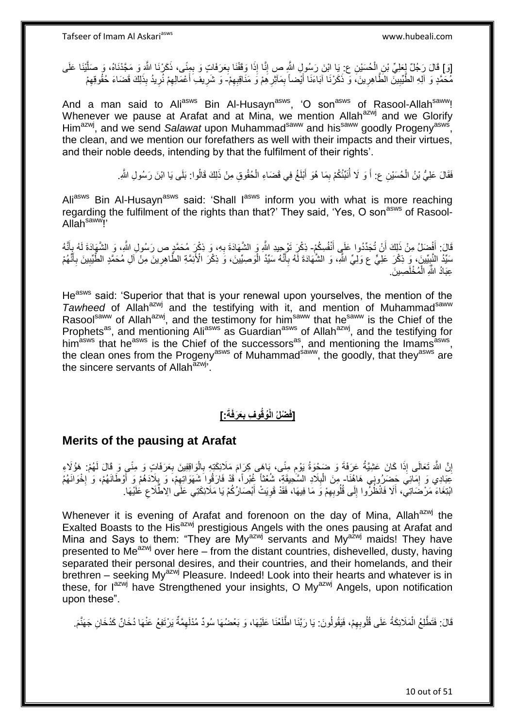إِدَ] قَالَ رَجُلٌ لِعَلِيِّ بْنِ الْحُسَيْنِ عِرْ يَا ابْنَ رَسُولٍ النَّهِ صِ إِنَّا إِذَا وَقَفْنَا بِعَرَفَاتٍ وَ بِمِنًى، ذَكَرْنَا اللَّهَ وَ مَجَّدْنَاهُ، وَ صَلَّيْنَا عَلَى ِ ْ ه ِ ِ مُ مَمَّدٍ وَ الَّهِ الطَّّيِّبِينَّ الطَّاهِرِينَ، وَ ذَكَرْنَا آبَاءَنَا أَيْضاً بِمَآثِرِ هِمْ وَ مَنَاقِبِهِمْ- وَ شَرِيفِ أَعْمَالِهِمْ نُرِيدُ بِذَلِكَ قَضَاءَ حُقُوقِهِمْ ِ ِ ِ َ ِ **!** ِ َ ِ ِ ِ

And a man said to Ali<sup>asws</sup> Bin Al-Husayn<sup>asws</sup>, 'O son<sup>asws</sup> of Rasool-Allah<sup>saww</sup>! Whenever we pause at Arafat and at Mina, we mention Allah<sup>azwj</sup> and we Glorify Him<sup>azwj</sup>, and we send Salawat upon Muhammad<sup>saww</sup> and his<sup>saww</sup> goodly Progeny<sup>asws</sup>, the clean, and we mention our forefathers as well with their impacts and their virtues, and their noble deeds, intending by that the fulfilment of their rights'.

> فَقَالَ عَلِيُّ بْنُ الْحُسَيْنِ ع: أَ وَ لَا أُنَبِّئُكُمْ بِمَا هُوَ أَبْلَغُ فِي قَضَاءِ الْحُقُوقِ مِنْ ذَلِكَ قَالُوا: بَلَى يَا ابْنَ رَسُولِ اللَّهِ. ْ َ ِ ُ َ ْ

Ali<sup>asws</sup> Bin Al-Husayn<sup>asws</sup> said: 'Shall l<sup>asws</sup> inform you with what is more reaching regarding the fulfilment of the rights than that?' They said, 'Yes, O son<sup>asws</sup> of Rasool-Allah<sup>saww</sup>!'

قَالَ: أَفْضَلُ مِنْ ذَلِكَ أَنْ تُجَدِّدُوا عَلَي أَنْفُسِكُمْ- ذِكْرَ تَوْجِيدِ اللَّهِ وَ الشَّهَادَةَ بِهِ، وَ ذِكْرِ مُحَمَّدٍ ص رَسُولِ اللَّهِ، وَ الشَّهَادَة لَهُ بِأَنَّهُ َ َ َ َ ِ **∶** سَيِّدُ النَّبِيِّينَ، وَ ذِكْرَ عَلِّيٍّ ع وَلِّيٍّ الثَّمِ، وَ الشُّهَادَةَ لَّهُ بِأَنَّهُ سَيِّدُ الْوَصِيِّينَ، وَ ذِكْرَ الْأَئِمَّةِ الطَّاهِرِينَ مِنْ آلِ مُحَمَّدٍ الطَّيِّبِينَ بِأَنَّهُمْ ْ َ ِ **!** َ **∶** ِ ِ عِبَادُ اللَّهِ الْمُخْلَصِينَ ْ

He<sup>asws</sup> said: 'Superior that that is your renewal upon yourselves, the mention of the *Tawheed* of Allah<sup>azwj</sup> and the testifying with it, and mention of Muhammad<sup>saww</sup> Rasool<sup>saww</sup> of Allah<sup>azwj</sup>, and the testimony for him<sup>saww</sup> that he<sup>saww</sup> is the Chief of the Prophets<sup>as</sup>, and mentioning Ali<sup>asws</sup> as Guardian<sup>asws</sup> of Allah<sup>azwj</sup>, and the testifying for him<sup>asws</sup> that he<sup>asws</sup> is the Chief of the successors<sup>as</sup>, and mentioning the Imams<sup>asws</sup>, the clean ones from the Progeny<sup>asws</sup> of Muhammad<sup>saww</sup>, the goodly, that they<sup>asws</sup> are the sincere servants of Allah<sup>azwj,</sup>

#### **]: َعَرفَةَ ُوقُو ِف ب ْضلُ الْ ]فَ ِ**

#### **Merits of the pausing at Arafat**

إِنَّ اللَّهَ تَعَالَى إِذَا كَانَ عَشِيَّةُ عَرَفَةَ وَ ضَخِوَةُ يَوْمِ مِنًى، بَاهَى كِرَامَ مَلَائِكَتِهِ بِالْوَاقِفِينَ بِعَرَفَاتٍ وَ مِنًى وَ قَالَ لَهُمْ: هَؤُلَاءِ اٍ **∶** ْ **∶** ِ َعِبَادِي وَ إِمَائِيَ حَضَرُونِي هَاهُنَا- مِنَ الْبِلَادِ السَّحِيقَةِ، شُعْثًا غُبْراً، فَدْ فَارَقُوا َشَهَوَاتِهِمْ، وَ بِلَادَهُمْ وَ أَوْطَانَهُمْ، وَ إِخْوَانَهُمُ ِ ِ **∶** ן<br>י َ ِ ابْتِغَاءَ مَرْضََاتِي، أَلَا فَانْظُرُوا إِلَى قُلُوبِهِمْ وَ مَا فِيهَا، فَقَدْ قَوِيَتْ أَبْصَارُكُمْ يَا مَلَائِكَتِي عَلَى الِالْطَّلَاعِ عَلَيْهَا. َ **∶** ِ  $\frac{1}{2}$ َ ِ

Whenever it is evening of Arafat and forenoon on the day of Mina, Allah<sup>azwj</sup> the Exalted Boasts to the His<sup>azwj</sup> prestigious Angels with the ones pausing at Arafat and Mina and Says to them: "They are My<sup>azwj</sup> servants and My<sup>azwj</sup> maids! They have presented to  $Me^{a z w j}$  over here – from the distant countries, dishevelled, dusty, having separated their personal desires, and their countries, and their homelands, and their brethren – seeking My<sup>azwj</sup> Pleasure. Indeed! Look into their hearts and whatever is in these, for  $I^{azmj}$  have Strengthened your insights, O My<sup>azwj</sup> Angels, upon notification upon these".

قَالَ: فَتَطَّلِعُ الْمَلَائِكَةُ عَلَى قُلُوبِهِمْ، فَيَقُولُونَ: يَا رَبَّنَا اطَّلَعْنَا عَلَيْهَا، وَ بَعْضُهَا سُودٌ مُذْلَهِمَّةٌ يَرْتَفِعُ عَنْهَا دُخَانٌ كَدُخَانِ جَهَنَّمَ ِ ْ ِ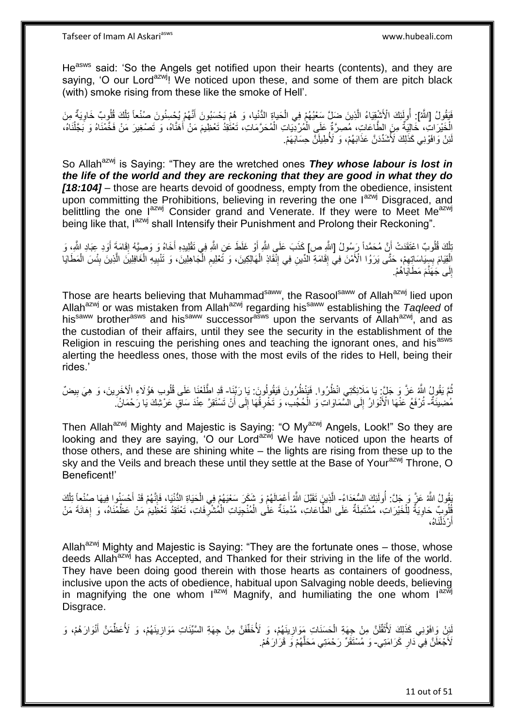He<sup>asws</sup> said: 'So the Angels get notified upon their hearts (contents), and they are saying, 'O our Lord<sup>azwj</sup>! We noticed upon these, and some of them are pitch black (with) smoke rising from these like the smoke of Hell'.

فَيَقُولُ [اللَّهُ]: أُولَئِكَ الْأَشْقِِيَاءُ الَّذِينَ صَلِّ سَعْيُهُمْ فِي الْحَياةِ الدُّنْيا، وَ هُمْ يَحْسِبُونَ أَنَّهُمْ بِكِعْسِنُونَ صَنْعاً تِلْكَ قُلُوبٌ خَاوِيَةٌ مِنَ ه ِ ْ َ ْ الْخَيْرَاتِ، خَالِيَةٌ مِنَ الطَّاعَاتِ، مُصِرَّةٌ عَلَى الْمُرْدِّيَاتِ الْمُحَرَّمَاتِ، تَعْتُقِدُ تَعْظِيمَ مَنْ أَهَنَّاهُ، وَ تَصْغِيرَ مَنْ فَخَّمْنَاهُ وَ بَجَّلْنَاهُ، َ ْ ْ ْ ْ ئِنْ وَافَوْنِي كَذَٰلِكَ لَأَشْدِّدَنَّ عَذَابَهُمْ، وَ لَأُطِيلَنَّ حِسَابَهَمْ. لَ

So Allah<sup>azwj</sup> is Saying: "They are the wretched ones **They whose labour is lost in** *the life of the world and they are reckoning that they are good in what they do [18:104]* – those are hearts devoid of goodness, empty from the obedience, insistent upon committing the Prohibitions, believing in revering the one lazwj Disgraced, and belittling the one lazwj Consider grand and Venerate. If they were to Meet Meazwj being like that, l<sup>azwj</sup> shall Intensify their Punishment and Prolong their Reckoning".

بَلْكَ قُلُوبٌ اعْتَقَدَتْ أَنَّ مُحَمَّداً رَبِسُولُ [اللَّهِ ص] كَذَبَ عَلَى اللَّهِ أَوْ غَلَطَ عَنِ اللَّهِ فِي تَقْلِيدِهِ أَخَاهُ وَ وَصِيَّهُ إِقَامَةٍ أَوَدِ عِبَادِ اللَّهِ، وَ ْ َ ِ َ َ الْقِيَامَ بِسِيَاسَاتِِهِمْ، حَتَّى يَرَوُا الْأَمْنَ فِي إِقَامَةِ الْدِّينِ فِي إِنْقَاذِ الْهَالِكِينَ، وَ تَعْلِيمِ الْجَاهِلِينَ، وَ تَنْبِيهِ الْغَافِلِينَ الَّذِينَ بِئْسَ الْمَطَايَا ْ ِ ْ ِ ِ ِ ِ ِ ه ْ ِ ْ إِلَى جَهَّنَّمَ مَطَلَيَاٰهُمْ. ِ

Those are hearts believing that Muhammad<sup>saww</sup>, the Rasool<sup>saww</sup> of Allah<sup>azwj</sup> lied upon Allah<sup>azwj</sup> or was mistaken from Allah<sup>azwj</sup> regarding his<sup>saww</sup> establishing the *Taqleed* of his<sup>saww</sup> brother<sup>asws</sup> and his<sup>saww</sup> successor<sup>asws</sup> upon the servants of Allah<sup>azwj</sup>, and as the custodian of their affairs, until they see the security in the establishment of the Religion in rescuing the perishing ones and teaching the ignorant ones, and hisasws alerting the heedless ones, those with the most evils of the rides to Hell, being their rides.'

نُّمَ يَقُولُ اللَّهُ عَنَّ وَ جَلَيَّ: يَا مَلَائِكَتِي انْظُرُوا. فَبَنْظُرُونَ فَيَقُولُونَ. يَا رَبَّنِا- قَدِ اطَّلَعْنَا عَلَى قُلُوبِ هَؤُلَاءِ الْآخَرِينَ، وَ هِيَ بِيضٌ ِ ِ مُضِيئَةٌ- تُرْفَعُ عَنْهَا الْأَنْوَارُ إِلَى الشَّمَاوَاتِ وَ الْحُجُدِ، وَ تَخْرِقُهَا إِلَى أَنْ تَسْتَقِرَّ عِنْدَ سَاقِ عَرْشِكَ يَا رَحْمَانُ ۖ ْ  $\frac{1}{2}$ َ ِ ِ

Then Allah<sup>azwj</sup> Mighty and Majestic is Saying: "O My<sup>azwj</sup> Angels, Look!" So they are looking and they are saying, 'O our Lord<sup>azwj</sup> We have noticed upon the hearts of those others, and these are shining white – the lights are rising from these up to the sky and the Veils and breach these until they settle at the Base of Your<sup>azwj</sup> Throne. O Beneficent!'

يْقُولُ اللَّهُ عَنَّ وَ جَلَّ: أُولَئِكَ السُّعَدَاءُ- الَّذِينَ تَقَبَّلَ اللَّهُ أَعْمَالَهُمْ وَ شَكَرَ سَعْيَهُمْ فِي الْحَيَاةِ الدُّنْيَا؛ فَإِنَّهُمْ قَدْ أَحْسَنُوا فِيهَا صُنْعاً تِلْكَ ِ<br>ُ َ ْ َ  $\frac{1}{2}$ ْ ِفْلُونِيٌّ خَاوِيَةٌ لِلْخَيْرَاتِ، مُشْتَمِلَةٌ عَلَى الطَّاعَاتِ، مُدْمِنَةٌ عَلَى الْمُنْجِيَاتِ الْمُشْرِّفَاتِ، تَعْتَقِدُ تَعْظِّيمَ مَنْ عَظَّمْنَاهُ، وَ إِهَانَةَ مَنْ ِ ْ ْ ْ ِ ِ َناه،ُ ْ ل رْذَا اً أ

Allah<sup>azwj</sup> Mighty and Majestic is Saying: "They are the fortunate ones - those, whose deeds Allah<sup>azwj</sup> has Accepted, and Thanked for their striving in the life of the world. They have been doing good therein with those hearts as containers of goodness, inclusive upon the acts of obedience, habitual upon Salvaging noble deeds, believing in magnifying the one whom  $I^{azwj}$  Magnify, and humiliating the one whom  $I^{azwj}$ Disgrace.

َلِّنِْ وَافَوْنِي كَذَلِكَ لَأُثَقَّلَنَّ مِنْ جِهَةِ الْحَسَنَاتِ مَوَازِينَهُمْ، وَ لَأُخَفَّفَنَّ مِنْ جِهَةِ السَّيِّئَاتِ مَوَازِينَهُمْ، وَ لَأُعَظِّمَنَّ أَنْوَارَهُمْ، وَ لَ ٌٔ وَ َ **ٍ** ِ ْ لَأُجْعَلَنَّ فِي دَارِ كَرَامَتِي- وَ مُسْتَقَرِّ رَحْمَتِي مَحَلَّهُمْ وَ قَرَارَهُمْ. **∶** َ ه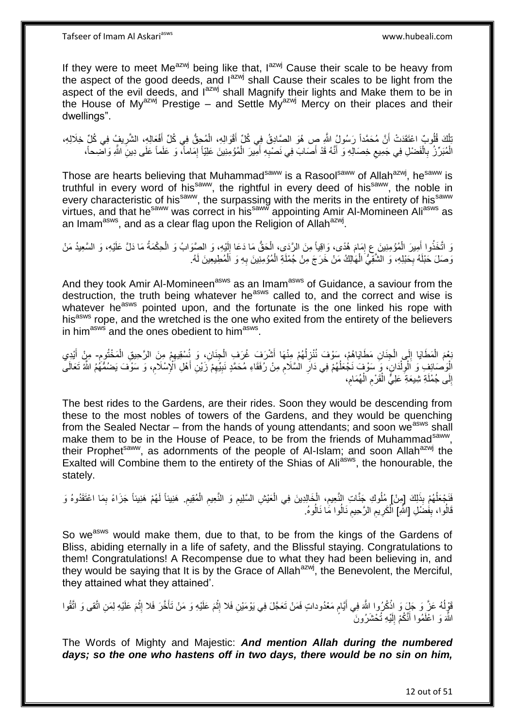If they were to meet Me $^{azwj}$  being like that,  $1^{azwj}$  Cause their scale to be heavy from the aspect of the good deeds, and  $I^{azwj}$  shall Cause their scales to be light from the aspect of the evil deeds, and  $I^{azwj}$  shall Magnify their lights and Make them to be in the House of My<sup>azwj</sup> Prestige – and Settle My<sup>azwj</sup> Mercy on their places and their dwellings".

بَلْكَ قُلُوبٌ اعْتَقَدَتْ أَنَّ مُحَمَّداً رَسُولُ اللَّهِ صِ هُوَ الصَّادِقُ فِي كُلِّ أَقْوَالِهِ، الْمُحِقُّ فِي كُلِّ أَفْعَالِهِ، الشَّرِيفِۢ فِي كُلِّ خِلَالِهِ، َ ْ َ َ ِ الْمُبَرِّزُ بِالْفَضْلِ فِي جَمِيعِ خِصَالِهِ وَ أَنَّهُ قَدْ أَصَابَ فِي نَصْبِهِ أَمِيرَ الْمُؤْمِنِينَ عَلِيّاً إِمَاماً، وَ عَلَماً عَلَى دِينِ اللَّهِ وَاضِحاً، ْ **∶** ْ ِ ْ َ **∶** َ  $\zeta$ 

Those are hearts believing that Muhammad<sup>saww</sup> is a Rasool<sup>saww</sup> of Allah<sup>azwj</sup>, he<sup>saww</sup> is truthful in every word of his<sup>saww</sup>, the rightful in every deed of his<sup>saww</sup>, the noble in every characteristic of his<sup>saww</sup>, the surpassing with the merits in the entirety of his<sup>saww</sup> every virtues, and that he<sup>saww</sup> was correct in his<sup>saww</sup> appointing Amir Al-Momineen Ali<sup>asws</sup> as an Imam<sup>asws</sup>, and as a clear flag upon the Religion of Allah<sup>azwj</sup>.

وَ اتَّخَذُوا أَمِيرَ الْمُؤْمِنِينَ عِ إِمَامَ هُدًى، وَاقِياً مِنَ الرَّدَى، الْحَقُّ مَا دَعَا إِلَيْهِ، وَ الصَّوَابُ وَ الْحِكْمَةُ مَا دَلَّ عَلَيْهِ، وَ السَّعِيدُ مَنْ لَ ِ ْ ِ ْ َ ْ َرَ صَلَ حَبْلَهُ بِحَبْلِهِ، وَ الشَّقِّيُّ الْهَالِكُ مَنْ خَرَجَ مِنْ جُمْلَةِ الْمُؤْمِنِينَ بِهِ وَ اَلْمُطِيعِينَ لَهُ. ِ ْ ِ ْ ْ

And they took Amir Al-Momineen<sup>asws</sup> as an Imam<sup>asws</sup> of Guidance, a saviour from the destruction, the truth being whatever he<sup>asws</sup> called to, and the correct and wise is whatever he<sup>asws</sup> pointed upon, and the fortunate is the one linked his rope with his<sup>asws</sup> rope, and the wretched is the one who exited from the entirety of the believers in him<sup>asws</sup> and the ones obedient to him<sup>asws</sup>.

ْبِعْمَ الْمَطَايَا إِلَي الْجِنَانِ مَطَايَاهُمْ، سَوْفَ نُنْزِلُهُمْ مِنْهَا أَشْرَفَ غُرَفِ الْجِنَانِ، وَ نُسْقِيهِمْ مِنَ الرَّحِيقِ الْمَخْتُومِ- مِنْ أَيْدِي ْ  $\frac{1}{2}$ ْ **ื** ْ ِ ْ ٔ<br>ا **ٍ** َ الْوَصَائِفِ وَ اَلْوِلْدَانِ، وَ سَوْفَ نَجْعَلُهُمْ فِي دَارِ الْسَّلَامِ مِنْ رُفَقَاءِ مُحَمَّدٍ نَبِيِّهِمْ زَيْنِ أَهْلِ الْإِسْلَامِ، وَ سَوْفَ يَضُمُّهُمُ الثَّهُ تَعَالَى ِ ِ ِ **∶** ٔ<br>ا ْ ِ ِ َ **ُ** إِلَى جُمْلَةِ شِيعَةِ عَلِيٌّ الْقَرْمِ الْهُمَامِ، ْ ِ ِ ْ

The best rides to the Gardens, are their rides. Soon they would be descending from these to the most nobles of towers of the Gardens, and they would be quenching from the Sealed Nectar – from the hands of young attendants; and soon we<sup>asws</sup> shall make them to be in the House of Peace, to be from the friends of Muhammad<sup>saww</sup>, their Prophet<sup>saww</sup>, as adornments of the people of Al-Islam; and soon Allah<sup>azwj</sup> the Exalted will Combine them to the entirety of the Shias of Ali<sup>asws</sup>, the honourable, the stately.

فَنَجْعَلُهُمْ بِذَلِكَ [مِنْ] مُلُوكِ جَنَّاتِ النَّعِيمِ، الْخَالِدِينَ فِي الْعَيْشِ السَّلِيمِ وَ النَّعِيمِ الْمُقِيمِ. هَنِيئاً لَهُمْ هَنِيئاً جَزَاءً بِمَا اعْتَقَدُوهُ وَ ا<br>ا ْ ِ ِ ْ ِ ِ لَ ِ قَالُوا، بِفَضَّلِ [اللَّهِ] الْكَرِيمِ الرَّحِيمِ نَالُوا مَّا نَالُوهُ. **∣** ا<br>ا ِ ِ ِ ْ

So we<sup>asws</sup> would make them, due to that, to be from the kings of the Gardens of Bliss, abiding eternally in a life of safety, and the Blissful staying. Congratulations to them! Congratulations! A Recompense due to what they had been believing in, and they would be saying that It is by the Grace of Allah<sup>azwj</sup>, the Benevolent, the Merciful, they attained what they attained'.

قَوْلُهُ عَنَّ وَ جَلٍّ وَ اذْكُرُوا اللَّهَ فِي أَيَّامٍ مَعْدُوداتٍ فَمَنْ تَعَجَّلَ فِي يَوْمَيْنِ فَلا إِثْمَ عَلَيْهِ وَ مَنْ تَأَخَّرَ فَلا إِثْمَ عَلَيْهِ لِمَنِ اتَّقى وَ اتَّقُوا ْ ِ َ **ٔ** ِ ٍ َ اللَّهَ وَ اعْلَمُوا أَنَّكُمْ إِلَيْهِ تُحْشَرُونَ لَ ِ َ

The Words of Mighty and Majestic: *And mention Allah during the numbered days; so the one who hastens off in two days, there would be no sin on him,* 

12 out of 51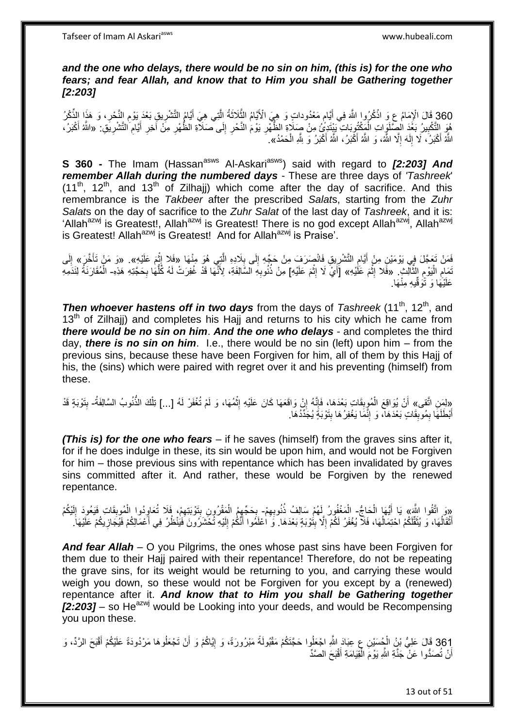#### *and the one who delays, there would be no sin on him, (this is) for the one who fears; and fear Allah, and know that to Him you shall be Gathering together [2:203]*

360 قَالَ الْإِمَامُ عِ وَ اذْكُرُوا اللَّهَ فِي أَيَّامٍ مَعْدُوداتٍ وَ هِيَ الْأَيَّامُ الثَّلاَثَةُ الَّتِي هِيَ أَيَامُ التَّقْلُرِيقِ بَعْدَ يَوْمِ النَّحْرِ، وَ هَذَا الذُّكْرُ<br>وَيَدَوْنَ قَالِمَ الْإِمَامُ عَزَمٍ ا َ ِ ِ ِ َ ه َ ه هُوَ التَّكْبِيرُ بَغُدَ الْصِّلَوَاتِ الْمَكْتُوِبَاتِ بَيْنَدِّيٍّ) مِنْ صِمَلَاةِ الظُّهْرِ يَوْم النَّحْرِ إِلَى صَكَلَّةِ الظُّهْرِ مِنَ آخِرِ أَيَّامِ التَّشْرِيَقِ. «اللَّهُ أَكْبَرُ، ْ **!** ِ ِ َ ِ ِ ِ ِ ِ َ اللَّهُ أَكْبَرُ، لَا إِلَـهَ إِلَّا اللَّهُ، وَ اللَّهُ أَكْبَرُ، اللَّهُ أَكْبَرُ وَ لِلَّهِ الْحَمْدُ». ْ َ َ ِ لَ ِ َ

**S 360 -** The Imam (Hassan<sup>asws</sup> Al-Askari<sup>asws</sup>) said with regard to [2:203] And *remember Allah during the numbered days* - These are three days of *'Tashreek*'  $(11<sup>th</sup>, 12<sup>th</sup>,$  and  $13<sup>th</sup>$  of Zilhaji) which come after the day of sacrifice. And this remembrance is the *Takbeer* after the prescribed *Salat*s, starting from the *Zuhr Salat*s on the day of sacrifice to the *Zuhr Salat* of the last day of *Tashreek*, and it is: 'Allah<sup>azwj</sup> is Greatest!, Allah<sup>azwj</sup> is Greatest! There is no god except Allah<sup>azwj</sup>, Allah<sup>azwj</sup> is Greatest! Allah<sup>azwj</sup> is Greatest! And for Allah<sup>azwj</sup> is Praise'.

فَمَنْ تَعَجَّلَ فِي يَوْمَيْنِ مِنْ أَيَّامِ التَّشْرِيِقِ فَانْصِدَفٍ مِنْ حَجِّهِ إِلَى بِلَادِهِ الَّتِي هُوَ مِنْهَا «فَلا إِثْمَ عَلَيْهِ». «وَ مَنْ تَأَخَّرَ» إِلَى ه **∶** ِ ِ ِ َ **ٔ**  $\frac{1}{2}$ لَ ِ تَمَامِ الْيَوْمِ الثَّالِثِ ۖ. «فَّلا إِثْمَ عَلَيْهِ» [أَيْ لَا إِثْمَ عَلَيْهِ] مِنْ ذُنُوبِهِ السَّالِفَةِ، لِأَنَّهَا قَدْ غُفِرَتْ لَهُ كُلُّهَا بِحَجَّتِهِ هَذِهِ- الْمُقَارَنَةُ لِنَذَمِهِ ه ِ :<br>ا ِ ْ ِ ْ ِ ِ ُّ **∶** ْ عَلَيْهَا وَ تَوَقِّيهِ مِنْهَا.

**Then whoever hastens off in two days** from the days of *Tashreek* (11<sup>th</sup>, 12<sup>th</sup>, and  $13<sup>th</sup>$  of Zilhaji) and completes his Hajj and returns to his city which he came from *there would be no sin on him*. *And the one who delays* - and completes the third day, *there is no sin on him*. I.e., there would be no sin (left) upon him – from the previous sins, because these have been Forgiven for him, all of them by this Hajj of his, the (sins) which were paired with regret over it and his preventing (himself) from these.

«لِمَنِ اتَّقى» أَنْ يُوَاقِعَ الْمُوبِقَاتِ بَعْدَهَا، فَإِنَّهُ إِنْ وَاقَعَهَا كَانَ عَلَيْهِ إِثْمُهَا، وَ لَمْ تُغْفَرْ لَهُ [...] تِلْكَ الذَنُوبُ السَّالِفَةُ- بِتَوْبَةٍ قَدْ ِ ُ َ<br>∶ُ ْ ْ ِ ِ ه ِ **∣** ْ أَبْطَلَهَا بِمُوبِقَاتٍ بَعْدَهَا، وَ إِنَّمَا يَغْفِرُهَا بِتَوْبَةٍ يُجَدِّدُهَا. **∣** ِ **ِ** ِ َ

*(This is) for the one who fears* – if he saves (himself) from the graves sins after it, for if he does indulge in these, its sin would be upon him, and would not be Forgiven for him – those previous sins with repentance which has been invalidated by graves sins committed after it. And rather, these would be Forgiven by the renewed repentance.

«وَ اتَّقُوا اللَّهَ» يَا أَيُّهَا الْحَاجُ- الْمَغْفُورُ لَهُمْ سَالِفُ ذُنُوبِهِمْ- بِحَجِّهِمُ الْمَقْرُونِ بِتَوْبَنِهِمْ، فَلَا تُعَاوِدُوا الْمُوبِقَاتِ فَيَعُودَ الِّذْكُمْ<br>تَقِيمُ الْمَقْسَمُ مِنْ أَيُّهَا الْحَاج لَ ِ ِ ْ ْ ِ ِ ْ ْ َ أَثْقَالُهَا، وَ يُثَقَّلُكُمُ احْتِمَالُهَا، فَلَا يُغْفَرُ لَكُمْ إِلَّا بِتُوْبَةٍ بَعْدَهَا. وَ اعْلَمُوا أَنَّكُمْ إِلَيْهِ تُحْتَرَرُونَ فَيُنْظُرُ فِي أَعْمَالِكُمْ فَيُجَازِيكُمْ عَلَيْهَا. ُ ْ َ  $\frac{1}{2}$ ِ ا<br>ا لَ ِ َ ِ َ

*And fear Allah* – O you Pilgrims, the ones whose past sins have been Forgiven for them due to their Hajj paired with their repentance! Therefore, do not be repeating the grave sins, for its weight would be returning to you, and carrying these would weigh you down, so these would not be Forgiven for you except by a (renewed) repentance after it. *And know that to Him you shall be Gathering together*   $[2:203]$  – so He<sup>azwj</sup> would be Looking into your deeds, and would be Recompensing you upon these.

361 قَالَ عَلِيُّ بْنُِ الْجُسَيْنِ عِ عِبَادَ اللَّهِ اجْعَلُوا حَجَّتَكُمْ مَقْبُولَةً مَبْرُورَةً، وَ إِيَّاكُمْ وَ أَنْ تَجْعَلُوهَا مَرْدُودَةً عَلَيْكُمْ أَقْبَحَ الرَّدِّ، وَ ْ َ َ ֖֧֦֧֦֧֦֧֦֧֦֧֦֧֦֧ׅ֧֦֧ׅ֧֦֧֦֧֦֧֦֧֦֧֦֧֦֧֦֧֦֧֦֧֦֧֦֧֦֧֦֧֦֧֦֧֚֜֓֓֜֓֓֓֞֡<br>֧֜֩֞֘ ْ أَنْ تُصَدُّوا عَنْ ۖ جَذَّةِ اللَّهِ يَوْمَ الْمِّقِيَامَةِ أَقْبَحَ الصَّدِّ َ ْ اً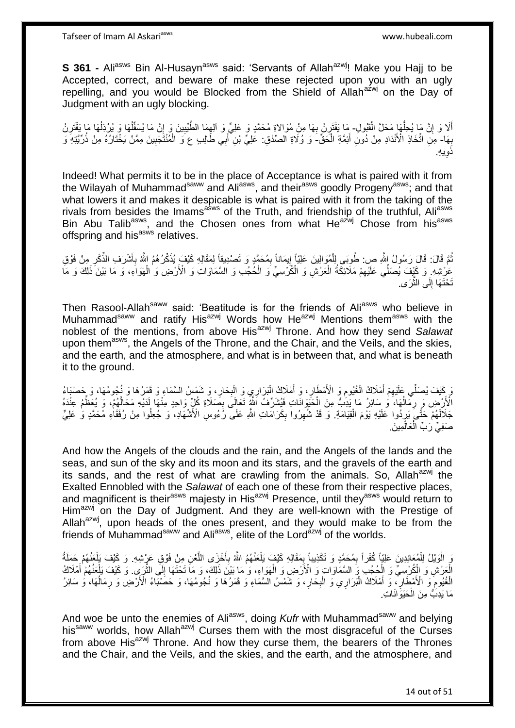**S 361 -** Ali<sup>asws</sup> Bin Al-Husayn<sup>asws</sup> said: 'Servants of Allah<sup>azwj</sup>! Make you Hajj to be Accepted, correct, and beware of make these rejected upon you with an ugly repelling, and you would be Blocked from the Shield of Allah<sup>azwj</sup> on the Day of Judgment with an ugly blocking.

أَلَا وَ إِنَّ مَا يُحِلُّهَا مَحَلَّ الْقَبُولِ- مَا يَقْتَرِنُ بِهَا مِنْ مُوَالاةٍ مُحَمَّدٍ وَ عَلِيٍّ وَ ألِهِمَا الطَّيِّبِينَ وَ إِنَّ مَا يُسَفِّلُهَا وَ يُرْذِلُهَا مَا يَقْتَرِنُ ْ ُّ َ ِ ِ ِ ِ ُ ُ ِ بِهَا- مِنِّ اتِّخَاذِ الْأَنْدَادِ مِنْ دُونِ أَئِمَّةِ الْحَقِّ-َ وَ وُلَاةِ الصِّدْقِ: عَلِيٍّ بْنِ ۖ أَبِي طَّالِبِ عَ وَ الْمُنْتَّجَبِينَ مِمَّنْ يَخْتَارُهُ مِنْ ذُرِّيَّتِهِ وَ **∶** ْ َ ِ ْ َ ي ِه. ذَو ِ

Indeed! What permits it to be in the place of Acceptance is what is paired with it from the Wilayah of Muhammad<sup>saww</sup> and Ali<sup>asws</sup>, and their<sup>asws</sup> goodly Progeny<sup>asws</sup>; and that what lowers it and makes it despicable is what is paired with it from the taking of the rivals from besides the Imams<sup>asws</sup> of the Truth, and friendship of the truthful, Ali<sup>asws</sup> Bin Abu Talib<sup>asws</sup>, and the Chosen ones from what He<sup>azwj</sup> Chose from his<sup>asws</sup> offspring and his<sup>asws</sup> relatives.

نُّمَّ قَالَ: قَالَ رَسُولُ إِللَّهِ صِ: طُوبَي لِلْمُوَالِينَ عَلِيَّاً إِيمَاناً بِمُحَمَّدٍ وَ تَصْدِيقاً لِمَقَالِهِ كَيْفَ يُذَكِّرُهُمُ اللَّهُ بِأَشْرَف الذِّكْرِ مِنْ فَوْقِ ُ ِ ِ ْ ِ َ ِ عَرْشِهِ ۚ وَ كَيْفَ يُصَلِّي عَلَيْهِمْ مَلَائِكَةُ الْعَرْشِ وَ الْكُرْسِيِّ وَ الْحُجُدِ وَ الْسَّمَاوَاتِ وَ الْأَرْضِ وَ الْهَوَاءِ، وَ مَا بَيْنَ ذَلِكَ وَ مَا ْ ِ ْ ْ تَحْتَهَا إِلَى الثَّرَى. ه ِ

Then Rasool-Allah<sup>saww</sup> said: 'Beatitude is for the friends of Ali<sup>asws</sup> who believe in Muhammad<sup>saww</sup> and ratify His<sup>azwj</sup> Words how He<sup>azwj</sup> Mentions them<sup>asws</sup> with the noblest of the mentions, from above His<sup>azwj</sup> Throne. And how they send *Salawat* upon them<sup>asws</sup>, the Angels of the Throne, and the Chair, and the Veils, and the skies, and the earth, and the atmosphere, and what is in between that, and what is beneath it to the ground.

وَ كَيْفَ يُصَلِّي عَلَيْهِمْ أَمْلَاكُ الْغُيُومِ وَ الْأَمْطَارِ، وَ أَمْلَاكُ الْبَرَارِيِ وَ الْبِحَارِ، وَ شَمْسُ السَّمَاءِ وَ قَمَرُهَا وَ يُجُومُهَا، وَ حَصْبَاءُ ِ **∶** ْ ْ َ ِ ِ ْ َ ِ اْلْأَرْضِ وَ رِمَالُهَا، وَ سَائِرُ مَا يَدِنُ مِنَ الْحَيِّوَانَاتِ فَيُشَرِّفُ اَلَّةٌ ثَعَالَى بِصَلَاةِ كُلِّ وَاحِدٍ مِنْهَا لَدَيْهِ مَحَالَهُمْ، وَ يُعَظِّمُ عِنْدَهُ ْ ا<br>ا ِ ه ِ جَلَالَهُمْ حَتَّىَ بَرِدُوا عَلَيْهِ بَوْمَ الْقِيَامَةِ. وَ قَدْ شُهِرُوا بِكَرَامَاتِ اللَّهِ عَلَى رُءُوسِ الْأَشْهَادِ، وَ جُعِلُوا مِنْ رُفَقَاءِ مُحَمَّدٍ وَ علِيٍّ ِ ِ ْ ِ صَفِيِّ رَبٍّ الْعَالَمِينَ ْ

And how the Angels of the clouds and the rain, and the Angels of the lands and the seas, and sun of the sky and its moon and its stars, and the gravels of the earth and its sands, and the rest of what are crawling from the animals. So, Allah<sup>azwj</sup> the Exalted Ennobled with the *Salawat* of each one of these from their respective places, and magnificent is their<sup>asws</sup> majesty in His<sup>azwj</sup> Presence, until they<sup>asws</sup> would return to Him<sup>azwj</sup> on the Day of Judgment. And they are well-known with the Prestige of Allah<sup>azwj</sup>, upon heads of the ones present, and they would make to be from the friends of Muhammad<sup>saww</sup> and Ali<sup>asws</sup>, elite of the Lord<sup>azwj</sup> of the worlds.

وَ الْوَيْلُ لِلْمُعَانِدِينَ عَلِيّاً كُفْراً بِمُحَمَّدٍ وَ تَكْذِيباً بِمَقَالِهِ كَيْفٍ يَلْعَنُهُمْ لِلَّهُ بِأَخْزَى اللَّعْنِ مِنْ فَوْقِ عَرْشِهِ. وَ كَيْفَ بَإْعَنُهُمْ حَمَلَةُ ْ ْ ه َ ِ ْ ِ ِ ْ الْعَرْشِ وَ الْكُرْسِيِّ وَ الْحُجُبِّ وَ السَّمَاوَاتِ وَ الْأَرْضِ وَ الْهَوَاءِ، وَ مَا بَيْنَ ذَلِكَ، وَ مَا تَحْتَهَا إِلَي الثَّرَيِ. وَ كَيْفَ يَلْعَنُهُمْ أَمْلَاكُ ْ ْ ْ ه ِ َ ْ الْخُيُومِ ۖ وَ الْأَهْطَالِ ۚ، وَ أَهْلَاكُ الْبَرَارِي وَ الْبِحَارِ ، وَ شَّمْسُ السَّمَاءِ وَ قَمَرُهَا وَ نُجُومُهَا، وَ حَصَّبْبَاءُ الْأَرْضِ وَ رِمَالُهَا، وَ سَائِرُ ِ ِ ْ ا<br>ا َ ِ ِ ∫<br>∫ ِ مَا يَدِبُّ مِنَ الْحَيَوَٰانَاتِ. ْ

And woe be unto the enemies of Ali<sup>asws</sup>, doing *Kufr* with Muhammad<sup>saww</sup> and belying his<sup>saww</sup> worlds, how Allah<sup>azwj</sup> Curses them with the most disgraceful of the Curses from above His<sup>azwj</sup> Throne. And how they curse them, the bearers of the Thrones and the Chair, and the Veils, and the skies, and the earth, and the atmosphere, and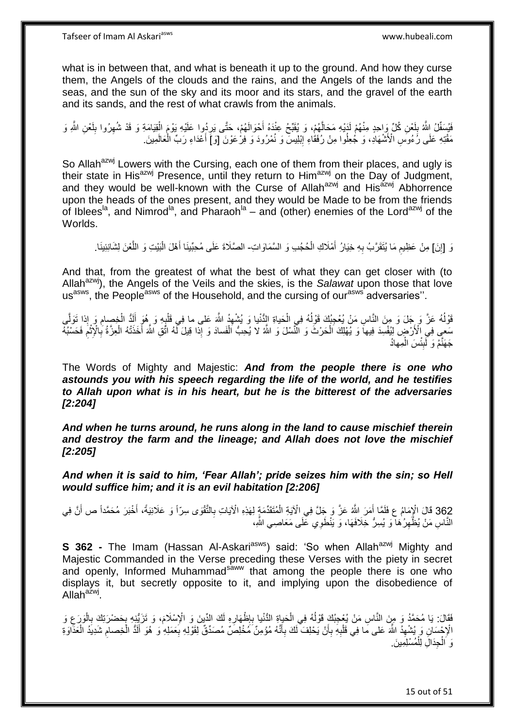what is in between that, and what is beneath it up to the ground. And how they curse them, the Angels of the clouds and the rains, and the Angels of the lands and the seas, and the sun of the sky and its moor and its stars, and the gravel of the earth and its sands, and the rest of what crawls from the animals.

فَيْسَفِّلُ اللَّهُ بِلَعْنِ كُلِّ وَاحِدٍ مِنْهُمْ لَدَيْهِ مَحَالَهُمْ، وَ يُقَبِّحُ عِنْدَهُ أَحْوَالَهُمْ، حَتَّى يَرِدُوا عَلَيْهِ يَوْمَ الْقِيَامَةِ وَ قَدْ شُهِرُوا بِلَعْنِ اللَّهِ وَ َ ه لَ **ِ** لَ ِ ِ ْ ِ ْ مَقْتِهِ عَلَى رَُءُوَّسِ الْأَشْهَادِ، وَ جُعِلُوا مِنْ رُفَقَاءِ إِبْلِيسَ وَ نُمْرُودَ وَ فِرْعَوْنَ [وَ]َ أَعْدَاءِ رَبِّ الْعَالَمِينَ َ ِ

So Allah<sup>azwj</sup> Lowers with the Cursing, each one of them from their places, and ugly is their state in His<sup>azwj</sup> Presence, until they return to Him<sup>azwj</sup> on the Day of Judgment, and they would be well-known with the Curse of Allah<sup>azwj</sup> and His<sup>azwj</sup> Abhorrence upon the heads of the ones present, and they would be Made to be from the friends of Iblees<sup>la</sup>, and Nimrod<sup>la</sup>, and Pharaoh<sup>la</sup> – and (other) enemies of the Lord<sup>azwj</sup> of the Worlds.

رَ [إِنَ] مِنْ عَظِيمِ مَا يُتَقَرَّبُ بِهِ خِيَارُ أَمْلَاكِ الْحُجُبِ وَ السَّمَاوَاتِ- الصَّلَاةَ عَلَى مُحِبّينَا أَهْلَ الْبَيْتِ وَ اللّغنَ لِشَانِئِينَا . ֧<u>׀</u> ْ َ **∶** ِ ه ْ َ

And that, from the greatest of what the best of what they can get closer with (to Allah<sup>azwj</sup>), the Angels of the Veils and the skies, is the *Salawat* upon those that love us<sup>asws</sup>, the People<sup>asws</sup> of the Household, and the cursing of our<sup>asws</sup> adversaries".

قَوْلُهُ عَزَّ وَ جَلَ وَ مِنَ النَّاسِ مَنْ يُعْجِبُكَ قَوْلُهُ فِي الْحَياةِ الْإِنْيا وَ يُشْهِدُ اللَّهَ عَلى ما فِي قَلْبِهِ وَ هُوَ الَّذُ الْخِصِبامِ وَ إِذا تَوَلَّى ِ ْ ا<br>ا ه ِ ْ لَ َ ِ ْ مَعِي فِي الْأَرْضِ لِيُفْسِدَ فِيهاً وَ يُهْلِكَ الْحَرْثَ وَ النَّسْلَ وَ النَّهُ لاَ يُحِبُّ الْفَسادَ وَ إِدا قِيلَ لَّهُ اتَّقِ اللَّهُ أَخَذَتْهُ الْعِزَّةُ بِالْإِثْمَ فَحَسْبُهُ ْ ْ ِ ْ **∶** ْ َ جَهَنَّمُ وَ لَبِئْسَ الْمِهادُ ْ **∣** 

The Words of Mighty and Majestic: *And from the people there is one who astounds you with his speech regarding the life of the world, and he testifies to Allah upon what is in his heart, but he is the bitterest of the adversaries [2:204]*

*And when he turns around, he runs along in the land to cause mischief therein and destroy the farm and the lineage; and Allah does not love the mischief [2:205]*

*And when it is said to him, 'Fear Allah'; pride seizes him with the sin; so Hell would suffice him; and it is an evil habitation [2:206]*

362 قَالَ الْإِمَامُ عِ فَلَمَّا أَمَرَ اللَّهُ عَزَّ وَ جَلَّ فِي الْآيَةِ الْمُتَقَدِّمَةٍ لِهَذِهِ الْآيَاتِ بِالثَّقْوَى سِرّاً وَ عَلَانِيَةً، أَخْبَرَ مُحَمَّداً ص أَنَّ فِي َ َ أهنا **∶** ْ َ النَّاسِ مَنْ يُظْهِرُكْمَا وَ يُسِرُّ خِلَافَهَا، وَ يَنْطَوِي تَحْلَى مَعَاصِـي اللَّهِ،  $\ddot{\xi}$ 

**S 362 -** The Imam (Hassan Al-Askari<sup>asws</sup>) said: 'So when Allah<sup>azwj</sup> Mighty and Majestic Commanded in the Verse preceding these Verses with the piety in secret and openly, Informed Muhammad<sup>saww</sup> that among the people there is one who displays it, but secretly opposite to it, and implying upon the disobedience of Allah<sup>azwj</sup>.

.<br>فَقَالَ: يَا مُحَمَّدُ وَ مِنَ النَّاسِ مَنْ يُعْجِبُكَ قَوْلُهُ فِي الْحَياةِ الدُّنْيا بِإِظْهَارِهِ لَكَ ال<br>. **∶**  $\frac{1}{2}$ **∶** ْ ا<br>ا ِ ْ ِ .<br>ڊ الْإِجْسَانِ وَ يُشْهِدُ اللَّهَ عَلى مَا فِي قَلْبِهِ بِأَنْ يَحْلِفَ لَكَ بِأَنَّهُ مُؤْمِنٌ مَخْلِصٌ مُصَدِّقٌ لِقَوْلِهِ بِعَمَلِهِ وَ هُوَ أَلَدُ الْخِصامِ شَدِيدُ الْعَذَاوَةِ ِ **∶** َ ِ َ **∶** ِ ْ لَ َ ْ وَ الْجِدَالِ لِلْمُسْلِمِينَ. ْ ْ

15 out of 51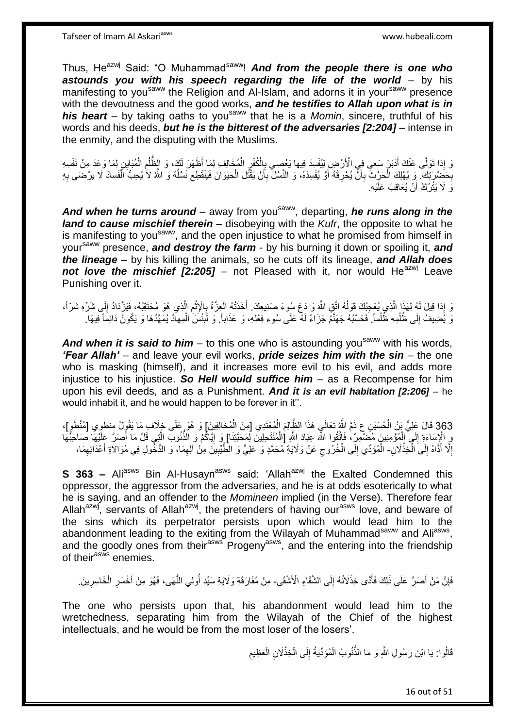Thus, He<sup>azwj</sup> Said: "O Muhammad<sup>saww</sup>! And from the people there is one who *astounds you with his speech regarding the life of the world* – by his manifesting to you<sup>saww</sup> the Religion and Al-Islam, and adorns it in your<sup>saww</sup> presence with the devoutness and the good works, *and he testifies to Allah upon what is in*  **his heart** – by taking oaths to you<sup>saww</sup> that he is a *Momin*, sincere, truthful of his words and his deeds, *but he is the bitterest of the adversaries [2:204]* – intense in the enmity, and the disputing with the Muslims.

وَ إِذَا تَوَلَّى عَنْكَ أَدْبَرَ سَعِي فِي الْأَرْضِ لِيُفْسِدَ فِيها يَعْصِي بِالْكُفْرِ الْمُخَالِفِ لِمَا أَظْهَرَ لَكَ، وَ الطُّلْمِ الْمُبَايِنِ لِمَا وَعَدَ مِنْ نَفْسِهِ َ ْ ِ ْ ْ ِ ׅ֧֦֧֦֧֦֧֦֦֦֦֦֦֦֦֦֦֦֦֦֦֦֦֦֦֦֓֓֡ بِحَضْرِيَكَ ۖ وَ يُهْلِكَ الْحَرْثَ بِأَنَّ يُحْرِقَهُ أَوْ يُفْسِدَهُ، وَ النَّسْلَ بِأَنْ يَقْتُلَ الْحَيَوَانَ فَيَنْقَطِعَ نَسْلُهُ وَ اللَّه لاَ يُحِبُّ اَلْفَسادَ لَا يَرْضَى بِهِ ِ ِ ۔<br>ا ِ ْ َ ِ ِ ْ وَ لَا يَتْرُكُ أَنْ يُعَاقِبَ عَلَيْهِ. اً

And when he turns around – away from you<sup>saww</sup>, departing, he runs along in the *land to cause mischief therein* – disobeying with the *Kufr*, the opposite to what he is manifesting to you<sup>saww</sup>, and the open injustice to what he promised from himself in yoursaww presence, *and destroy the farm* - by his burning it down or spoiling it, *and the lineage* – by his killing the animals, so he cuts off its lineage, *and Allah does*  not love the mischief [2:205] – not Pleased with it, nor would He<sup>azwj</sup> Leave Punishing over it.

وَ إِذا قِيلَ لَهُ لِهَذَا الَّذِي يُعْجِبُكَ قَوْلُهُ اتَّقِ اللَّهَ وَ دَعْ سُوءَ صَنِيعِكَ. أَخَذَتُهُ الْعِزَّةُ بِالْإِثْمِ الَّذِي هُوَ مُحْتَقِبُهُ، فَيَزْدَادُ إِلَى شَرِّهِ شَرَّاً، ا<br>ا ه ِ ْ ِ ْ ِ وَ يُُضِيفُ إِلَى ظُلْمِهِ ظُلْماً. فَحَسْبُهُ جَهَنَّمُ جَزَاءً لَهُ عَلَى سُوءِ فِعْلِهِ، وَ عَذَاباً. وَ لَبِئْسَ الْمِهاْدُ يُمَهِّدُهَا وَ يَكُونُ دَائِمًا ۖ فِيهَا. ْ ْ  $\frac{1}{2}$ ْ  $\frac{1}{2}$ 

**And when it is said to him** – to this one who is astounding you<sup>saww</sup> with his words, *'Fear Allah'* – and leave your evil works, *pride seizes him with the sin* – the one who is masking (himself), and it increases more evil to his evil, and adds more injustice to his injustice. *So Hell would suffice him* – as a Recompense for him upon his evil deeds, and as a Punishment. *And it is an evil habitation [2:206]* – he would inhabit it, and he would happen to be forever in it''.

363 قَالَ عَلِيُّ بْنُ الْحُسَيْنِ عِ ذَمَّ اللَّهُ تَعَالَىِ هَذَا الظَّالِمَ الْمُعْتَدِي [مِنَ الْمُخَالِفِينَ] وَ هُوَ عَلَى خِلَافِ مَا يَقُولُ مِنطوِي [مُنْطَوِ]، ْ ْ ْ رٍ الْإِسَاءَةِ إِلَي أَلْمُؤْمِنِينَ مُضْمِرٌ ، فَأَقُوا اللَّهَ عِبَادَ اللَّهِ [الْمُنْتَحِلِينَ لِمَحَبَّتنا] وَ إِيَّاكُمْ وَ الذُّنُوبَ الَّذِي قَلَّ مَا أَصَرَّ عَلَيْهَا صَاحِبَهَا<br>وَيَنْقُوا بِيَنْ وَجَمِينَ مَعَ ْ ِ ه ון<br>≀ ْ َ إِلَّا أَذَّاهُ إِلَى الْخِذْلَانِ- الْمُؤَدِّي إِلَى الْخُرُوجِ عَنْ وَلَايَةِ مُحَمَّدٍ وَ عَلِيٍّ وَ الطُّيِّبِينَ مِنْ آلِهِمَا، وَ الدُّخُولِ فِي مُوَالاةِ أَعْدَائِهِمَا، <u>ٔ</u> ْ ِ َ ِ ِ ِ  $\zeta$  $\frac{1}{2}$ ِ َ

**S 363 –** Ali<sup>asws</sup> Bin Al-Husayn<sup>asws</sup> said: 'Allah<sup>azwj</sup> the Exalted Condemned this oppressor, the aggressor from the adversaries, and he is at odds esoterically to what he is saying, and an offender to the *Momineen* implied (in the Verse). Therefore fear Allah<sup>azwj</sup>, servants of Allah<sup>azwj</sup>, the pretenders of having our<sup>asws</sup> love, and beware of the sins which its perpetrator persists upon which would lead him to the abandonment leading to the exiting from the Wilayah of Muhammad<sup>saww</sup> and Ali<sup>asws</sup>, and the goodly ones from their<sup>asws</sup> Progeny<sup>asws</sup>, and the entering into the friendship of their<sup>asws</sup> enemies.

فَإِنَّ مَنْ أَصَرَّ عَلَى ذَلِكَ فَأَدًى خِذْلاَنُهُ إِلَى الشَّقَاءِ الْأَشْقَى- مِنْ مُفَارَقَةٍ وَلَايَةِ سَيِّدِ أُولِي النُّهَى، فَهُوَ مِنْ أَخْسَرِ الْخَاسِرِينَ. ∣∣<br>∶ **ٔ** َ َ ِ ِ ْ ِ َ

The one who persists upon that, his abandonment would lead him to the wretchedness, separating him from the Wilayah of the Chief of the highest intellectuals, and he would be from the most loser of the losers'.

> قَالُوا: يَا ابْنَ رَسُولِ اللَّهِ وَ مَا الذُّنُوبُ الْمُؤَدِّيَةُ إِلَى الْخِذْلَانِ الْعَظِيمِ **ٔ** ْ ِ ْ ِ ْ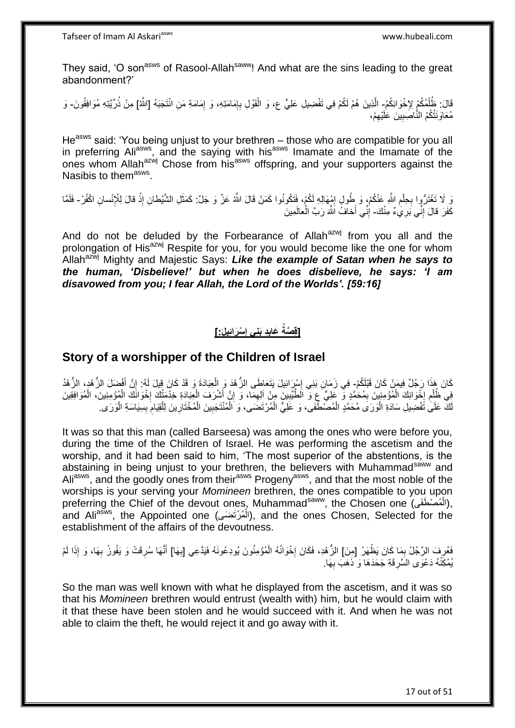They said, 'O son<sup>asws</sup> of Rasool-Allah<sup>saww</sup>! And what are the sins leading to the great abandonment?'

قَالَ: ظُلُمُكُمْ لِإِخْوَانِكُمُ- الَّذِينَ هُمْ لَكُمْ فِي تَفْضِيلِ عَلِيٍّ ع، وَ الْقَوْلِ بِإِمَامَتِهِ، وَ إِمَامَةِ مَنِ انْتَجَبَهُ [اللَّهُ] مِنْ ذُرِّيَّتِهِ مُوَافِقُونَ- وَ<br>وَمَدَّدُ النَّهُمُ الْمُنْكُمْ لِإِ ْ ِ ן<br>∶ ِ ْ مُعَاوَنَتُكُمُ النَّاصَبِينَ عَلَيْهِمْ، ِ ِ

He<sup>asws</sup> said: 'You being unjust to your brethren – those who are compatible for you all in preferring Ali<sup>asws</sup>, and the saying with his<sup>asws</sup> Imamate and the Imamate of the ones whom Allah<sup>azwj</sup> Chose from his<sup>asws</sup> offspring, and your supporters against the Nasibis to them<sup>asws</sup>.

وَ ِلَا تَغْتَرُّوا بِحِلْمِ اللَّهِ عَنْكُمْ، وَ طُولٍ إِمْهَالِهِ لَكُمْ، فَتَكُونُوا كَمَنْ قَالَ اللَّهُ عَزَّ وَ جَلَّ: كَمَثَلِ الشَّيْطانِ إِذْ قالَ لِلْإِنْسانِ اكْفُرْ- فَلَمَّا ِ ِ ْ ِ **ٔ** َ كَفَرَ قالَ إِنِّي بَرِيَٰءٌ مِنْكَ- إِنِّي أَخافُ اللَّهَ رَبَّ الْعالَمِينَ ֺ֧֖ׅ֧ׅ֧֧֚֚֚֚֚֚֚֚֚֚֚֚֚֚֝֝֬֓֡֡֓֡֟֡֡֡֡֡֡֬֓֡֟֓֡֟֓֡֟֓֡֡֡֬֩֓֓֩ ْ ِ

And do not be deluded by the Forbearance of Allah<sup>azwj</sup> from you all and the prolongation of His<sup>azwj</sup> Respite for you, for you would become like the one for whom Allah<sup>azwj</sup> Mighty and Majestic Says: Like the example of Satan when he says to *the human, 'Disbelieve!' but when he does disbelieve, he says: 'I am disavowed from you; I fear Allah, the Lord of the Worlds'. [59:16]*

#### **ْسَرائِيل:َ[ ِد َبنِي إ َعاب ]قِ َّصةُ ِ ِ**

#### **Story of a worshipper of the Children of Israel**

كَانَ هَذَا رَجُلٌ فِيمَنْ كَانَ قَبْلَكُمْ-ِ فِي زَمَانِ بَنِي إِسْرِرَائِيلَ يَتَعَاطَى الزُّهْدَ وَ الْعِبَادَةَ وَ قَدْ كَانَ قِيلَ لَهُ: إِنَّ أَفْضَلَ الزُّهْدِ، الزُّهْدُ َ ِ ْ ِ فِي ظُلْمِ إِخْوَانِكَ الْمُؤْمِنِينَ بِمُحَمَّدٍ وَّ عَلِيٍّ ع وَّ الطَّيِّبِينَ مِنْ آلِهِمَا، وَ إِنَّ أَشْرَفَ الْعِبَادَةِ خِذْمَتُكَ إِخْوَانَكَ الْمُؤْمِنِينَ، الْمُوَافِقِينَ ْ َ ِ ِ **!** ِ ْ **∶** ِ ْ ْ ْ |.<br>יִי لَكَ عَلَىٰ تَفْضِيلِ سَادَةِ الْوَرَى مُحَمَّدٍ الْمُصْطَّفَى، وَ عَلِيٍّ الْمُرْتَضَى، وَ الْمُنْتَجَبِينَ الْمُخْتَارِينَ لِلْقِيَامَ بِسِيَاسَةِ الْوَرَى ْ ْ ِ ِ ْ ِ ْ ِ ْ ْ ْ

It was so that this man (called Barseesa) was among the ones who were before you, during the time of the Children of Israel. He was performing the ascetism and the worship, and it had been said to him, 'The most superior of the abstentions, is the abstaining in being unjust to your brethren, the believers with Muhammad<sup>saww</sup> and Ali<sup>asws</sup>, and the goodly ones from their<sup>asws</sup> Progeny<sup>asws</sup>, and that the most noble of the worships is your serving your *Momineen* brethren, the ones compatible to you upon preferring the Chief of the devout ones, Muhammad<sup>saww</sup>, the Chosen one (الْمُصْطَفَى), ْ and Ali<sup>asws</sup>, the Appointed one (الْمُرْتَضَى), and the ones Chosen, Selected for the ْ establishment of the affairs of the devoutness.

فَعُرِفَ الرَّجُلُ بِمَا كَانَ يَظْهَرُ [مِنَ] الزُّهْدِ، فَكَانَ إِخْوَانُهُ الْمُؤْمِنُونَ يُودِعُونَهُ فَيَذَعِي [بِهَا] أَنَّهَا سُرِقَتْ وَ يَفُوزُ بِهَا، وَ إِذَا لَمْ<br>وَيَوْمِدُونَ الرَّجُلُ بِمَا كَانَ يَظْهَرُ [م ِ ِ **∶** ِ َ **∶** ْ **∶** لَ يُمْكِّنْهُ دَعْوَى السَّرِقَةِ جَحَدَهَا وَ ذَهَبَ بِهَا. **∶** ِ

So the man was well known with what he displayed from the ascetism, and it was so that his *Momineen* brethren would entrust (wealth with) him, but he would claim with it that these have been stolen and he would succeed with it. And when he was not able to claim the theft, he would reject it and go away with it.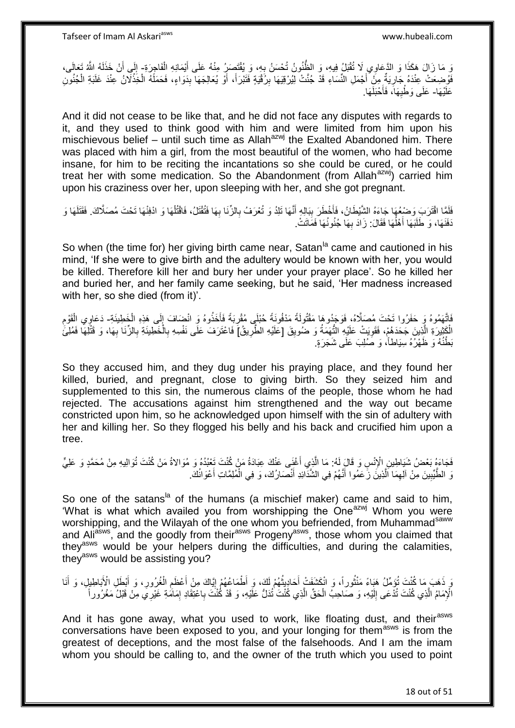وَ مَا زَالَ هَكَذَا وَ الدَّعَاوِيِ لَا تُقْبَلُ فِيهِ، وَ الظَّنُونُ تُحْسَنُ بِهِ، وَ يُقْتَصِبِرُ مِنْهُ عَلَى أَيْمَانِهِ الْفَاجِرَةِ- إِلَى أَنْ خَذَلَهُ اللَّهُ تَعَالَى، َ ِ لَ َ ِ ِ فَوُضِعَتْ عِنْدَهُ جَارِيَةٌ مِنْ أَجْمَلِ النِّسَاءِ قَدْ جُنَّتْ لِيُرْقِيَهَا بِرُفَيْةٍ فَتَبْرَأَ، أَوْ يُعَالِجَهَا بِدَوَاءٍ، فَحَمَلَهُ الْخِذْلَانُ عِنْدَ غَلَبَةِ الْجُنُورَي َ َ ِ َ ِ ْ **ٔ** ْ عَلَيْهَا- عَلَى وَطْيِهَا، فَأَحْبَلَهَا. َ ِ

And it did not cease to be like that, and he did not face any disputes with regards to it, and they used to think good with him and were limited from him upon his mischievous belief – until such time as Allah $a^{2}$ wj the Exalted Abandoned him. There was placed with him a girl, from the most beautiful of the women, who had become insane, for him to be reciting the incantations so she could be cured, or he could treat her with some medication. So the Abandonment (from Allah $a$ <sup>zwj</sup>) carried him upon his craziness over her, upon sleeping with her, and she got pregnant.

فَلَمَّا اقْتَرَبَ وَضْعُهَا جَاءَهُ الشَّيْطَانُ، فَأَخْطَرَ بِبَالِهِ أَنَّهَا تَلِدُ وَ تُعْرَفُ بِالزِّنَا بِهَا فَتُقْتَلُ، فَاقْتُلُهَا وَ ادْفِنْهَا تَحْتَ مُصَلَّاكَ. فَقَتَلَهَا وَ َ **!** َ ْ ِ ِ ا<br>ا َنفَنَهَا، وَ طَلَبَهَا أَهْلُهَا فَقَالَ: زَادَ بِهَا جُنُونُهَا فَمَاتَتْ. َ **∶** 

So when (the time for) her giving birth came near, Satan<sup>la</sup> came and cautioned in his mind, 'If she were to give birth and the adultery would be known with her, you would be killed. Therefore kill her and bury her under your prayer place'. So he killed her and buried her, and her family came seeking, but he said, 'Her madness increased with her, so she died (from it)'.

َفَاتَّهَمُوهُ وَ حَفَرُوا تَحْتَ مُصبَلَّاهُ، فَوَجَدُوهَا مَقْتُولَةً مَنْفُونَةً حُبْلَي مُقْرِبَةً فَأَخَذُوهُ وَ انْضِعَافَ إِلَى هَذِهِ الْخَطِيئَةِ- دَعَاوِي الْقَوْمِ<br>أ ْ ٳ َ ِ ِ ْ الْكَثِيرَةِ الَّذِينَ جَحَدَهُمْ، فَقَوِيَتْ عَلَيْهِ النُّهَمَةُ وَ ضَلُويِقَ [عَلَيْهِ الطَّرِيقُ] فَاعْتَرَفَ عَلَى نَفْسِهِ بِالْخَطِيئَةِ بِالزِّنَا بِهَا، وَ قَتْلِهَا فَمُلِّئَ ِ ِ ِ ه ْ ِ ِ ْ ِ بَطْنُهُ وَ ظَهْرُهُ سِيَاطاً، وَ صَٰلِبَ عَلَى شَجَرَةٍ.

So they accused him, and they dug under his praying place, and they found her killed, buried, and pregnant, close to giving birth. So they seized him and supplemented to this sin, the numerous claims of the people, those whom he had rejected. The accusations against him strengthened and the way out became constricted upon him, so he acknowledged upon himself with the sin of adultery with her and killing her. So they flogged his belly and his back and crucified him upon a tree.

فَجَاءَهُ بَعْضُ شَيَاطِينِ الْإِنْسِ وَ قَالَ لَهُ: مَا الَّذِي أَغْنَى عَنْكَ عِبَادَةُ مَنْ كُنْتَ تَعْبُدُهُ وَ مُوَالاةُ مَنْ كُنْتَ تُوَالِيهِ مِنْ مُحَمَّدٍ وَ عَلِيٍّ َ ه نَ الطَّيِّبِينَ مِنْ آلِهِمَا اَلَّذِينَ زَعَمُوا أَنَّهُمْ فِي الشَّذَّائِدِ أَنْصَارُكَ، وَ فِي الْمُلِمَّاتِ أَعْوَانُكَ. **!** ه ِ َ ْ َ َ

So one of the satans<sup>la</sup> of the humans (a mischief maker) came and said to him, What is what which availed you from worshipping the One<sup>azwj</sup> Whom you were worshipping, and the Wilayah of the one whom you befriended, from Muhammad<sup>saww</sup> and Ali<sup>asws</sup>, and the goodly from their<sup>asws</sup> Progeny<sup>asws</sup>, those whom you claimed that they<sup>asws</sup> would be your helpers during the difficulties, and during the calamities, they<sup>asws</sup> would be assisting you?

وَ ذَهَبَ مَا كُنْتَ تُؤَمِّلُ هَذِاءً مَنْتُوراً، وَ انْكَشَفَتْ أَحَادِيثُهُمْ لَكَ، وَ أَطْمَاعُهُمْ إِيَّاكَ مِنْ أَعْظَمِ الْغُرُورِ، وَ أَبْطَلِ الْأَبَاطِيلِ، وَ أَنَا ِ ُ َ ر ده مسلم به سال ۱۰۰<br>سال :<br>نا َ َ ِ ْ ِ َ الْإِمَامُ الَّذِي كُنْتَ تُدْعَى إِلَيْهِ، وَ صَاحِبُ الْحَقِّ الَّذِي كُنْتَ تُدَلُّ عَلَيْهِ، وَ قَدْ كُنْتَ بِاعْتِقَادِ إِمَامَةِ غَيْرِيَ مِنْ قَبْلُ مَغْرُوراً ه ْ لَ  $\frac{1}{2}$ ه ِ ِ

And it has gone away, what you used to work, like floating dust, and their<sup>asws</sup> conversations have been exposed to you, and your longing for them<sup>asws</sup> is from the greatest of deceptions, and the most false of the falsehoods. And I am the imam whom you should be calling to, and the owner of the truth which you used to point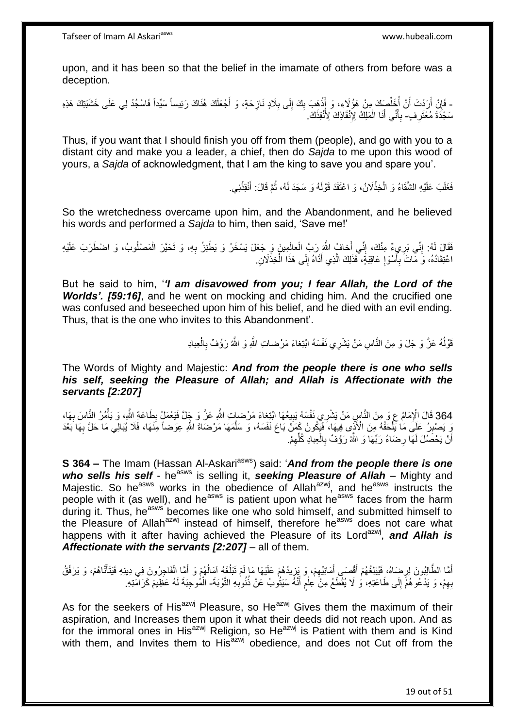upon, and it has been so that the belief in the imamate of others from before was a deception.

- فَإِنْ أَرَدْتَ أَنْ أُخَلُّصِكَ مِنْ هَؤُلاَءِ، وَ أَذْهَبَ بِكَ إِلَى بِلَادٍ نَازِحَةٍ، وَ أَجْعَلَكَ هُذَكَ رَئِيساً سَيِّداً فَاسْجُدْ لِي عَلَى خَشَبَتِكَ هَذِهِ َ **∶** ِ  $\frac{1}{2}$ ِ **ٔ** َ ِّ :<br>ا اُ َ سَجْدَةَ مُعْتَرِ فٍ- بِأَنِّي أَنَا الْمَلِكُ لِإِنْقَاذِكَ لِأُنْقِذَكَ. **∶** ْ َ **∶** 

Thus, if you want that I should finish you off from them (people), and go with you to a distant city and make you a leader, a chief, then do *Sajda* to me upon this wood of yours, a *Sajda* of acknowledgment, that I am the king to save you and spare you'.

> فَغَلَبَ عَلَيْهِ الشَّقَاءُ وَ الْخِذْلَانُ، وَ اعْتَقَدَ قَوْلَهُ وَ سَجَدَ لَهُ، ثُمَّ قَالَ: أَنْقِدْنِي. **ٔ** َ ان<br>المقامات **ٔ** ْ

So the wretchedness overcame upon him, and the Abandonment, and he believed his words and performed a *Sajda* to him, then said, 'Save me!'

فَقَالَ لَهُ: إِنِّي بَرِيءٌ مِنْكَ، إِنِّي أَخافُ اللَّهَ رَبَّ الْعالَمِينَ وَ جَعَلَ يَسْخَرُ وَ يَطْنِزُ بِهِ، وَ تَحَيَّرَ الْمَصْلُوبُ، وَ اضْطَرَبَ عَلَيْهِ<br>وَمَرَاهُ إِنِّي بَرِيءٌ مِنْ سَبِّئَةٍ وَيَنْسَعُ وَيَعْ ِ ْ ِ ْ ِ اعْتِقَادُهُ، وَ مَّاتَ بِأَسْوَإِ عَاقِبَةٍ، ۖ فَذَلِكَ الَّذِي أَدَّاهُ إِلَى هَذَا الْخِذْلَانِ. **ٔ** ْ ِ َ ه ِ َ ِ

But he said to him, '*'I am disavowed from you; I fear Allah, the Lord of the Worlds'. [59:16]*, and he went on mocking and chiding him. And the crucified one was confused and beseeched upon him of his belief, and he died with an evil ending. Thus, that is the one who invites to this Abandonment'.

> قَوْلُهُ عَزَّ وَ جَلَ وَ مِنَ النَّاسِ مَنْ يَشْرِي نَفْسَهُ ابْنِغاءَ مَرْضىاتِ اللَّهِ وَ اللَّهُ رَؤُفٌ بِالْعِبادِ ا<br>ا ْ ِ

The Words of Mighty and Majestic: *And from the people there is one who sells his self, seeking the Pleasure of Allah; and Allah is Affectionate with the servants [2:207]*

364 قَالَ الْإِمَامُ عِ وَ مِنَ النَّاسِ مَنْ يَشْرِي نَفْسَهُ بَيِيعُهَا ابْتِغاءَ مَرْضياتِ اللَّهِ عَزَّ وَ جَالَّ فَيَعْمَلُ بِطَاعَةِ اللَّهِ، وَ يَأْمُرُ النَّاسَ بِهَا، ِ ِ ا<br>ا ِ رَ يَصْبِرُ عَلَى مَا يَلْحَقُهُ مِنَ الْأَنِّي فِيهَا، فَيَكُونُ كَمَنْ بَاعَ نَفْسَهُ، وَ سَلَّمَهَا مَرْضَاةَ اللَّهِ عِوَضاً مِنْهَا، فَلَا يُبَالِّي مَا حَلَّ بِهَا بَعْدَ ِ ه **∶** أَنْ يَحْصُلُ لَهَا رِضَاءُ رَبِّهَا وَ اللَّهُ رَؤُفٌ بِالْعِبادِ كُلِّهِمْ. ِ ِّ ْ ِ ِ ا<br>ا

**S 364 –** The Imam (Hassan Al-Askari<sup>asws</sup>) said: 'And from the people there is one who sells his self - he<sup>asws</sup> is selling it, seeking Pleasure of Allah – Mighty and Majestic. So he<sup>asws</sup> works in the obedience of Allah<sup>azwj</sup>, and he<sup>asws</sup> instructs the people with it (as well), and he<sup>asws</sup> is patient upon what he<sup>asws</sup> faces from the harm during it. Thus, he<sup>asws</sup> becomes like one who sold himself, and submitted himself to the Pleasure of Allah<sup>azwj</sup> instead of himself, therefore he<sup>asws</sup> does not care what happens with it after having achieved the Pleasure of its Lord<sup>azwj</sup>, and Allah is *Affectionate with the servants [2:207]* – all of them.

أَمَّا الطَّالِبُونَ لِرِضَاهُ، فَيُبْلِغُهُمْ أَقْصَى أَمَانِيِّهِمْ، وَ يَزِيدُهُمْ عَلَيْهَا مَا لَمْ تَبْلُغْهُ آمَالُهُمْ وَ أَمَّا الْفَاجِرُونَ فِي دِينِهِ فَيَتَأَنَّاهُمْ، وَ يَرْفُقُ ُ ُ ֦֧֦֧ ِ َ ِ ْ َ َ بِهِمْ، وَ يَدْعُو هُمَّ إِلَى طَاعَتِهِ، وَ لَا يُقْطَعُ مِنْ عِلْمٍ أَنَّهُ سَيَتُوبُ عَنْ ذُنُوبِهِ التَّوْبَةَ- الْمُوجِبَةَ لَهُ عَظِيمَ كَرَامَتِهِ. ِ َ ֧֖֧֚֚֓֝֝֝ ْ  $\frac{1}{2}$ ِ ْ

As for the seekers of His<sup>azwj</sup> Pleasure, so He<sup>azwj</sup> Gives them the maximum of their aspiration, and Increases them upon it what their deeds did not reach upon. And as for the immoral ones in His<sup>azwj</sup> Religion, so He<sup>azwj</sup> is Patient with them and is Kind with them, and Invites them to His $a^{2x}$ <sup>y</sup> obedience, and does not Cut off from the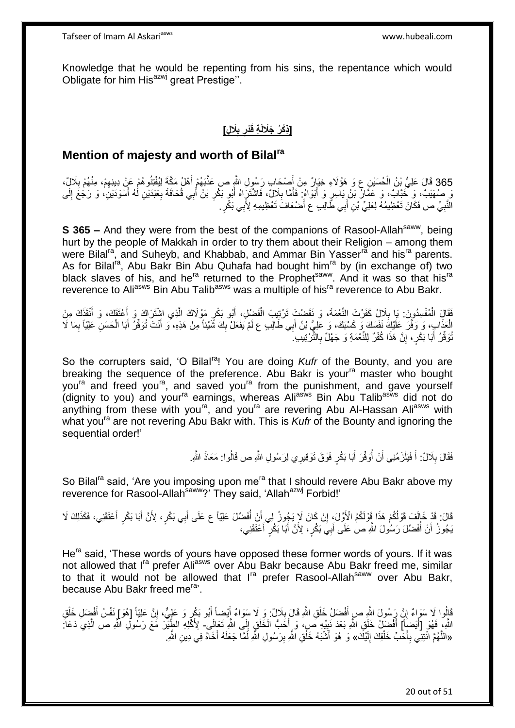Knowledge that he would be repenting from his sins, the repentance which would Obligate for him His<sup>azwj</sup> great Prestige".

#### **َال ٍل ب ْدر ِة قَ ]ِذ [ ْكُر َجَاللَ ِ ِ**

#### **Mention of majesty and worth of Bilalra**

365 قَالَ عَلِيُّ بْنُ الْحُسَيْنِ عِ وَ هَؤُلَاءِ خِيَارٌ مِنْ أَصْحَابٍ رَسُولِ اللَّهِ ص عَذَّبَهُمْ أَهْلُ مَكَّةَ لِيُفْتِنُوهُمْ عَنْ دِينِهِمْ، مِنْهُمْ بِلَالٍّ، **∶** َ َ ْ وَ صُهَيْبٌ، وَ خَبَّابٌ، وَ عَمَّارُ بْنُ يَاسِرٍ وَ أَبَوَاهُ ۖ فَأَمَّا بِلَالٌ، فَاشْتَرَاهُ أَبُو بَكْرِ بْنُ أَبِي قُحَافَةَ بِعَبْدَيْنِ لَٰهُ أَسْوَدَيْنِ، وَ رَجُعَ إِلَى َ ِ َ **∶** َ ِ ِ َ الَّنَّبِيِّ ص فَكَانَ تَعْظِيمُهُ لِعَلِيِّ بْنِ أَبِي طَّالِبِ ع أَصْعَافَ تَعْظِيمِهِ لِأَبِي بَكْرٍ . َ َ **∶** 

**S 365 –** And they were from the best of the companions of Rasool-Allah<sup>saww</sup>, being hurt by the people of Makkah in order to try them about their Religion – among them were Bilal<sup>ra</sup>, and Suheyb, and Khabbab, and Ammar Bin Yasser<sup>ra</sup> and his<sup>ra</sup> parents. As for Bilal<sup>ra</sup>, Abu Bakr Bin Abu Quhafa had bought him<sup>ra</sup> by (in exchange of) two black slaves of his, and he<sup>ra</sup> returned to the Prophet<sup>saww</sup>. And it was so that his<sup>ra</sup> reverence to Ali<sup>asws</sup> Bin Abu Talib<sup>asws</sup> was a multiple of his<sup>ra</sup> reverence to Abu Bakr.

فَقَالَ الْمُفْسِدُونَ: يَا بِلَالٍ، كَفَرْتَ النَّعْمَةَ، وَ نَقَضْتَ تَرْتِيبَ الْفَضْلِ، أَبُو بَكْرٍ مَوْلَاكَ الَّذِي اشْتَرَاكَ وَ أَعْتَقَكَ، وَ أَنْقَذَكَ مِنَ ْ ِ ْ َ َ ه الْعَذَابِ، وَ وَفَّرَ عَلَيْكَ نَفْسَكَ وَ كَسْبَكَ، وَ عَلِيُّ بْنُ أَبِي طَالِبِ ع لَمْ يَفْعَلْ بِكَ شَّيْئاً مِنْ هَذِهِ، وَ أَنْتَ تُوَفِّرُ أَبَا الْحَسَنِ عَلِيِّاً بِمَا لَا<br>الصَّنْبُ وَ اللَّهَ الْحَسَنِ عَلَيْا ِ ْ ِ ْ َ َ تُوَقِّرُ ۚ أَبَا بَكْرٍ ، إِنَّ هَذَا كُفْرٌ لِلنِّعْمَةِ وَ جَهْلٌ بِالثَّرْنِيبِ ِ ۖ َ ِ יֲ<br>י

So the corrupters said, 'O Bilal<sup>ra</sup>! You are doing *Kufr* of the Bounty, and you are breaking the sequence of the preference. Abu Bakr is your<sup>ra</sup> master who bought you<sup>ra</sup> and freed you<sup>ra</sup>, and saved you<sup>ra</sup> from the punishment, and gave yourself (dignity to you) and your<sup>ra</sup> earnings, whereas Ali<sup>asws</sup> Bin Abu Talib<sup>asws</sup> did not do anything from these with you<sup>ra</sup>, and you<sup>ra</sup> are revering Abu Al-Hassan Ali<sup>asws</sup> with what you<sup>ra</sup> are not revering Abu Bakr with. This is *Kufr* of the Bounty and ignoring the sequential order!'

> فَقَالَ بِلَالٌ: أَ فَيَلْزَمُنِي أَنْ أُوَقِّرَ أَبَا بَكْرٍ فَوْقَ تَوْقِيرِي لِرَسُولِ اللَّهِ ص قَالُوا: مَعَاذَ اللَّهِ. ُ ْ َ ِ

So Bilal<sup>ra</sup> said, 'Are you imposing upon me<sup>ra</sup> that I should revere Abu Bakr above my reverence for Rasool-Allah<sup>saww</sup>?' They said, 'Allah<sup>azwj</sup> Forbid!'

قَالَ: قَدْ خَالَفَ قَوْلُكُمْ هَذَا قَوْلَكُمُ الْأَوَّلَ، إِنْ كَانَ لَإِ يَجُوزُ لِي أَنْ أُفَضِّلَ عَلِيّاً ع عَلَى أَبِي بَكْرٍ ، لِأَنَّ أَبَا بَكْرٍ أَعْتَقَنِي، فَكَذَلِكَ لَا َ ُ اُ ِ َ َ يَجُوزُ أَنْ أُفَضِّلَ رَسُولَ اللَّهِ صِ عَلَى أَبِيَ بَكْرٍ ، لِأَنَّ أَبَا بَكْرٍ ۖ أَعْنَقَنِي، َ َ َ ُ اُ

He<sup>ra</sup> said. 'These words of yours have opposed these former words of yours. If it was not allowed that I<sup>ra</sup> prefer Ali<sup>asws</sup> over Abu Bakr because Abu Bakr freed me, similar to that it would not be allowed that I<sup>ra</sup> prefer Rasool-Allah<sup>saww</sup> over Abu Bakr, because Abu Bakr freed me<sup>ra</sup>'.

قَالُوا لَا سَوَاءٌ إِنَّ رَسُولَ اللَّهِ صرِ أَفْضَلُ خَلْقِ اللَّهِ قَالَ بِلَالٌ ۚ وَ لَا سَوَاءٌ أَيْضِاً أَبُو بَكْرٍ وَ عَلِيٍّ، إِنَّ عَلِيَّاً [هُوَ] نَفْسُ أَفْضِلِ خَلْقِ َ ِ ْ َ <u>֖֚֚֚֚֚֚֚֚֓</u> ْ َ ِ َ اللَّهِ، فَهُوَ [أَيْضِأَ] أَفْضَالُ خَلْقِ اللَّهِ بَعْدَ نَبِيِّهِ صِّي، وَ أَخَبُّ الْخَلْقِ إِلَى اللَّهِ تَعَالِى- لِأَكْلِهِ الطَّيْرَ مَعَ رَسُولِ اللَّهِ ص الَّذِي دَعَا: ِ ْ ْ َ **!** ْ َ َ ه «اللَّهُمَّ ائْتِنِي بِأَحَدٌّ خَلْقِكَ إِلَيْكَ» وَ هُوَ أَشْبَهُ خَلْقِ الثَّهِ بِرَسُولِ الثَّهِ لَمَّا جَعَلَهُ أَخَاهُ فِي دِينِ الثَّهِ. َ ِ َ لَ  $\frac{1}{2}$ َ **∶** ْ ه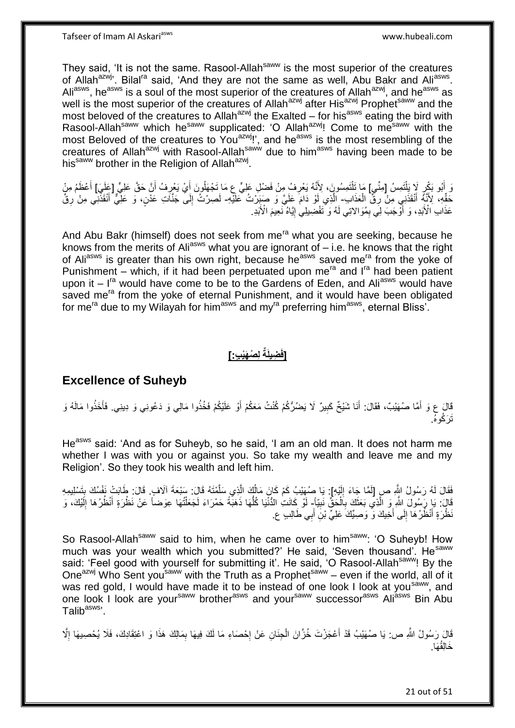They said, 'It is not the same. Rasool-Allah<sup>saww</sup> is the most superior of the creatures of Allah<sup>azwj</sup>'. Bilal<sup>ra</sup> said, 'And they are not the same as well, Abu Bakr and Ali<sup>asws</sup>. Aliasws, he<sup>asws</sup> is a soul of the most superior of the creatures of Allah<sup>azwj</sup>, and he<sup>asws</sup> as well is the most superior of the creatures of Allah<sup>azwj</sup> after His<sup>azwj</sup> Prophet<sup>saww</sup> and the most beloved of the creatures to Allah<sup>azwj</sup> the Exalted – for his<sup>asws</sup> eating the bird with Rasool-Allah<sup>saww</sup> which he<sup>saww</sup> supplicated: 'O Allah<sup>azwj</sup>! Come to me<sup>saww</sup> with the most Beloved of the creatures to You<sup>azwj</sup>!', and he<sup>asws</sup> is the most resembling of the creatures of Allah<sup>azwj</sup> with Rasool-Allah<sup>saww</sup> due to him<sup>asws</sup> having been made to be his<sup>saww</sup> brother in the Religion of Allah<sup>azwj</sup>.

وَ أَبُو بَكْرٍ لَإِ يَلْتَمِسُ [مِنِّي] مَا نَلْتَمِسُونَ، لِأَنَّهُ يَعْرِفُ مِنْ فَضْلِ عَلِيٍّ عِ مَا تَجْهَلُونَ أَيْ يَعْرِفُ أَنَّ حَقَّ عَلِيٍّ [عَلَيَ] أَعْظَمُ مِنْ ْ اُ ِ َ ِ َ حَقِّهِ، لِأَنَّهُ أَنْقَذَنِي مِنْ رِقَّ الْعَذَاب- اِلَّذِي أَوْ دَامَ عَلَيَّ وَ صَبَدَرْتُ عَلَيْهِ- لَصرْتُ إِلَى جَنَّاتِ عَدْنٍ، وَ عَلِّيٌّ أَنْقَذَنِي مِنْ رِقٌّ ْ **∶** َ ِ َ ِ لَ عَذَابِ الْأَبَدِ، وَ أَوَّجَبَ لِيِّ بِمُوَالاتِي لَهُ وَ تَفْضِيلِي إِيَّاهُ نَعِيمَ الْأَبَدِ. ِ ا<br>ا ֖֧֓<u>֚֓</u>֚֚֓

And Abu Bakr (himself) does not seek from me<sup>ra</sup> what you are seeking, because he knows from the merits of Ali<sup>asws</sup> what you are ignorant of – i.e. he knows that the right of Ali<sup>asws</sup> is greater than his own right, because he<sup>asws</sup> saved me<sup>ra</sup> from the yoke of Punishment – which, if it had been perpetuated upon me<sup>ra</sup> and  $I<sup>ra</sup>$  had been patient upon it  $I<sup>ra</sup>$  would have come to be to the Gardens of Eden, and Ali<sup>asws</sup> would have saved me<sup>ra</sup> from the yoke of eternal Punishment, and it would have been obligated for mera due to my Wilayah for himasws and myra preferring himasws, eternal Bliss'.

## **[**فَضِيلَةٌ لِصُهَيْبٍ **: ]**

### **Excellence of Suheyb**

قَالَ ع وَ أَمَّا صُهَيْبٌ، فَقَالَ: أَنَا شَيْخٌ كَبِيرٌ لَا يَضُرُّكُمْ كُنْتُ مَعَكُمْ أَوْ عَلَيْكُمْ فَخُذُوا مَالِي وَ دَعُونِي وَ دِينِي. فَأَخَذُوا مَالَهُ وَ َ **!** َ َ َت َر ُكوه.ُ

He<sup>asws</sup> said: 'And as for Suheyb, so he said, 'I am an old man. It does not harm me whether I was with you or against you. So take my wealth and leave me and my Religion'. So they took his wealth and left him.

فَقَالَ لَهُ رَسُولُ اللَّهِ صِ [لَمَّا جَاءَ إِلَيْهِ]. يَا صُهَيْبُ كَمْ كَانَ مَالُكَ الَّذِي سَلَّمْتَهُ قَالَ. سَنْعَةَ آلَافٍ قَالَ: طَابَتْ نَفْسُكَ بِتَسْلِيمِهِ لَ  $\frac{1}{2}$ ِ ه ه اُ ِ قَالَ: يَا رَسُولَ الثَّهِ وَ الَّذِي بَعَثَكَ بِأَلْحَقٌ نَبِيّاً- لَوْ كَانَتِ الدُّنْيَا كُلُّهَا ذَهَبَّةً حَمْرَاءَ لَجَعَلْتُها عِوَضاً عَنْ نَظْرَةٍ أَنْظُرُهَا إِلَيْكَ، وَ َ ه **!** لَ ِ َ ْ ُّ لَ َظْرَةٍ أَنْظُرُهَا إِلَى أَخِيكَ وَ وَصِيِّكَ عَلِيٍّ بْنِ أَبِي طَالِبٍ ع ِ َ ِ َ

So Rasool-Allah<sup>saww</sup> said to him, when he came over to him<sup>saww</sup>: 'O Suheyb! How much was your wealth which you submitted?' He said, 'Seven thousand'. He<sup>saww</sup> said: 'Feel good with yourself for submitting it'. He said, 'O Rasool-Allah<sup>saww</sup>! By the One<sup>azwj</sup> Who Sent you<sup>saww</sup> with the Truth as a Prophet<sup>saww</sup> – even if the world, all of it was red gold, I would have made it to be instead of one look I look at you<sup>saww</sup>, and one look I look are your<sup>saww</sup> brother<sup>asws</sup> and your<sup>saww</sup> successor<sup>asws</sup> Ali<sup>asws</sup> Bin Abu Talib<sup>asws</sup>'.

لَا رَسُولُ اللَّهِ ص: يَا صُهَيْبُ قَدْ أَعْجَزْتَ خُزَّانَ الْجِنَانِ عَنْ إِحْصَاءِ مَا لَكَ فِيهَا بِمَالِكَ هَذَا وَ اعْتِقَادِكَ، فَلَا يُحْصِيهَا إِلَّا ِ ِ **∶** ْ َ خَالِقُهَا.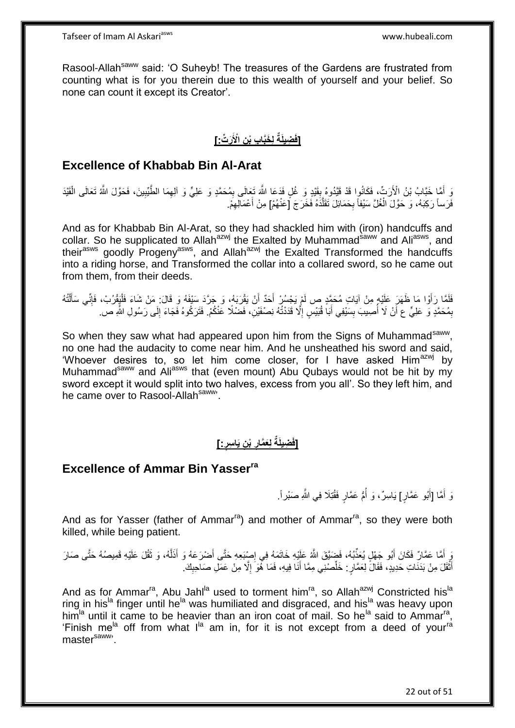Rasool-Allah<sup>saww</sup> said: 'O Suheyb! The treasures of the Gardens are frustrated from counting what is for you therein due to this wealth of yourself and your belief. So none can count it except its Creator'.

# **[فَضِيلَةٌ لِخَبَّابِ بْنِ الْأَرَتِّ:]**

### **Excellence of Khabbab Bin Al-Arat**

وَ أَمَّا خَبَّابُ بْنُ الْأَرَتِّ، فَكَانُوا قَدْ قَيَّدُوهُ بِقَيْدٍ وَ غُلٍ فَدَعَا اللَّهَ تَعَالَى بِمُحَمَّدٍ وَ عَلِيٍّ وَ الْهِمَا الطَّيِّبِينَ، فَحَوَّلَ اللَّهُ تَعَالَى الْقَيْدَ **!** ِ ْ ِ ِ فَرَساً رَكِبَهُ، وَ حَوَّلَ الْغُلَّ سَيْفاً بِحَمَائِلَ تَقَلَّدَهُ فَخَرَجَ [عَنْهُمْ] مِنْ أَعْمَالِهِمْ. ه ِ ْ ِ َ

And as for Khabbab Bin Al-Arat, so they had shackled him with (iron) handcuffs and collar. So he supplicated to Allah<sup>azwj</sup> the Exalted by Muhammad<sup>saww</sup> and Ali<sup>asws</sup>, and their<sup>asws</sup> goodly Progeny<sup>asws</sup>, and Allah<sup>azwj</sup> the Exalted Transformed the handcuffs into a riding horse, and Transformed the collar into a collared sword, so he came out from them, from their deeds.

فَلَمَّا رَأَوْا مَا ظَهَرَ عَلَيْهِ مِنْ آيَاتِ مُحَمَّدٍ ص لَمْ يَجْسُرْ أَحَدٌ أَنْ يَقْرَبَهُ، وَ جَرَّدَ سَبْفَهُ وَ قَالَ: مَنْ شَاءَ فَلْيَقْرُبْ، فَإِنِّي سَأَلْتُهُ َ َ َ ْ ĺ  $\frac{1}{2}$ ْ بِمُحَمَّدٍ وَ عَلِيٍّ عِ أَنْ لَا أُصِيبَ بِسَيْفِي أَبَا قُبَيْسٍ إِلَّا قَدَدْتُهُ نِصْفَيْنِ، فَضْلًا عَنْكُمْ. فَثَرَكُوهُ فَجَاءَ إِلَى رَسُولِ اللَّهِ ص. ِ َ **ِ** ُ َ ِ ِ

So when they saw what had appeared upon him from the Signs of Muhammad<sup>saww</sup>, no one had the audacity to come near him. And he unsheathed his sword and said, 'Whoever desires to, so let him come closer, for I have asked Him<sup>azwj</sup> by Muhammad<sup>saww</sup> and Ali<sup>asws</sup> that (even mount) Abu Qubays would not be hit by my sword except it would split into two halves, excess from you all'. So they left him, and he came over to Rasool-Allah<sup>saww</sup>.

#### **]:ٍ ِن َيا ِسر ْب لَِعَّمار ِضيلَةٌ ]فَ ِ**

### **Excellence of Ammar Bin Yasserra**

وَ أَمَّا [أَبُو عَمَّارٍ] يَاسِرٌ، وَ أُمُّ عَمَّارٍ فَقُٰتِلَا فِي الثَّهِ صَبْراً. ا<br>ا َ َ

And as for Yasser (father of Ammar<sup>ra</sup>) and mother of Ammar<sup>ra</sup>, so they were both killed, while being patient.

يَ أَمَّا عَمَّارٌ فَكَانَ أَبُو جَهْلٍ يُعَذِّبُهُ، فَضِيَّقَ اللَّهُ عَلِيْهِ خَاتَمَهُ فِي إِصْبَعِهِ حَتَّى أَضْرَعَهُ وَ أَذَلَّهُ، وَ ثَقُلَ عَلَيْهِ قَمِيصُهُ حَتَّى صَارَ َ ِ َ َ ه َ أَثْقَلَ مِنْ بَدَنَاتِ حَدِيدٍ، فَقَالَ لِعَمَّارٍ . خَلِّصْنِي مِمَّا أَنَا فِيهِ، فَمَا هُوَ ۖ إِلَّا مِنْ عَمَلِ صَاحِبِكَ ِ ْ َ ِ ِ َ ِّ

And as for Ammar<sup>ra</sup>, Abu Jahl<sup>la</sup> used to torment him<sup>ra</sup>, so Allah<sup>azwj</sup> Constricted his<sup>la</sup> ring in his<sup>la</sup> finger until he<sup>la</sup> was humiliated and disgraced, and his<sup>la</sup> was heavy upon him<sup>la</sup> until it came to be heavier than an iron coat of mail. So he<sup>la</sup> said to Ammar<sup>ra</sup>, 'Finish me<sup>la</sup> off from what I<sup>la</sup> am in, for it is not except from a deed of your<sup>ra</sup> master<sup>saww,</sup>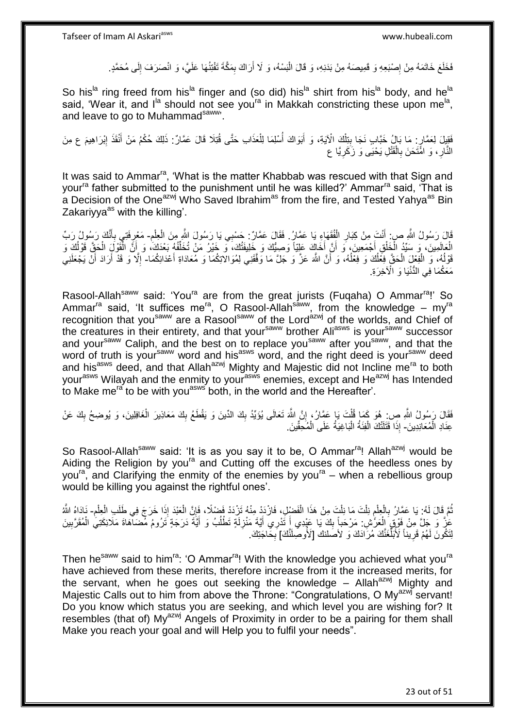فَخَلَعَ خَاتَمَهُ مِنْ إِصْبَعِهِ وَ قَمِيصَهُ مِنْ بَدَنِهِ، وَ قَالَ الْبَسْهُ، وَ لَا أَرَاكَ بِمَكَّةَ تَفْتِنُهَا عَلَيَّ، وَ انْصَرَفَ إِلَى مُحَمَّدٍ. ِ َ :<br>ا ِ ِ

So his<sup>la</sup> ring freed from his<sup>la</sup> finger and (so did) his<sup>la</sup> shirt from his<sup>la</sup> body, and he<sup>la</sup> said, 'Wear it, and I<sup>la</sup> should not see you<sup>ra</sup> in Makkah constricting these upon me<sup>la</sup>, and leave to go to Muhammadsaww.

فَقِيلَ لِعَمَّارٍ. مَا بَالُ خَبَّابٍ نَجَا بِتِلْكَ الْآيَةِ، وَ أَبَوَاكَ أُسْلِمَا لِلْعَذَابِ حَتَّى قُتِلَا قَالَ عَمَّارٌ. ذَلِكَ حُكْمُ مَنْ أَنْقَذَ إِبْرَاهِيمَ ع مِنَ ْ ِ ِ َ ْ ا<br>ا َ النَّارِ ، وَ اهَّتَحَنَ بِالْقَتْلِ يَحْيَى وَ زَكَرِيَّا ع ِ ْ ِ ِ

It was said to Ammar<sup>ra</sup>, 'What is the matter Khabbab was rescued with that Sign and your<sup>ra</sup> father submitted to the punishment until he was killed?' Ammar<sup>ra</sup> said, 'That is a Decision of the One<sup>azwj</sup> Who Saved Ibrahim<sup>as</sup> from the fire, and Tested Yanya<sup>as</sup> Bin Zakariyya $^{as}$  with the killing'.

ِ قَالَ رَسُولُ اللَّهِ صِ: أَنْتَ مِنْ كِبَارِ الْفُقَهَاءِ يَا عَمَّارُ. فَقَالَ عَمَّارٌ: حَسْبِي يَا رَسُولُ اللَّهِ مِنَ الْعِلْمِ- مَعْرِفَتِي بِأَنَّكَ رَسُولُ رَبِّ َ ْ ِ ْ ْ َ ِ ِ لْعَالَمِينَ، وَ سَيِّدُ الْخَلْقِ أَجْمَعِينَ، وَ أَنَّ أَخَاكَ عَلِيّاً وَصِيُّكَ وَ خَلِيفَتُكَ، وَ خَيْرُ مَنْ تُخَلِّفُهُ بَعْدَكَ، وَ أَنَّ الْقَوْلَ الْحَقَّ قَوْلُكَ وَ<br>تَمْهُدُونَ فَي الْقَوْلَ الْحَقَّ قَوْلُكَ ِّ َ َ ْ ْ ُ ْ ْ َ قَوْلُهُ، وَ الْفِعْلَ الْحَقَّ فِعَلْكَ وَ فِعْلُهُ، وَ أَنَّ اللَّهَ عَزَّ وَ جَلَّ مَا وَقَقَنِي لِمُوَالاتِكُمَا وَ مُعَادَاةِ أَعْدَائِكُمَا- إِلَّا وَ قَدْ أَرَادَ أَنْ يَجْعَلَنِي َ اً<br>ا ُ ْ ْ ا<br>ا َ َ َ ِ مَعَكُمَا فِي الدُّنْيَا وَ الْأَخِرَةِ.

Rasool-Allah<sup>saww</sup> said: 'You<sup>ra</sup> are from the great jurists (Fuqaha) O Ammar<sup>ra</sup>!' So Ammar<sup>ra</sup> said, 'It suffices me<sup>ra</sup>, O Rasool-Allah<sup>saww</sup>, from the knowledge – my<sup>ra</sup> recognition that you<sup>saww</sup> are a Rasool<sup>saww</sup> of the Lord<sup>azwj</sup> of the worlds, and Chief of the creatures in their entirety, and that your<sup>saww</sup> brother Ali<sup>asws</sup> is your<sup>saww</sup> successor and your<sup>saww</sup> Caliph, and the best on to replace you<sup>saww</sup> after you<sup>saww</sup>, and that the word of truth is your<sup>saww</sup> word and his<sup>asws</sup> word, and the right deed is your<sup>saww</sup> deed and his<sup>asws</sup> deed, and that Allah<sup>azwj</sup> Mighty and Majestic did not Incline me<sup>ra</sup> to both your<sup>asws</sup> Wilayah and the enmity to your<sup>asws</sup> enemies, except and He<sup>azwj</sup> has Intended to Make me<sup>ra</sup> to be with you<sup>asws</sup> both, in the world and the Hereafter'.

فَقَالَ رَسُولُ اللَّهِ صِنِ هُوَ كَمَا قُلْتَ يَا عَمَّارُ ۚ إِنَّ اللَّهَ تَعَالَى يُؤَيِّدُ بِكَ الدِّينَ وَ يَقْطَعُ بِكَ مَعَاذِينَ الْغَافِلِينَ، وَ يُوضِحُ بِكَ عَنْ ِ ِ ِ ْ ِ ْ عِنَادِ الْمُعَانِدِينَ- إِذَا قَتَلَتْكَ الْفِئَةُ الْبَاغِيَةُ عَلَى الْمُحِقِّينَ. ْ ْ ا.<br>ا ْ

So Rasool-Allah<sup>saww</sup> said: 'It is as you say it to be, O Ammar<sup>ra</sup>! Allah<sup>azwj</sup> would be Aiding the Religion by you<sup>ra</sup> and Cutting off the excuses of the heedless ones by you<sup>ra</sup>, and Clarifying the enmity of the enemies by you<sup>ra</sup> – when a rebellious group would be killing you against the rightful ones'.

نُّمَّ قَالَ لَهُ: يَا عَمَّارُ بِالْعِلْمِ نِلْتَ مَا نِلْتَ مِنْ هَذَا الْفَضْلِ، فَازْدَدْ مِنْهُ تَزْدَدْ فَضْلًا، فَإِنَّ الْعَبْدَ إِذَا خَرَجَ فِي طَلَبِ الْعِلْمِ- نَادَاهُ اللَّهُ ِ ْ ْ ْ ֧֖֧֚֚֚֚֚֚֚֚֚֚֚֚֚֚֚֚֚֚֚֚֠֝֝֝֓֡֓֡֓֡֟֓֡֝֬֜֝֓ ْ ْ **∶** ُ ِ ْ ْ عَزُّ وَ جَلَّ مِنْ فَوْقٍ الْعَرَّاشِ. مَرْحَباً بِكَ يَا عَيْدِي أَ تُذْرِي أَيَّةَ مَنْزِلَةٍ تَطْلُبُ وَ أَيَّةَ دَرَجَةٍ تَرُومُ مَضَالَّهَاةَ مَلَائِكَتِي الْمُقَرَّبِينَ<br>كَيْفَ بَعَيْنَا مِنْ فَوْقٍ مَسْتَدِينَ مِن ْ ْ َ ُ لَ **ٍ** َ َ  $\frac{1}{2}$ ِ لِتَكُونَ لَهُمْ قَرِيبَاً لَأُبُلِّغَنَّكَ مُرَاّدَكَ وَ لأصلنكَ [لأُوصِلَنَّكَ] بِخَاجَتِكَ. ِّ ِ **∶** 

Then he<sup>saww</sup> said to him<sup>ra</sup>: 'O Ammar<sup>ra</sup>! With the knowledge you achieved what you<sup>ra</sup> have achieved from these merits, therefore increase from it the increased merits, for the servant, when he goes out seeking the knowledge – Allah<sup>azwj</sup> Mighty and Majestic Calls out to him from above the Throne: "Congratulations, O My<sup>azwj</sup> servant! Do you know which status you are seeking, and which level you are wishing for? It resembles (that of) My<sup>azwj</sup> Angels of Proximity in order to be a pairing for them shall Make you reach your goal and will Help you to fulfil your needs".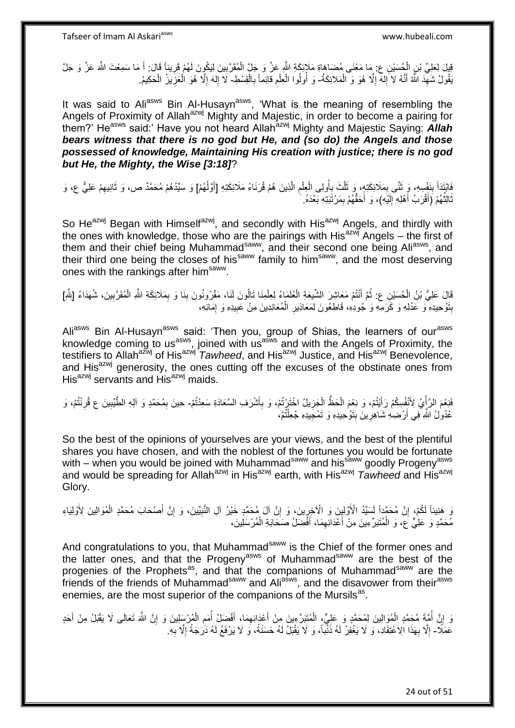يْلِ لِعَلِيِّ بْنِ الْجُسَيْنِ عِ. مَا مَعْنَى مُضَاهَاةِ مَلَإِنكَةِ اللَّهِ عَزَّ وَ جَلَّ الْمُقَرَّبِينَ لِيَكُونَ لَهُمْ قَرِيناً قَالَ: أَ مَا سَمِعْتَ اللَّهَ عَزَّ وَ جَلَّ ِ ْ ْ َ ِ يَقُولُ شَهِّدَ اللَّهُ أَنَّهُ لا َإِلهَ إِلَّا هُوَ وَ الْمَلائِكَةُ- وَ أُولُوا الْعِلْمِ قائِماً بِالْقِسْطِ- لَا إِلهَ إِلَّا هُوَ الْعَزِيزُ الْحَكِيمُ. َ ِ ْ ِ ِ ْ **∶** ِ ْ ْ ُ ْ ِ ْ ِ ِ

It was said to Ali<sup>asws</sup> Bin Al-Husayn<sup>asws</sup>, 'What is the meaning of resembling the Angels of Proximity of Allah<sup>azwj</sup> Mighty and Majestic, in order to become a pairing for them?' He<sup>asws</sup> said:' Have you not heard Allah<sup>azwj</sup> Mighty and Majestic Saying: **Allah** *bears witness that there is no god but He, and (so do) the Angels and those possessed of knowledge, Maintaining His creation with justice; there is no god but He, the Mighty, the Wise [3:18]*?

فَابْتَدَأَ بِنَفْسِهِ، وَ ثَنَّى بِمَلَائِكَتِهِ، وَ ثَلَّثَ بِأُولِى الْعِلْمِ الَّذِينَ هُمْ قُرَنَاءُ مَلَائِكَتِهِ [أَوَلَٰهُمْ] وَ سَيِّدُهُمْ مُحَمَّدٌ ص، وَ ثَانِيهِمْ عَلِيٌّ ع، وَ َ ه ِ ْ ْ ُ ِ َ ِ َ ِ ِ َ ثَالِثُهُمْ رَأَقْرَبُ أَهْلِهِ إِلَيْهِ)، وَ أَحَقَّهُمْ بِمَرْتَبَتِهِ بَعْدَهُ. ِ َ لَ יִי<br>; َ َ ُ َ

So He<sup>azwj</sup> Began with Himself<sup>azwj</sup>, and secondly with His<sup>azwj</sup> Angels, and thirdly with the ones with knowledge, those who are the pairings with His<sup>azwj</sup> Angels – the first of them and their chief being Muhammad<sup>saww</sup>, and their second one being Ali<sup>asws</sup>, and their third one being the closes of his<sup>saww</sup> family to him<sup>saww</sup>, and the most deserving ones with the rankings after him<sup>saww</sup>.

َقَالَ عَلِيُّ بْنُ الْمُسَيْنِ ع: ثُمَّ أَنْتُمْ مَعَاشِرَ الشَّيْعَةِ الْعُلَمَاءُ لِعِلْمِنَا تَالُونَ لَنَا، مَقْرُونُونَ بِنَا وَ بِمَلَائِكَةِ اللَّهِ الْمُقَرَّبِينَ، شُهَدَاءُ [بَلْهِ] َ .<br>• • • • ْ ْ ْ ِ ْ ِ ِ بِتَوْحِيدِهِ وَ عَدْلِهِ وَ كَرَمِهِ وَ جُودِهِ، قَاطِعُونَ لِمَعَاذِينِ الْمُعَانِدِينَ مِنْ عَبِيدِهِ وَ إِمَائِهِ، ِ **!** ْ ِ **ِ** 

Ali<sup>asws</sup> Bin Al-Husayn<sup>asws</sup> said: 'Then you, group of Shias, the learners of our<sup>asws</sup> knowledge coming to us<sup>asws</sup>, joined with us<sup>asws</sup> and with the Angels of Proximity, the testifiers to Allah<sup>azwj</sup> of His<sup>azwj</sup> *Tawheed*, and His<sup>azwj</sup> Justice, and His<sup>azwj</sup> Benevolence, and His<sup>azwj</sup> generosity, the ones cutting off the excuses of the obstinate ones from  $His<sup>azwj</sup>$  servants and  $His<sup>azwj</sup>$  maids.

فَنِعْمَ الرَّأْيُ لِأَنْفُسِكُمْ رَأَيْتُمْ، وَ نِعْمَ الْحَظَّ الْجَزِيلُ اخْتَرْتُمْ، وَ بِأَشْرَفِ السَّعَادَةِ سَعِدْتُمْ- حِينَ بِمُحَمَّدٍ وَ آلِهِ الطَّيِّبِينَ ع قُرِنْتُمْ، وَ اُ: ِ ِ ْ ْ َ ة<br>أ ِ ِ ِ عُدُولُ اللَّهِ فِي أَرْضِهِ شَاهِرِينَ بِتَوْحِيدِهِ وَ تَمْجِيدِهِ جُعِلْتُمْ، ْ **∶** َ

So the best of the opinions of yourselves are your views, and the best of the plentiful shares you have chosen, and with the noblest of the fortunes you would be fortunate with – when you would be joined with Muhammad<sup>saww</sup> and his<sup>saww</sup> goodly Progeny<sup>asws</sup> and would be spreading for Allah<sup>azwj</sup> in His<sup>azwj</sup> earth, with His<sup>azwj</sup> *Tawheed* and His<sup>azwj</sup> Glory.

وَ هَنِيئاً لَكُمْ، إِنَّ مُحَمَّداً لَسَيِّدُ الْأَوَّلِيِنَ وَ الْآخِرِينَ، وَ إِنَّ آلَ مُحَمَّدٍ خَيْرُ آلِ النَّبِيِّينَ، وَ إِنَّ أَصْحَابَ مُحَمَّدٍ الْمُوَالِينَ لِأَوْلِيَاءِ ِ ْ َ ِ ِ ِ ِ مُحَمَّدٍ وَ عَلِيٍّ عَ، وَ الْمُتَبَرِّءِينَ مِنْ أَعْدَائِهِمَا، أَفْضَلُ صَحَابَةِ الْمُرْسَلِينَ، ْ َ ِ َ

And congratulations to you, that Muhammad<sup>saww</sup> is the Chief of the former ones and the latter ones, and that the Progeny<sup>asws</sup> of Muhammad<sup>saww</sup> are the best of the progenies of the Prophets<sup>as</sup>, and that the companions of Muhammad<sup>saww</sup> are the friends of the friends of Muhammad<sup>saww</sup> and Ali<sup>asws</sup>, and the disavower from their<sup>asws</sup> enemies, are the most superior of the companions of the Mursils<sup>as</sup>.

وَ إِنَّ أُمَّةٍ مُحَمَّدٍ الْمُوَالِينَ لِمُحَمَّدٍ وَ عَلِيٍّ، الْمُتَبَرِّءِينَ مِنْ أَخَذَائِهِمَا، أَفْضَلُ أُمَمِ الْمُرْسَلِينَ وَ إِنَّ اللَّهَ تَعَالَى لَا يَقْبَلُ مِنْ أَحَدٍ ِ َ ْ ْ ُ <u>׀</u> َ ِ ْ ِ ُ َ عَمَلًا- إِلَّا بِهَذَا الِاعْتِقَادِ، وَ لَا يَغْفِرُ لَهُ ذَنْبَاً، وَ لَا يَقْبَلُ لَهُ حَسَنَةً، وَ لَا يَرْفَعُ لَهُ ذَرَجَةً إِلَّا بِهِ. ِ **∶** ِ ِ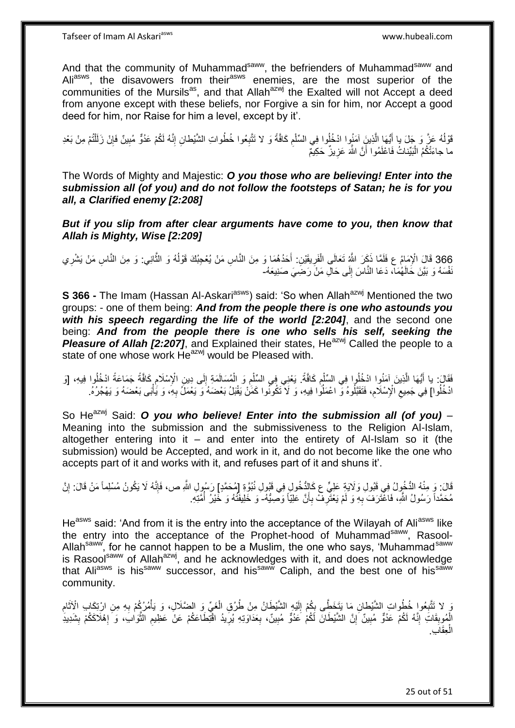And that the community of Muhammad<sup>saww</sup>, the befrienders of Muhammad<sup>saww</sup> and Ali<sup>asws</sup>, the disavowers from their<sup>asws</sup> enemies, are the most superior of the communities of the Mursils<sup>as</sup>, and that Allah<sup>azwj</sup> the Exalted will not Accept a deed from anyone except with these beliefs, nor Forgive a sin for him, nor Accept a good deed for him, nor Raise for him a level, except by it'.

قَوْلُهُ عَزَّ وَ جَلَ بِا أَيُّهَا الَّذِينَِ آمَنُوا ادْخُلُوا فِي السِّلْمِ كَافَّةً وَ لا تَتَّبِعُوا خُطُواتِ الشَّيْطانِ إِنَّهُ لَكُمْ عَدُوٌّ مُبِينٌ فَإِنْ زَلَلْتُمْ مِنْ بَعْدِ ِ ِ ِ ْ ه ∣ļ ِ ْ لَ ما جاءَتْكُمُ الْبَيِّناتُ فَاعْلَمُوا أَنَّ اللَّهَ عَزِيزٌ حَكِيمٌ ِ َ :<br>ا

The Words of Mighty and Majestic: *O you those who are believing! Enter into the submission all (of you) and do not follow the footsteps of Satan; he is for you all, a Clarified enemy [2:208]*

*But if you slip from after clear arguments have come to you, then know that Allah is Mighty, Wise [2:209]*

366 قَالَ الْإِمَامُ عِ فَلَمَّا ذَكَرَ اللَّهُ تَعَالَى الْفَرِيقَيْنِ: أَحَدُهُمَا وَ مِنَ النَّاسِ مَنْ يُعْجِبُكَ قَوْلُهُ وَ الثَّانِي: وَ مِنَ النَّاسِ مَنْ يَشْرِي ه ا<br>ا َ ْ :<br>نا نْفْسَهُ وَ بَيَّنَ خَالَهُمَآ، دَعَا النَّاسَ إِلَى حَالِ مَنْ رَضِيَ صَنِنِعَهُ- $\frac{1}{2}$ 

**S 366 -** The Imam (Hassan Al-Askari<sup>asws</sup>) said: 'So when Allah<sup>azwj</sup> Mentioned the two groups: - one of them being: *And from the people there is one who astounds you with his speech regarding the life of the world [2:204]*, and the second one being: *And from the people there is one who sells his self, seeking the Pleasure of Allah [2:207]*, and Explained their states, He<sup>azwj</sup> Called the people to a state of one whose work  $\overline{He}^{azmj}$  would be Pleased with.

فَقَالَ: يا أَيُّهَا الَّذِينَ آمَنُوا ادْخُلُوا فِي السِّلْمِ كَافَّةً. يَعْنِي فِي السِّلْمِ وَ الْمُسَالَمَةِ إِلَى دِينِ الْإِسْلَامِ كَافَّةً جَمَاعَةً ادْخُلُوا فِيهِ، [وَ<br>فَقَالَ: يا أَيُّهَا الَّذِينَ آمَنُوا احْت ِ ْ ه َ ِ ِ ْ ِ ْ ٔ<br>ا ادْخُلُوا] فِي جَمِيعِ الْإِسْلَامِ، فَتَقَبَّلُوهُ وَ اعْمَلُوا فِيهِ، وَ لَا تَكُونُوا كَمَنْ يَقْبَلُ بَعْضَهُ وَ يَعْمَلُ بِهِ، وَ يَأْبُى بَعْضَهُ وَ يَهْجُرُهُ. ِ  $\zeta$ ْ ِ

So He<sup>azwj</sup> Said: *O you who believe! Enter into the submission all (of you) -*Meaning into the submission and the submissiveness to the Religion Al-Islam, altogether entering into it  $-$  and enter into the entirety of Al-Islam so it (the submission) would be Accepted, and work in it, and do not become like the one who accepts part of it and works with it, and refuses part of it and shuns it'.

قَالَ: وَ مِنْهُ الدُّخُولُ فِي قَبُولِ وَلَايَةِ عَلِيٍّ ع كَالِدُّخُولِ فِي قَبُولِ نُبُوَّةِ إِلَمُحَمَّدٍ] رَسُولِ اللَّهِ ص، فَإِنَّهُ لَا يَكُونُ مُسْلِماً مَنْ قَالَ: إِنَّ ِ ∣اٍ مُحَمَّداً رَسُولُ اللَّهِ، فَاعْتَرَفَ بِهِ وَ لَمْ يَعْتَرِفْ بِأَنَّ عَلِيَّاً وَصِيُّهُ- وَ خَلِيفَنَّهُ وَ خَيْرُ أُمَّتِهِ. َ **∶ ∶ ∶** ُ

He<sup>asws</sup> said: 'And from it is the entry into the acceptance of the Wilayah of Ali<sup>asws</sup> like the entry into the acceptance of the Prophet-hood of Muhammad<sup>saww</sup>, Rasool-Allah<sup>saww</sup>, for he cannot happen to be a Muslim, the one who says, 'Muhammad<sup>saww</sup> is Rasool<sup>saww</sup> of Allah<sup>azwj</sup>, and he acknowledges with it, and does not acknowledge that Aliasws is hissaww successor, and hissaww Caliph, and the best one of hissaww community.

وَ لا تَتَّبِعُوا خُطُواتِ الشَّيْطانِ مَا يَتَخَطَّى بِكُمْ إِلَيْهِ الشَّيْطَانُ مِنْ طُرُقِ الْغَيِّ وَ الضَّلَالِ، وَ يَأْمُرُكُمْ بِهِ مِنِ ارْتِكَابِ الْإِثَامِ **∶** ِ í ِ ْ ْ لَ ِ ِ الْمُوبِقَاتَ إِنَّهُ لَكُمْ عَدُوٌّ مُبِينٌ ۗ إِنَّ الشَّيْطَانَ لَكُمْ عَدُوٌّ مُبِينٌ، بِعَدَاوَتِهِ يُرِيدُ اقْتِطَاعَكُمْ عَنْ عَظِيم الثَّوَابَ، وَ َإِهْلَاكَكُمْ بِشَدِيدِ ِ ِ ِ ِ ِ ِ ا<br>ا ه ِ ِ **∶** مِقَاب*ِ* ْ ال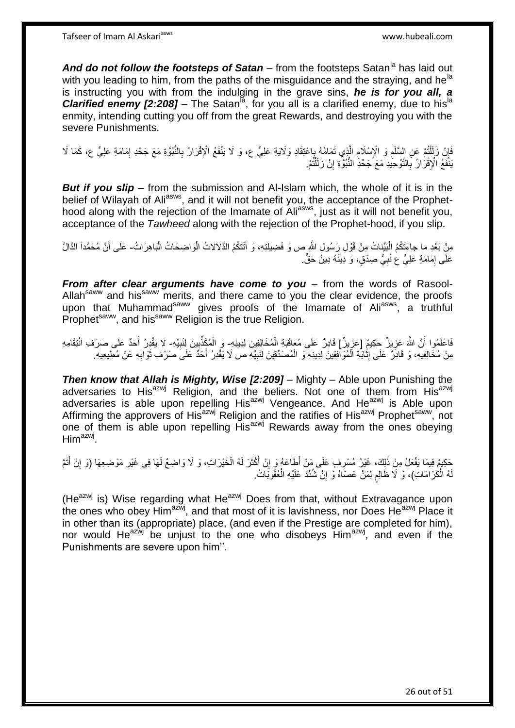And do not follow the footsteps of Satan – from the footsteps Satan<sup>la</sup> has laid out with you leading to him, from the paths of the misguidance and the straying, and he<sup>la</sup> is instructing you with from the indulging in the grave sins, *he is for you all, a*  **Clarified enemy [2:208]** – The Satan<sup>[a]</sup>, for you all is a clarified enemy, due to his<sup>1a</sup> enmity, intending cutting you off from the great Rewards, and destroying you with the severe Punishments.

َفَإِنْ زَلَمْلُتُمْ عَنِ السَّلَمِ وَ الْإِسْلَامِ الَّذِي تَمَامُهُ بِإعْتِقَادِ وَلَايَةِ عَلِيٍّ ع، وَ لَا يَنْفَعُ الْإِقْرَارُ بِالنُّبُوَّةِ مَعَ جَحْدِ إِمَامَةِ عَلِيٍّ ع، كَمَا لَا ֺ֦֧֦֦֧֦֧֦֦֧֦֧֦֪֦֧֦֪֦֪֦֪֦֪֦֪֦֧֦֪֦֪֪֦֪֪֦֝֟֟֟֟֟֟֟֟֟֟֟֟֟֟֟֟֟֟֟֟֟֓֟֟֟֓֟֓֟֓֕֟֓֟֓֟֓֟֓֟֓֟֟֓֟֟֓֟֟֟֟֟֟֟֟ ِ **∶** ِ ه ِ ِ ِ َبْنُفَعُ الْإِقْرَارُ بِالتَّوْحِيدِ مَعَ جَحْدِ النُّبُوَّةِ إِنْ زَلَلْتُمْ. ْ **׀ ∶** 

*But if you slip* – from the submission and Al-Islam which, the whole of it is in the belief of Wilayah of Ali<sup>asws</sup>, and it will not benefit you, the acceptance of the Prophethood along with the rejection of the Imamate of Aliasws, just as it will not benefit you, acceptance of the *Tawheed* along with the rejection of the Prophet-hood, if you slip.

مِنْ بَعْدِ ما جاءَتْكُمُ الْبَيِّناتُ مِنْ قَوْلِ رَسُولِ اللَّهِ ص وَ فَضِيلَتِهِ، وَ أَتَتْكُمُ الذَّلاثُ الْوَاضِحَاتُ الْبَاهِرَاتُ- عَلَى أَنَّ مُحَمَّداً الذَّالَّ ْ ْ َ َ عَلَى إِمَامَةِ عَلِيٍّ عَ نَبِيُّ صِدْقٍ، وَ دِينَهُ دِينُ حَقٍّ. ِ ِ

*From after clear arguments have come to you* – from the words of Rasool-Allah<sup>saww</sup> and his<sup>saww</sup> merits, and there came to you the clear evidence, the proofs upon that Muhammad<sup>saww</sup> gives proofs of the Imamate of Ali<sup>asws</sup>, a truthful **Prophet<sup>saww</sup>, and his<sup>saww</sup> Religion is the true Religion.** 

اً فَاعْلَمُوا أَنَّ اللَّهَ عَزِيزٌ حَكِيمٌ [عَزِيزٌ] قَادِرٌ عَلَى مُعَاقَبَةِ الْمُخَالِفِينَ لِدِينِهِ- وَ الْمُكَذِّبِينَ لِنَبِيِّهِ- لَا يَقْدِرُ أَحَدٌ عَلَى صَرْفِ انْتِقَامِهِ **∶** ْ ِ ِ ¦ َ مِنْ مُخَالِفِيهِ، وَ قَادِرٌ عَلَى إِثَّابَةِ الْمُوَافِقِينَ لِدِينِهِ وَ الْمُصَدِّقِينَ لِنَبِيِّهِ ص لَا يَقْدِرُ أَحَدٌ عَلَى صَرْفِ ثَوَابِهِ عَنْ مُطِيعِيهِ. ْ ْ َ ِ **∶** َ َ ِ

**Then know that Allah is Mighty, Wise [2:209] – Mighty – Able upon Punishing the** adversaries to His<sup>azwj</sup> Religion, and the beliers. Not one of them from His<sup>azwj</sup> adversaries is able upon repelling His<sup>azwj</sup> Vengeance. And He<sup>azwj</sup> is Able upon Affirming the approvers of His<sup>azwj</sup> Religion and the ratifies of His<sup>azwj</sup> Prophet<sup>saww</sup>, not one of them is able upon repelling His<sup>azwj</sup> Rewards away from the ones obeying  $\mathsf{Him}^{\mathsf{azwj}}.$ 

َحْكِيمٌ فِيمَا يَفْعَلُ مِنْ ذَلِكَ، غَيْرُ مُسْرِفٍ عَلَى مَنْ أَطَاعَهُ وَ إِنْ أَكْثَرَ لَهُ الْخَيْرَاتِ، وَ لَا وَاضِعٌ لَهَا فِي غَيْرِ مَوْضِعِهَا (وَ إِنْ أَتَمَّ ِ ْ َ َ ֧<u>׀</u> **∶** َ ِ هُ الْكُرَامَاتِ)، وَ لَا ظَالِم لِمَنْ عَصَاهُ وَ إِنْ شُدِّدَ عَلَيْهِ الْعُقُوبَاتُ. ْ ِ ٍ ْ لَ

(He<sup>azwj</sup> is) Wise regarding what He<sup>azwj</sup> Does from that, without Extravagance upon the ones who obey Him<sup>azwj</sup>, and that most of it is lavishness, nor Does He<sup>azwj</sup> Place it in other than its (appropriate) place, (and even if the Prestige are completed for him), nor would He<sup>azwj</sup> be unjust to the one who disobeys Him<sup>azwj</sup>, and even if the Punishments are severe upon him''.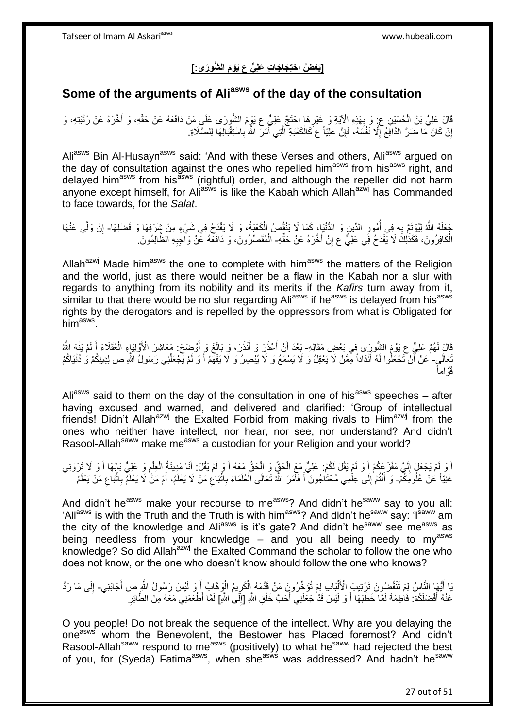## **]َبْع ُض ا ْحتِ َجا َجا ِت َعلِ ٍّي ع َيْو َم ال ُّشو َرى:[**

### **Some of the arguments of Aliasws of the day of the consultation**

َّفَالَ عَلِيُّ بْنُ الْحُسَيْنِ عِ ٍ وَ بِهَذِهِ الْآيَةِ وَ غَيْرِهَا اخْتَجَّ عَلِيٍّ ع يَوْمَ الشُّورَى عَلَيِ مَنْ دَافَعَهُ عَنْ حَقِّهِ، وَ أَخَّرَهُ عَنْ رُتْبَتِهِ، وَ َ **∶ ∶** إِنْ كَانَ مَا ضَرَّ الدَّافِعُ إِلَّا نَفْسَهُ، فَإِنَّ عَلِيّاً عَ كَالْكَعْبَةِ الَّتِي أَمَرَ اللَّهُ بِاسْتِقْبَالِهَا لِلصَّلَاةِ. ِ َ ه ْ ِ ِ <u>֖֚֚֚֚֚֚֚֓</u>

Aliasws Bin Al-Husayn<sup>asws</sup> said: 'And with these Verses and others, Aliasws argued on the day of consultation against the ones who repelled him<sup>asws</sup> from his<sup>asws</sup> right, and delayed him<sup>asws</sup> from his<sup>asws</sup> (rightful) order, and although the repeller did not harm anyone except himself, for Aliasws is like the Kabah which Allahazwi has Commanded to face towards, for the *Salat*.

جَعَلَهُ اللَّهُ لِيُؤْتَمَّ بِهِ فِي أُمُورِ الدِّينِ وَ الدُّنْيَا، كَمَا لَا يَنْقُصُ الْكَعْيَةُ، وَ لَا يَقْدَحُ فِي شَيْءٍ مِنْ شَرَفِهَا وَ فَضْلِهَا- إِنْ وَلَّى عَنْهَا ْ ِ ا<br>ا ِ ِ الْكَافِرُونَ، فَكَذَٰلِكَ لَا يَّقْدَحُ فِي عَلِيٍّ ع إِنْ أَخَّرَهُ عَنْ حَقِّهِ- الْمُقَصِّرُونَ، وَ دَافَعَهُ عَنْ وَالْجِبِهِ الظَّالِمُونَ ِ ِ ْ ِ ْ

Allah<sup>azwj</sup> Made him<sup>asws</sup> the one to complete with him<sup>asws</sup> the matters of the Religion and the world, just as there would neither be a flaw in the Kabah nor a slur with regards to anything from its nobility and its merits if the *Kafirs* turn away from it, similar to that there would be no slur regarding Ali<sup>asws</sup> if he<sup>asws</sup> is delayed from his<sup>asws</sup> rights by the derogators and is repelled by the oppressors from what is Obligated for him<sup>asws</sup>.

قَالَ لَمُمْ عَلِيٌّ عِ يَوْمَ الشُّورَى فِي بَعْضِ مَقَالِهِ- بَعْدَ أَنْ أَعْذَرَ وَ أَنْذَرَ، وَ بَالَغَ وَ أَوْضَحَ: مَعَاشِرَ الْأَوْلِيَاءِ الْعُقَلَاءَ أَ لَمْ يَنْهَ اللَّهُ َ َ َ َ لَ َ ْ َعَالَى۔ ٰعَنْ أَنْ تَجْعَلُوا لَهُ أَنْدَاداً مِّمَّنْ لَا يَعْقِلُ وَ لَا يَسْمَعُ وَ لَا يُبْصِرُ وَ لَا يَفْهَمُ أَ وَ لَمْ يَجْعَلْنِي رَسُولُ اللَّهِ ص لِدِينِكُمْ وَ دُنْيَاكُمْ َ ْ َ قوَّاماً

Ali<sup>asws</sup> said to them on the day of the consultation in one of his<sup>asws</sup> speeches – after having excused and warned, and delivered and clarified: 'Group of intellectual friends! Didn't Allah<sup>azwj</sup> the Exalted Forbid from making rivals to Him<sup>azwj</sup> from the ones who neither have intellect, nor hear, nor see, nor understand? And didn't Rasool-Allah<sup>saww</sup> make me<sup>asws</sup> a custodian for your Religion and your world?

أَ وَ لَمْ يَجْعَلْ إِلَيَّ مَفْزَعِكُمْ أَ وَ لَمْ يَقُلْ لَكُمْ: عَلِيٌّ مَعَ الْحَقِّ وَ الْحَقُّ مَعَهُ أَ وَ لَمْ يَقُلْ: أَنَا مَدِينَةُ الْعِلْمِ وَ عَلِيٌّ بَابُهَا أَ وَ لَا تَرَوْنِي ْ ْ َ لَ ∣ا<br>∶ َ ِ ْ ْ َ َ غَنِيّاً عَنْ عُلُومِكُمْ- وَ أَنْتُمْ إِلَى عِلْمِي مُحْتَاجُونَ أَ فَأَمَرَ اللَّهُ تَعَالَى الْعُلَمَاءَ بِاتّبَاعِ مَنْ لَا يَعْلَمُ الله مَنْ لَا يَعْلَمُ بِاتّبَاعِ مَنْ يَعْلَمُ َ ِ ِ ْ َ َ ْ ِ ِ ِ

And didn't he<sup>asws</sup> make your recourse to me<sup>asws</sup>? And didn't he<sup>saww</sup> say to you all: 'Ali<sup>asws</sup> is with the Truth and the Truth is with him<sup>asws</sup>? And didn't he<sup>saww</sup> say: 'I<sup>saww</sup> am the city of the knowledge and Ali<sup>asws</sup> is it's gate? And didn't he<sup>saww</sup> see me<sup>asws</sup> as being needless from your knowledge – and you all being needy to my<sup>asws</sup> knowledge? So did Allah<sup>azwj</sup> the Exalted Command the scholar to follow the one who does not know, or the one who doesn't know should follow the one who knows?

#### يَا أَيُّهَا النَّاسُ لِمَ تَنْقُضِونَ تَرْتِيبَ الْأَلْبَابِ لِمَ تُؤَخِّرُونَ مَنْ قَدَّمَهُ الْكَرِيمُ الْوَهَابُ أَ وَ لَيْسَ رَسُولُ اللَّهِ ص أَجَابَنِي- إِلَى مَا رَدَّ ْ َ َ ْ ِ ْ لَ ِ عَنْهُ أَفْضَلَكُمْ: فَاطِمَةَ لَمَّا خَطَبَهَا أَ وَ لَيْسَ قَدْ جَعَلَنِي أَحَبَّ خَلْقِ اللَّهِ [إِلَى اللَّهِ] لَمَّا أَطْعَمَنِي مَعَهُ مِنَ الطَّائِرِ ْ َ َ َ **ٔ** ِ ِ

O you people! Do not break the sequence of the intellect. Why are you delaying the one<sup>asws</sup> whom the Benevolent, the Bestower has Placed foremost? And didn't Rasool-Allah<sup>saww</sup> respond to me<sup>asws</sup> (positively) to what he<sup>saww</sup> had rejected the best of you, for (Syeda) Fatima<sup>asws</sup>, when she<sup>asws</sup> was addressed? And hadn't he<sup>saww</sup>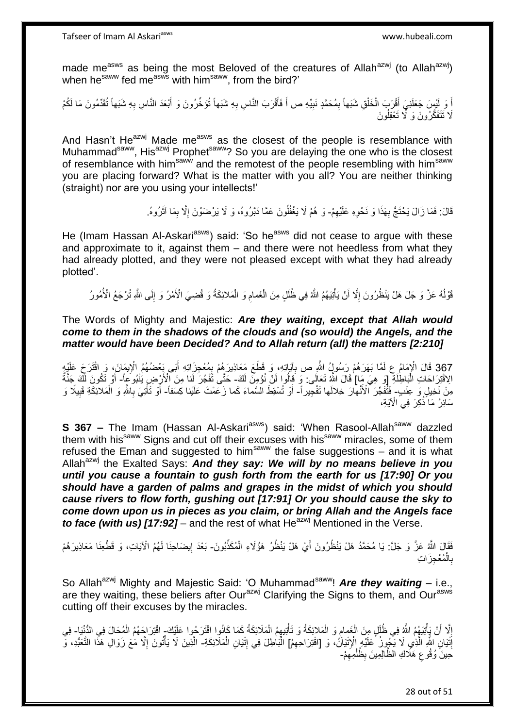made me<sup>asws</sup> as being the most Beloved of the creatures of Allah<sup>azwj</sup> (to Allah<sup>azwj</sup>) when he<sup>saww</sup> fed me<sup>asws</sup> with him<sup>saww</sup>, from the bird?'

اً وَ لَيْسٍ جَعَلَنِيَ أَقْرَبَ الْخَلْقِ شَبَهاً بِمُحَمَّدٍ نَبِيِّهِ ص أَ فَأَقْرَبَ النَّاسِ بِهِ شَبَهاً تُؤَخِّرُونَ وَ أَبْعَدَ النَّاسِ بِهِ شَبَهاً تُقَمِّمُونَ مَا لَكُمْ ِ َ َ ِ ِ ْ ْ َ ِ َ َلَا تَتَفَكَّرُونَ وَ لَّا تَعْقِلُونَ

And Hasn't He<sup>azwj</sup> Made me<sup>asws</sup> as the closest of the people is resemblance with Muhammad<sup>saww</sup>, His<sup>azwj</sup> Prophet<sup>saww</sup>? So you are delaying the one who is the closest of resemblance with him<sup>saww</sup> and the remotest of the people resembling with him<sup>saww</sup> you are placing forward? What is the matter with you all? You are neither thinking (straight) nor are you using your intellects!'

> قَالَ: فَمَا زَالَ يَحْتَجُّ بِهَذَا وَ نَحْوِهِ عَلَيْهِمْ- وَ هُمْ لَا يَغْفُلُونَ عَمَّا دَبَّرُوهُ، وَ لَا يَرْضَوْنَ إِلَّا بِمَا آثَرُوهُ. ِ ِ **∶** ا<br>ا َ ِ

He (Imam Hassan Al-Askari<sup>asws</sup>) said: 'So he<sup>asws</sup> did not cease to argue with these and approximate to it, against them – and there were not heedless from what they had already plotted, and they were not pleased except with what they had already plotted'.

قَوْلُهُ عَزَّ وَ جَلَ هَلْ يَنْظُرُونَ إِلَّا أَنْ يَأْتِيَهُمُ اللَّهُ فِي ظُلَلٍ مِنَ الْغَمامِ وَ الْمَلائِكَةُ وَ قُضِيَ الْأَمْرُ وَ إِلَى اللَّهِ تُرْجَعُ الْأُمُورُ ا<br>ا ِ ِ ْ ِ ْ ْ اً

The Words of Mighty and Majestic: *Are they waiting, except that Allah would come to them in the shadows of the clouds and (so would) the Angels, and the matter would have been Decided? And to Allah return (all) the matters [2:210]*

367 قَالَ الْإِمَامُ عِ لَمَّا بَهَرَهُمْ رَسُولُ اللَّهِ صِ بِآيَاتِهِ، وَ قَطَعَ مَعَاذِبِرَهُمْ بِمُعْجِزَاتِهِ أَبَى بِعْضُهُمُ الْإِيمَانَ، وَ اقْتَرَجَ عَلَيْهِ<br>يَسْمَعُ الْإِيمَانَ، وَ اقْتَرَجَ ْ َ ِ ِ اِلاَقْتِرَاحَاتِ الْبَاطِٰلَةِ ۚ [وَ هِيَ مِآا قَالَ اللَّهُ تَعَالَى: وَ قَالُوا لَنْ نُؤْمِنَ لَكَ- حَتَّى تَفْجُرَ لَمَا مِنَ الْأَرْضِ يَنْبُوَ عِاً- أَوْ تَكُونَ لَكَ جَنَّةٌ ْ َ مِنْ نَخِيلٍ وَ عِنَبٍ- فَتُفَجِّرَ ٱلْأَنْهارَ خِلالَها تَفْجِيراً- أَوْ تُسْقِطَ الْسَّمَاءَ كَما زَعَمْتَ عَلَيْنا كِسَفاً- أَوْ تَأْتِيَ بِاللَّهِ وَ الْمَلاَئِكَةِ قَبِيلًا وَ ِ ْ ِ **ٔ** َ سَائِرُ مَا َذُكِرَ فِي الْآيَةِ،

**S 367 -** The Imam (Hassan Al-Askari<sup>asws</sup>) said: 'When Rasool-Allah<sup>saww</sup> dazzled them with his<sup>saww</sup> Signs and cut off their excuses with his<sup>saww</sup> miracles, some of them refused the Eman and suggested to him<sup>saww</sup> the false suggestions  $-$  and it is what Allah<sup>azwj</sup> the Exalted Says: And they say: We will by no means believe in you *until you cause a fountain to gush forth from the earth for us [17:90] Or you should have a garden of palms and grapes in the midst of which you should cause rivers to flow forth, gushing out [17:91] Or you should cause the sky to come down upon us in pieces as you claim, or bring Allah and the Angels face to face (with us) [17:92]* – and the rest of what He<sup>azwj</sup> Mentioned in the Verse.

فَقَالَ اللَّهُ عَزَّ وَ جَلَّ: يَا مُحَمَّدُ هَلْ يَنْظُرُونَ أَيْ هَلْ يَنْظُرُ هَؤُلَاءِ الْمُكَذِّبُونَ- بَعْدَ إِيضَاحِنَا لَهُمُ الْآيَاتِ، وَ قَطْعِنَا مَعَاذِيرَهُمْ ْ ِ بِالْمُعْجِزَاتِ ْ **∶** 

So Allah<sup>azwj</sup> Mighty and Majestic Said: 'O Muhammad<sup>saww</sup>! **Are they waiting** – i.e., are they waiting, these beliers after Our<sup>azwj</sup> Clarifying the Signs to them, and Our<sup>asws</sup> cutting off their excuses by the miracles.

إِلَّا أَنْ يَأْتِيَهُمُ اللَّهِ فِي ظُلَلٍ مِنَ الْغَمامِ وَ الْمَلائِكَةُ وَ تَأْتِيهِمُ الْمَلَائِكَةُ كَمَا كَانُوا اقْتَرَحُوا عَلَيْكَ إاقْتِرَاجَهُمُ الْمُحَالَ فِي الدُّنْيَا- فِي ْ ْ ْ ِ ْ ْ َ ِ ْ إِنَّيَانِ اللَّهِ الَّذِي لَا يَجْوٍنُ عَلَيْهِ إِلْإِتْيَاَنُ، وَ [اقْتِرَاحِهِمُ] الْبَاطِلَ فِي إِتْيَانِ الْمَلَائِكَةِ- الَّذِينَ لَا يَأْتُونَ إِلَّا مَعَ زَوَالِ هَذَا التَّعَبُّدِ، وَ ه ِ ْ ِ ْ ِ ْ َحِينَ وُقُوعٍ هَلَاكِ الْظَّالِمِينَ بِظُلْمِهِمْ-ِ ْ ِ ِ

28 out of 51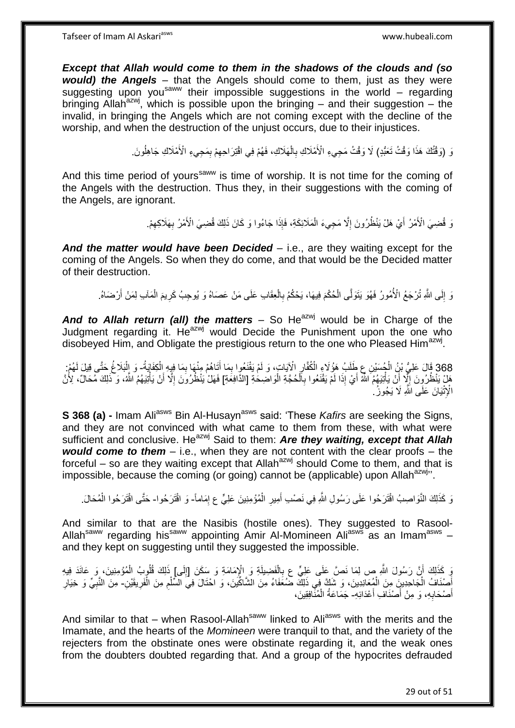*Except that Allah would come to them in the shadows of the clouds and (so would) the Angels* – that the Angels should come to them, just as they were suggesting upon you<sup>saww</sup> their impossible suggestions in the world – regarding bringing Allah<sup>azwj</sup>, which is possible upon the bringing – and their suggestion – the invalid, in bringing the Angels which are not coming except with the decline of the worship, and when the destruction of the unjust occurs, due to their injustices.

> لَ (وَقْتُكَ هَذَا وَقْتُ تَعَبُّدٍ) لَا وَقْتُ مَجِيءِ الْأَمْلَاكِ بِالْهَلَاكِ، فَهُمْ فِي اقْتِرَاحِهِمْ بِمَجِيءِ الْأَمْلَاكِ جَاهِلُونَ. ِ ِ ْ **∶** اُ

And this time period of yours<sup>saww</sup> is time of worship. It is not time for the coming of the Angels with the destruction. Thus they, in their suggestions with the coming of the Angels, are ignorant.

> وَ قُضِيَ الْأَمْرُ أَيْ هَلْ يَنْظُرُونَ إِلَّا مَجِيءَ الْمَلَائِكَةِ، فَإِذَا جَاءُوا وَ كَانَ ذَلِكَ قُضِيَ الْأَمْرُ بِهَلَاكِهِمْ. ِ اً<br>ا ِ **∶** ْ

*And the matter would have been Decided* – i.e., are they waiting except for the coming of the Angels. So when they do come, and that would be the Decided matter of their destruction.

وَ إِلَى اللَّهِ تُرْجَعُ الْأُمُورُ فَهُوَ يَتَوَلَّى الْحُكْمَ فِيهَا، يَحْكُمُ بِالْعِقَابِ عَلَى مَنْ عَصَاهُ وَ يُوحِبُ كَرِيمَ الْمَآبِ لِمَنْ أَرْضَاهُ. ْ  $\frac{1}{2}$ َ ْ **ٍ** ْ ِ

**And to Allah return (all) the matters** – So He<sup>azwj</sup> would be in Charge of the Judgment regarding it.  $He^{azwj}$  would Decide the Punishment upon the one who disobeyed Him, and Obligate the prestigious return to the one who Pleased Him<sup>azwj</sup>.

368 قَالَ عَلِيُّ بْنُ الْجُسَيْنِ عِ طَلَبُ هَؤُلاَءِ الْكُفَّارِ الْإِيَاتِ، وَ لَمْ يَقْنَعُوا بِمَا أَتَاهُمْ مِنْهَا بِمَا فِيِهِ الْكِفَايَةُ- وَ الْبَلَاغُ حَتَّى قِيلَ لَهُمْ:<br>2010 وَفَلَّلَ عَلَيُّ بِأَوْ الْمُسَ ْ ُ ْ ِ َ ِ ْ ْ هَلْ يَنْظُرُونَ إِلَّا أَنْ يَأْتِيَهُمُ اللَّهُ أَيْ إِذَا لَمْ يَقْنَعُوا بِالْحُجَّةِ الْوَاصْطِحَةِ [الذّافِعَةِ] فَهَلْ يَنْظُرُونَ إِلَّا أَنْ يَأْتِيَهُمُ اللَّهُ، وَ ذَلِكَ مُحَالٌ، لِأُنَّ ْ َ ِ ْ َ ِ ْ ْ **∶** الْإِتْيَانَ عَلَى اللَّهِ لَا يَجُوزُ ۚ

**S 368 (a) -** Imam Ali<sup>asws</sup> Bin Al-Husayn<sup>asws</sup> said: 'These *Kafirs* are seeking the Signs, and they are not convinced with what came to them from these, with what were sufficient and conclusive. He<sup>azwj</sup> Said to them: **Are they waiting, except that Allah** *would come to them* – i.e., when they are not content with the clear proofs – the forceful – so are they waiting except that Allah<sup>azwj</sup> should Come to them, and that is impossible, because the coming (or going) cannot be (applicable) upon Allah $a$ <sup>zwj</sup>''.

نَ كَذَلِكَ النَّوَاصِبُ اقْتَرَحُوا عَلَى رَسُولِ اللَّهِ فِي نَصْبِ أَمِيرِ الْمُؤْمِنِينَ عَلِيٍّ ع إِمَاماً- وَ اقْتَرَحُوا- حَتَّى اقْتَرَحُوا الْمُحَالَ. ِ ْ **∶** َ ْ

And similar to that are the Nasibis (hostile ones). They suggested to Rasool-Allah<sup>saww</sup> regarding his<sup>saww</sup> appointing Amir Al-Momineen Ali<sup>asws</sup> as an Imam<sup>asws</sup> and they kept on suggesting until they suggested the impossible.

وَ كَذَلِكَ أَنَّ رَسُولَ اللَّهِ صِ لِمَا نَصَّ عَلَى عَلِيٍّ عِ بِالْفَضِيلَةِ وَ الْإِمَامَةِ وَ سَكَنَ [إِلَى] ذَلِكَ فُلُوبِبُ الْمُؤْمِنِينَ، وَ عَانَدَ فِيهِ ْ ِ لَ ∣∣<br>ِ ْ أَصْنَافُ الْجَاحِدِينَ مِنَ الْمُعَانِدِينَ، وَ شَكَّ فِي ذَلِكَ ضَمُعََاءُ مِنَ الشَّاكِّينَ، وَ احْتَالَ فِي السُّلْمِ مِنَ الْفَرِيقَيْنِ- مِنَ النَّبِيِّ وَ خِيَارِ ِ ْ ْ ْ َ ِ ِ ِ أَصْحَابِهِ، وَ مِنْ أَصْنَافَ أَعْدَائِهِ- جَمَاعَةُ الْمُثَّافِقِينَ، َ **∶** َ ْ

And similar to that – when Rasool-Allah<sup>saww</sup> linked to Ali<sup>asws</sup> with the merits and the Imamate, and the hearts of the *Momineen* were tranquil to that, and the variety of the rejecters from the obstinate ones were obstinate regarding it, and the weak ones from the doubters doubted regarding that. And a group of the hypocrites defrauded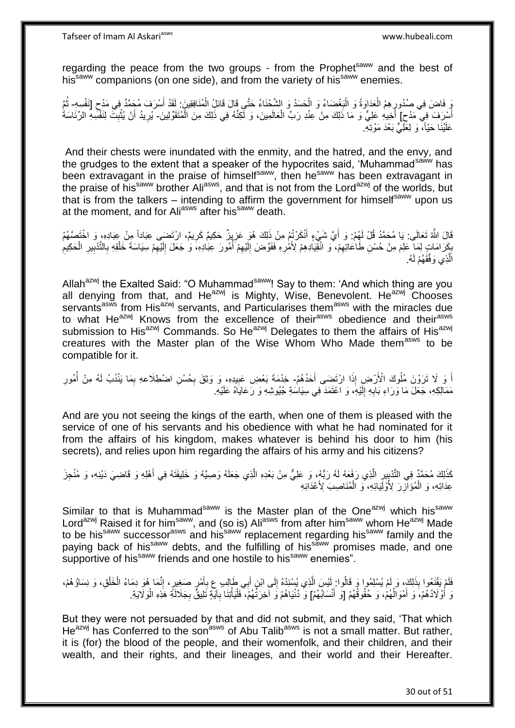Tafseer of Imam Al Askariasws www.hubeali.com

regarding the peace from the two groups - from the Prophet<sup>saww</sup> and the best of his<sup>saww</sup> companions (on one side), and from the variety of his<sup>saww</sup> enemies.

وَ فَاضَ فِي صُدُورٍ هِمُ الْعَدَاوَةُ وَ الْبَغْضَاءُ وَ الْحَسَدُ وَ الشَّحْنَاءُ حَتَّى قَالَ قَائِلُ الْمُنَافِقِينَ: لَقَدْ أَسْرَفَ مُحَمَّدٌ فِي مَدْحٍ [نَفْسِهِ- ثُمَّ ْ ْ ْ ْ ِ  $\zeta$ َ ر<br>ا ِ أَسْرَفَ فِي مَدْح] أَخِيهِ عَلِيٍّ وَ مَا ذَلِكَ مِنْ عِنْدِ رَبِّ الْعَالَمِينَ، وَ لَكِنَّهُ فِي ذَلِكَ مِنَ الْمُنَقَوِّلِينَ- يُرِيدُ أَنْ يُثْبِثَ لِنَفْسِهِ الرِّئَاسَةُ َ ْ ِ **ٔ** َ ِ عَلَيْنَا حَيّاً، وَ لِعَلِّيٍّ بَعْدَ مَوْتِهِ.

And their chests were inundated with the enmity, and the hatred, and the envy, and the grudges to the extent that a speaker of the hypocrites said, 'Muhammad<sup>saww</sup> has been extravagant in the praise of himself<sup>saww</sup>, then he<sup>saww</sup> has been extravagant in the praise of his<sup>saww</sup> brother Ali<sup>asws</sup>, and that is not from the Lord<sup>azwj</sup> of the worlds, but that is from the talkers – intending to affirm the government for himself<sup>saww</sup> upon us at the moment, and for Ali<sup>asws</sup> after his<sup>saww</sup> death.

قَالَ اللَّهُ تَعَالَى: يَا مُحَمَّدُ قُلْ لَهُمْ: وَ أَيَّ شَيْءٍ أَنْكَرْتُهِ مِنْ ذَلِكَ هُوَ عَزِيِزٌ حَكِيمٌ كَرِيمٌ، ارْتَضَى عِبَاداً مِنْ عِبَادِهِ، وَ اخْتَصَـّهُمْ َ ِ **ٍ** بِكَرَامَاتٍ لِمَا خَلِمَ مِنْ حُسْنِ طَاعَاتِهِمْ، وَ انْقَيَادِهِمْ لِأَمْرِهِ فَفَوَّضَ إِلَيْهِمْ أَمُورَ عِبَادِهِ، وَ جَعَلَ إِلَيْهِمْ اسِيَاسَةَ خَلْقِهِ بِالتَّذْبِيرِ الْحَكِيمِ ُ ِ لَ ِ ِ ِ ِ ِ ْ ِ ِ ِ ْ ِ لَ ِ الَّذِي وَفَّقَهُمْ لَهُ.

Allah<sup>azwj</sup> the Exalted Said: "O Muhammad<sup>saww</sup>! Say to them: 'And which thing are you all denying from that, and He<sup>azwj</sup> is Mighty, Wise, Benevolent. He<sup>azwj</sup> Chooses servants<sup>asws</sup> from His<sup>azwj</sup> servants, and Particularises them<sup>asws</sup> with the miracles due to what He<sup>azwj</sup> Knows from the excellence of their<sup>asws</sup> obedience and their<sup>asws</sup> submission to His<sup>azwj</sup> Commands. So He<sup>azwj</sup> Delegates to them the affairs of His<sup>azwj</sup> creatures with the Master plan of the Wise Whom Who Made them<sup>asws</sup> to be compatible for it.

اً وَ لَا تَرَوْنَ مُلُوكَ الْأَرْضِ إِذَا ارْتَضِي أَحَدُهُمْ- خِدْمَةَ بَعْضِ عَبِيدِهِ، وَ وَثِقَ بِحُسْنِ اضطلَاعهِ بِمَا يَنْدُبُ لَهُ مِنْ أُمُورِ َ ِ ِ ِ ِ ُ مَمَالِكِهِ، جَعَلَ مَا وَرَاءِ بَابِهِ إِلَيْهِ، وَ اعْتَمَدَ فِي سِيَاسَةِ جُيُوشِهِ وَ رَعَايَاهُ عَلَيْهِ. لَ  $\frac{1}{2}$ **∶** 

And are you not seeing the kings of the earth, when one of them is pleased with the service of one of his servants and his obedience with what he had nominated for it from the affairs of his kingdom, makes whatever is behind his door to him (his secrets), and relies upon him regarding the affairs of his army and his citizens?

كَذَلِكَ مُحَمَّدٌ فِي التَّدْبِيِرِ الَّذِي رَفَعَهُ لَهُ رَبُّهُ، وَ عَلِيٌّ مِنْ بَعْدِهِ الَّذِي جَعَلَهُ وَصِيَّهُ وَ خَلِيفَنَّهُ فِي أَهْلِهِ وَ قَاضِيَ دَيْنِهِ، وَ مُنْجِزَ ه ه ِ **∣** َ عِدَاتِهِ، وَ الْمُؤَاّزِرَ لِأُوْلِّيَائِهِ، وَ الْمُنَاصِبَ لِأَعْدَابِهِ ْ **∶** 

Similar to that is Muhammad<sup>saww</sup> is the Master plan of the One<sup>azwj</sup> which his<sup>saww</sup> Lord<sup>azwj</sup> Raised it for him<sup>saww</sup>, and (so is) Ali<sup>asws</sup> from after him<sup>saww</sup> whom He<sup>azwj</sup> Made to be his<sup>saww</sup> successor<sup>asws</sup> and his<sup>saww</sup> replacement regarding his<sup>saww</sup> family and the paying back of his<sup>saww</sup> debts, and the fulfilling of his<sup>saww</sup> promises made, and one supportive of his<sup>saww</sup> friends and one hostile to his<sup>saww</sup> enemies".

فَلَمْ يَقْنَعُوا بِذَلِكَ، وَ لَمْ يُسْلِمُوا وَ قَالُوا: لَيْسَ الَّذِي يُسْنِدْهُ إِلَى ابْنِ أَبِي طَإِلِبِ عِ بِأَمْرٍ صَغِيرٍ، إِنَّمَا هُوَ دِمَاءُ الْخَلْقِ، وَ نِسَاؤُهُمْ، ُ ْ ْ ِ َ ِ َ  $\frac{1}{2}$ ه لَ رَ أَوْلَادُهُمْ، وَ أَمْوَالُهُمْ، وَ حُقُوقُهُمْ [وَ أَنْسَابُهُمْ] وَ دُنْيَاهُمْ وَ آخِرَنَّهُمْ، ۖ فَلْيَأْتِنَا بِآيَةٍ تَلِيقٌ بِجَلاَلَةٍ مَوْهِ الْوَلَايَةِ َ ٔ<br>ا َ ْ ِ ِ ْ ْ

But they were not persuaded by that and did not submit, and they said, 'That which He<sup>azwj</sup> has Conferred to the son<sup>asws</sup> of Abu Talib<sup>asws</sup> is not a small matter. But rather, it is (for) the blood of the people, and their womenfolk, and their children, and their wealth, and their rights, and their lineages, and their world and their Hereafter.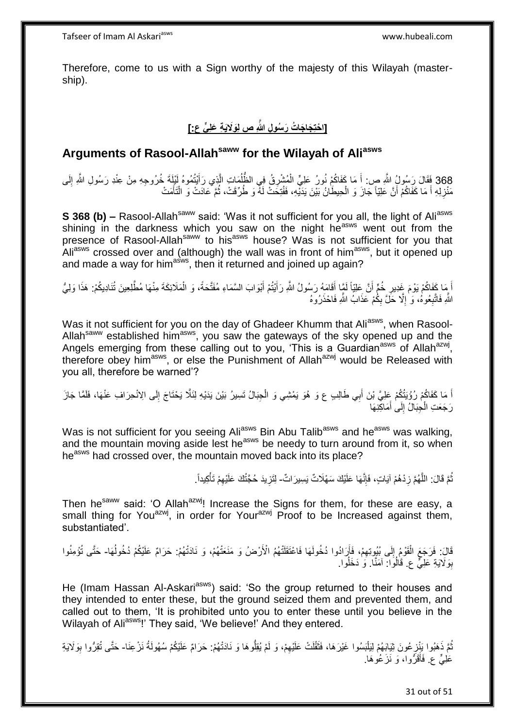Therefore, come to us with a Sign worthy of the majesty of this Wilayah (mastership).

## **]ا ْحتِ َجا َجا ُت َر ُسو ِل ََّّللاِ ص لَِوََلَي ِة َعلِ ٍّي ع:[**

### **Arguments of Rasool-Allahsaww for the Wilayah of Aliasws**

368 فَقَالَ رَسُولُ اللَّهِ ص: أَ مَا كَفَاكُمْ نُورُ عَلِيٍّ الْمُشْرِقُ فِي الظَّلُمَاتِ الَّذِي رَأَيْتُمُوهُ لَيْلِمَةٍ خُرُوجِهِ مِنْ عِنْدِ رَسُولِ اللَّهِ إِلَى<br>368 قَصَلَ تَرَسُّفُ السَّفَرِينَ اللَّهِ إِلَى ِ َ ه ُ ْ َ مَنْزِلِهِ أَ مَا كَفَاكُمْ أَنَّ عَلِيّاً جَازَ وَ الْحِيطَانُ بَيْنَ يَدَيّْهِ، فَفُتِكَتْ لَهُ وَ طُرِّقَتْ، ثُمَّ عَادَتْ وَ الْتَأَمَتْ ان<br>المقامات المقامات المقامات المقامات المقامات المقامات المقامات المقامات المقامات المقامات المقامات المقامات<br>المقامات المقامات المقامات المقامات المقامات المقامات المقامات المقامات المقامات المقامات المقامات المقامات ْ َ **∶** َ ْ

**S 368 (b)** – Rasool-Allah<sup>saww</sup> said: 'Was it not sufficient for you all, the light of Ali<sup>asws</sup> shining in the darkness which you saw on the night he<sup>asws</sup> went out from the presence of Rasool-Allahsaww to his<sup>asws</sup> house? Was is not sufficient for you that Aliasws crossed over and (although) the wall was in front of him<sup>asws</sup>, but it opened up and made a way for him<sup>asws</sup>, then it returned and joined up again?

أَ مَا كَفَاكُمْ يَوْمَ غِدِيرِ خُمٍّ أَنَّ عَلِيّاً لَمَّا أَقَامَهُ رَسُولُ اللَّهِ رَأَيْتُمْ أَبْوَابَ السَّمَاءِ مُفَثَّحَةً، وَ الْمَلَائِكَةَ مِنْهَا مُطَّلِعِينَ تُنَادِيكُمْ: هَذَا وَلِيُّ َ َ لَ ِ ْ اللَّهِ فَاتَّبِعُوهُ، وَ ٰ إِلَّا حَلَّ بِكُمْ عَذَابُ اللَّهِ فَاحْذَرُوهُ ِ ِ **∶** 

Was it not sufficient for you on the day of Ghadeer Khumm that Ali<sup>asws</sup>, when Rasool-Allah<sup>saww</sup> established him<sup>asws</sup>, you saw the gateways of the sky opened up and the Angels emerging from these calling out to you, 'This is a Guardian<sup>asws</sup> of Allah<sup>azwj</sup>, therefore obey him<sup>asws</sup>, or else the Punishment of Allah<sup>azwj</sup> would be Released with you all, therefore be warned'?

اً مَا كَفَاكُمْ رُؤْيَتُكُمْ عَلِيَّ بْنَ أَبِي طَالِبٍ ع وَ هُوَ يَمْشِي وَ الْجِبَالُ تَسِيرُ بَيْنَ يَدَيْهِ لِلَّلَّا يَحْتَاجَ إِلَى الِانْحِرَافِ عَنْهَا، فَلَمَّا جَازَ ِ ْ رَجَعَتِ الْجِبَالُ إِلَى أَمَاكِنِهَا َ  $\frac{1}{2}$ ْ

Was is not sufficient for you seeing Ali<sup>asws</sup> Bin Abu Talib<sup>asws</sup> and he<sup>asws</sup> was walking, and the mountain moving aside lest he<sup>asws</sup> be needy to turn around from it, so when he<sup>asws</sup> had crossed over, the mountain moved back into its place?

> نُّمَّ قَالَ: اللَّهُمَّ زِدْهُمْ آيَاتٍ، فَإِنَّهَا عَلَيْكَ سَهْلَاتٌ يَسِيرَاتٌ- لِتَزِيدَ حُجَّتُكَ عَلَيْهِمْ تَأْكِيداً. ِ ِ ه ُ ْ ِ **∶**

Then he<sup>saww</sup> said: 'O Allah<sup>azwj</sup>! Increase the Signs for them, for these are easy, a small thing for You<sup>azwj</sup>, in order for Your<sup>azwj</sup> Proof to be Increased against them, substantiated'.

قَالَ: فَرَجَعَ الْقَوْمُ إِلَى بُيُوتِهِمْ، فَأَرَادُوا دُخُولَهَا فَاعْتَقَلْتْهُمُ الْأَرْضُ وَ مَنَعَتْهُمْ، وَ نَادَتْهُمْ: حَرَامٌ عَلَيْكُمْ دُخُولُهَا- حَتَّى تُؤْمِنُوا َ ِ  $\frac{1}{2}$ ْ  $\overline{a}$ ِوَلَايَةِ عَلِيٍّ ع. قَالُوَا: آمَنَّا. وَ دَخَلُوا. 

He (Imam Hassan Al-Askari<sup>asws</sup>) said: 'So the group returned to their houses and they intended to enter these, but the ground seized them and prevented them, and called out to them, 'It is prohibited unto you to enter these until you believe in the Wilayah of Ali<sup>asws</sup>!' They said, 'We believe!' And they entered.

ُّمَّ ذَهَبُوا يَنْزِ عُونَ ثِيَابَهُمْ لِيَلْبَسُوا غَيْرَهَا، فَثَقُلَتْ عَلَيْهِمْ، وَ لَمْ يُقِلُّوهَا وَ نَادَتْهُمْ: حَرَامٌ عَلَيْكُمْ سُهُولَةُ نَزْعِنَا- حَتَّى تُقِرُّوا بِوَلَايَةِ ِ ُ ِ َ ْ ِ عَلِيٍّ ع فَأَقَرُّوا، وَ نَزَعُوهَا. َ

31 out of 51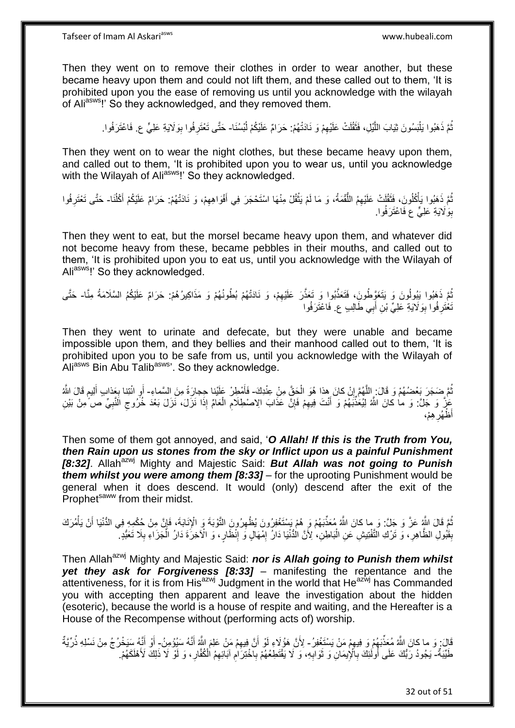Then they went on to remove their clothes in order to wear another, but these became heavy upon them and could not lift them, and these called out to them, 'It is prohibited upon you the ease of removing us until you acknowledge with the wilayah of Aliasws!' So they acknowledged, and they removed them.

> نُمَّ ذَهَبُوا يَلْبَسُونَ ثِيَابَ اللَّيْلِ، فَثَقُلَتْ عَلَيْهِمْ وَ نَادَتْهُمْ: حَرَامٌ عَلَيْكُمْ لُبْسُنَا- حَتَّى تَعْتَرِفُوا بِوَلَايَةِ عَلِيٍّ ع. فَاعْتَرَفُوا. ُ ُ ِ َ ه :<br>ا ِ

Then they went on to wear the night clothes, but these became heavy upon them, and called out to them, 'It is prohibited upon you to wear us, until you acknowledge with the Wilayah of Ali<sup>asws</sup>!' So they acknowledged.

نُّمَّ ذَهَبُوا يَأْكُلُونَ، فَثَقُلَتْ عَلَيْهِمُ اللُّقْمَةُ، وَ مَا لَمْ يَثْقُلْ مِنْهَا اسْتَحْجَرَ فِي أَفْوَاهِهِمْ، وَ نَادَتْهُمْ: حَرَامٌ عَلَيْكُمْ أَكْلُنَا- حَتَّى تَعْتَرِفُوا ِ َ ْ ُّ **ٔ** ْ ُ َ ِ بِوَلَايَةِ عَلِيٍّ ع فَاعْتَرَفُوا. 

Then they went to eat, but the morsel became heavy upon them, and whatever did not become heavy from these, became pebbles in their mouths, and called out to them, 'It is prohibited upon you to eat us, until you acknowledge with the Wilayah of Ali<sup>asws</sup>!' So they acknowledged.

ُمَّ ذَهَبُوا يَبُولُونَ وَ يَتَغَوَّطُونَِ، فَتَعَذَّبُوا وَ تَعَذَّرَ عَلَيْهِمْ، وَ نَادَتْهُمْ بُطُونُهُمْ وَ مَذَاكِيرُهُمْ: حَرَامٌ عَلَيْكُمُ السَّلَامَةُ مِنَّا- حَتَّى ِ ُ نْغْتَرِ فُوا بِوَلَايَةِ عَلِيٍّ بْنِ أَبِي طَالِبٍ ع. فَاعْتَرَفُوا َ **ِ** ِ

Then they went to urinate and defecate, but they were unable and became impossible upon them, and they bellies and their manhood called out to them, 'It is prohibited upon you to be safe from us, until you acknowledge with the Wilayah of Aliasws Bin Abu Talib<sup>asws</sup>'. So they acknowledge.

نُّمَّ ضَجَرَ بَعْضُهُمْ وَ قَالَ: اللَّهُمَّ إِنْ كانَ هِذا هُوَ الْحَقَّ مِنْ عِنْدِكَ- فَأَمْطِرْ عَلْيْنا حِجارَةً مِنَ السَّماءِ- أَوِ ائْتِنا بِعَذابِ أَلِيمِ قَالَ اللَّهُ ْ ِ ه ُ َ م<br>وا َ ِ ِ َ عَٰزٌ وَ جَلَ: وَ ما كانَ اللَّهُ لِيُعَذِّبَهُمْ وَ أَنْتَ فِيهِمْ فَإِنَّ عَذَابَ الِاصْطِلَامِ الْعَامِّ إِذَا نَزَلَ، نَزَلَ بَعْدَ خُرُوجِ الَّنَبِيِّ صَ ُمِنْ بَيْنِ ِ َ **∶**  $\zeta$ ْ ِ ِ ِه ْم، ِ .<br>ظهُر أ

Then some of them got annoyed, and said, '*O Allah! If this is the Truth from You, then Rain upon us stones from the sky or Inflict upon us a painful Punishment*  **[8:32]**. Allah<sup>azwj</sup> Mighty and Majestic Said: But Allah was not going to Punish *them whilst you were among them [8:33]* – for the uprooting Punishment would be general when it does descend. It would (only) descend after the exit of the Prophet<sup>saww</sup> from their midst.

مُّعَ قَالَ اللَّهُ عَزَّ وَ جَلَّ: وَ ما كانَ اللَّهُ مُعَذِّبَهُمْ وَ هُمْ يَسْتَغْفِرُونَ يُظْهِرُونَ التَّوْبَةَ وَ الْإِنْاَبَةَ، فَإِنَّ مِنْ حُكْمِهِ فِي الدُّنْيَا أَنْ يَأْمُرَك<br>يُمْ مِن يَجِب النَّائِبَ الَّذِي ِ ْ َ ا بِقَبُولِ الظَّاهِرِ ، وَ تَرْكِ التَّفْتِيشِ عَنِ الْبَاطِنِ، ٰلِأَنَّ الْدُّنْيَا دَارُ اِمْهَالٍ وَ اِنْظَارٍ ، وَ الْآخِرَةَ دَارُ الْجَزَاءِ بِلَا تَعَبُّدٍ ۚ ِ ِ ْ **∶ ِ** ِ ْ

Then Allah<sup>azwj</sup> Mighty and Majestic Said: **nor is Allah going to Punish them whilst** *yet they ask for Forgiveness [8:33]* – manifesting the repentance and the attentiveness, for it is from His<sup>azwj</sup> Judgment in the world that He<sup>azwj</sup> has Commanded you with accepting then apparent and leave the investigation about the hidden (esoteric), because the world is a house of respite and waiting, and the Hereafter is a House of the Recompense without (performing acts of) worship.

َالَ: وَ ما كانَ اللَّهُ مُعَذِّبَهُمْ وَ فِيهِمْ مَنْ يَسْتَغْفِرُ - لِأَنَّ هَؤُلَاءِ لَوْ أَنَّ فِيهِمْ مَنْ عَلِمَ اللَّهُ أَنَّهُ سَيُؤْمِنُ - أَوْ أَنَّهُ سَيَخْرُجُ مِنْ نَسْلِهِ ذُرِّيَّةٌ َ ِ َ َ َ َ طَيِّبَةٌ- يَجُودُ رَّبُّكَ عَلَى أُولَٰئِكَ بِٱلْإِيمَانِ وَ ثَوَابِهِ، وَ لَا يَقْتَطِعُهُمْ بِاَخْتِرَامِ آبَائِهِمُ الْكُفَّارِ، وَ لَوْ لَا ذَلِكَ لَأَهْلَكَهُمْ. ِ ِ ِ ة<br>أ ِ ا<br>ا ِ ِ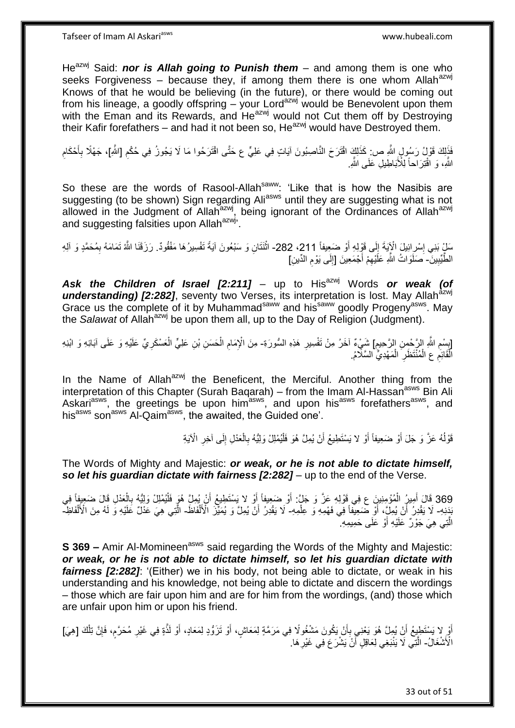He<sup>azwj</sup> Said: **nor is Allah going to Punish them** – and among them is one who seeks Forgiveness – because they, if among them there is one whom Allah<sup>azwj</sup> Knows of that he would be believing (in the future), or there would be coming out from his lineage, a goodly offspring  $-\overline{y}$  your Lord<sup>azwj</sup> would be Benevolent upon them with the Eman and its Rewards, and He<sup>azwj</sup> would not Cut them off by Destroying their Kafir forefathers – and had it not been so,  $He^{azwj}$  would have Destroyed them.

فَذَلِكَ قَوْلُ رَسُولٍ اللَّهِ ص: كَذَلِكَ اقْتَرَحَ النَّاصِبُونَ آيَاتٍ فِي عَلِيٍّ ع حَتَّى اقْتَرَحُوا مَا لَا يَجُوزُ فِي حُكْمِ [اللَّهِ]، جَهْلًا بِأَحْكَامِ<br>يَجْمَعُونَ مِنْ يَعْرُفُهُ بِيَمْ يَجْمَعُونَ النَّاصِ ِ َ ِ اللَّهِ، وَ اَقْتِرَاحاً لِلْأَبَاطِيلِ عَلَى اللَّهِ

So these are the words of Rasool-Allah<sup>saww</sup>: 'Like that is how the Nasibis are suggesting (to be shown) Sign regarding Aliasws until they are suggesting what is not allowed in the Judgment of Allah<sup>azwj</sup>, being ignorant of the Ordinances of Allah<sup>azwj</sup> and suggesting falsities upon Allah<sup>azwj</sup><sup>,</sup>

َسِلْ بَنِي إِسْرِائِيلَ الْإِيَةَ إِلَى قَوْلِهِ أَوْ ضَعِيفاً 211، 282- اثْنَتَانِ وَ سَبْعُونَ آيةً تَفْسِيرُهَا مَفْقُودٌ. رَزَقَنَا اللَّهُ تَمَامَهُ بِمُحَمَّدٍ وَ آلِهِ ا<br>: ِ ر<br>ا ِ الطَّيِّبِينَّ- َصَلَوَاتُ اللَّهِ عَلَيْهِمْ أَجْمَعِينَ [إِلَى يَوْمِ الدِّينِ] ِ َ ِ ِ ∣∣<br>∶

Ask the Children of Israel [2:211] - up to His<sup>azwj</sup> Words or weak (of understanding) [2:282], seventy two Verses, its interpretation is lost. May Allah<sup>azwj</sup> Grace us the complete of it by Muhammad<sup>saww</sup> and his<sup>saww</sup> goodly Progeny<sup>asws</sup>. May the *Salawat* of Allah<sup>azwj</sup> be upon them all, up to the Day of Religion (Judgment).

ِ إِسْمِ اللَّهِ الرَّحْمِنِ الرَّحِيمِ] شَيْءٌ آخَرُ مِنْ تَفْسِيرِ هَذِهِ السُّورَةِ- مِنَ الْإِمَامِ الْحَسَنِ بْنِ عَلِيٍّ الْعَسْكَرِيِّ عَلَيْهِ وَ عَلَى آبَائِهِ وَ ابْنِهِ ِ ِ ِ **∶** ْ ْ ِ الْقَائِمِ عِ الْمُنْتَظَرِ الْمَهْدِيِّ السَّلَامُ. ْ **∶** ْ ْ

In the Name of Allah<sup>azwj</sup> the Beneficent, the Merciful. Another thing from the interpretation of this Chapter (Surah Baqarah) – from the Imam Al-Hassan<sup>asws</sup> Bin Ali Askari<sup>asws</sup>, the greetings be upon him<sup>asws</sup>, and upon his<sup>asws</sup> forefathers<sup>asws</sup>, and his<sup>asws</sup> son<sup>asws</sup> Al-Qaim<sup>asws</sup>, the awaited, the Guided one'.

> قَوْلُهُ عَزَّ وَ جَلَ أَوْ ضَعِيفاً أَوْ لا يَسْتَطِيعُ أَنْ يُمِلَّ هُوَ فَلْيُمْلِلْ وَلِيُّهُ بِالْعَدْلِ إِلَى آخِرِ الْآيَةِ ُ ْ ِ ْ اً َ ِ ِ

The Words of Mighty and Majestic: *or weak, or he is not able to dictate himself,*  **so let his quardian dictate with fairness [2:282]** – up to the end of the Verse.

369 قَالَ أُمِيرُ الْمُؤْمِنِينَ ع فِي قَوْلِهِ عَزَّ وَ جَلَّ: أَوْ ضَعِيفاً أِوْ لا يَسْتَطِيعُ أَنْ يُمِلَّ هُوَ فَلْيُمُلِلْ وَلِيَّهُ بِالْعَدْلِ قَالَ ضَعِيفاً فِي ْ **∶** ْ َ َ َ ْ َ بَدَنِهِ- لَا يَقْدِرُ أَنْ يُمِلِّ، أَوْ ضَعِيفًا فِي فَهْمِهِ وَ عِلْمِهِ- لَا يَقْدِرُ أَنْ يُمِلَّ وَ يُمَيِّزَ الْأَلْفَاظَ- الَّتِي هِيَ عَذْلٌ عَلَيْهِ وَ لَهُ مِنَ الْأَلْفَاظِ-ْ َ َ ْ َ ْ الَّتِي هِيَ جَوْرٌ عَلَيْهِ أَوْ عَلَى حَمِيمِهِ ۖ ه

**S 369 –** Amir Al-Momineen<sup>asws</sup> said regarding the Words of the Mighty and Majestic: *or weak, or he is not able to dictate himself, so let his guardian dictate with fairness [2:282]*: '(Either) we in his body, not being able to dictate, or weak in his understanding and his knowledge, not being able to dictate and discern the wordings – those which are fair upon him and are for him from the wordings, (and) those which are unfair upon him or upon his friend.

َ أَوْ لا يَسْتَطِيعُ أَنْ يُمِلَّ هُوَ يَعْنِي بِأَنْ يَكُونَ مَشْغُولًا فِي مَرَمَّةٍ لِمَعَاشٍ، أَوْ تَزَوُّدٍ لِمَعَادٍ، أَوْ لَذَّةٍ فِي غَيْرِ مُحَرَّمٍ، فَإِنَّ تِلْكَ [هِيَ] َ أ ِ َ ْ ِ **ื ∶** الْأَنْشْغَالُ- الَّذِّي لَا يَنْبَغِي لِعَاقِلٍ أَنْ يَشْرَعَ فِي غَيْرِ هَا. **ٍ** َ ه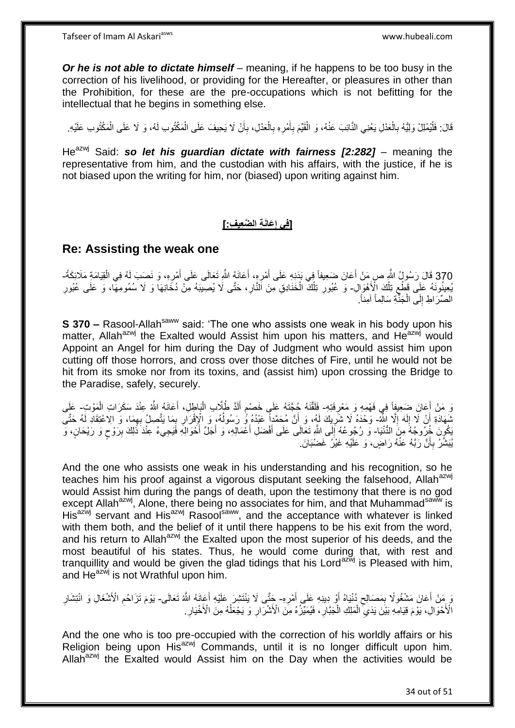*Or he is not able to dictate himself* – meaning, if he happens to be too busy in the correction of his livelihood, or providing for the Hereafter, or pleasures in other than the Prohibition, for these are the pre-occupations which is not befitting for the intellectual that he begins in something else.

قَالَ: فَلْيُمْلِلْ وَلِيُّهُ بِالْعَدْلِ يَعْنِي النَّائِبَ عَنْهُ، وَ الْقَيِّمَ بِأَمْرِهِ بِالْعَدْلِ، بِأَنْ لَا يَحِيفَ عَلَى الْمَكْتُوتِ وَ لَا عَلَى الْمَكْتُوبِ عَلَيْهِ. ْ ِ ا<br>ا ْ ْ اُ ِ ْ **∶** ِ َ **∶** ْ

He<sup>azwj</sup> Said: so let his quardian dictate with fairness [2:282] – meaning the representative from him, and the custodian with his affairs, with the justice, if he is not biased upon the writing for him, nor (biased) upon writing against him.

#### **[فِي إِعَانَةِ الضَّعِيفِ:] ِ**

#### **Re: Assisting the weak one**

370 قَالَ رَسُولُ النَّهِ صِ مَنْ أَعَانَ ضَعِيفاً فِي بَدَنِهِ عَلَى أَمْرِهِ، أَعَانَهُ اللَّهِ تَعَالَى عَلَى أُمْرِهِ، وَ نَصبَ لَهُ فِي الْقِيَامَةِ مَلَائِكَةً-<br>370 قَالَ رَسُولُ النَّهِ صَبِّ مَثَّلاً وَاللَّهُ عَلَ ْ َ َ َ َ يُعِينُونَهُ عَلِى قَطْعٍ تِلْكَ الْأَهْوَالِ- وَ عُبُورِ تِلْكَ الْخَذَادِقِ مِنَ النَّارِ، حَتَّى لَا يُصِيبَهُ مِنْ دُخَانِهَا وَ لا سُمُومِهَا، وَ عَلَى عُبُورِ ْ  $\zeta$ ِ ْ ْ ِ ِ الصِّرَ اطِ إِلَى الْجَنَّةِ سَالِماً آمِناً. ْ י<br>י

**S 370 –** Rasool-Allah<sup>saww</sup> said: 'The one who assists one weak in his body upon his matter, Allah<sup>azwj</sup> the Exalted would Assist him upon his matters, and He $a^2$ <sub>wj</sub> would Appoint an Angel for him during the Day of Judgment who would assist him upon cutting off those horrors, and cross over those ditches of Fire, until he would not be hit from its smoke nor from its toxins, and (assist him) upon crossing the Bridge to the Paradise, safely, securely.

نَ مَنْ أَعَانَ ضَعِيفٍاً فِي فَهْمِهِ وَ مَعْرِفَتِهِ- فَلَقَّنَهُ جُجَّتَهُ عَلَى خَصْمِ أَلَدَّ طُلَّابِ الْبَاطِلِ، أَعَانَهُ اللَّهُ عِنْدَ سَكَرَاتِ الْمَوْتِ- عَلَى ِ ْ َ ْ لَ َ ֧֧֩֩֩֓׆֧ شَهَادَةِ أَنْ لَا إِلَهَ إِلَّا اللَّهُ- وَحْدَهُ لَا شَرَبِكَ لَهُ، وَ أَنَّ مُحَمَّداً عَبْدُهُ وَّ رَسُولُهُ، وَ الْإِقْرَارِ بِمَا يَتَّصِلُ بِهِمَا، وَ الاعْتِقَادِ لَهُ حَتَّى<br>. ِ لَ ِ َ ِ ِ ِ  $\overline{a}$ َ ِ َكُونَ خُرُوجُهُ مِنَ الدُّنْيَا- وَ رُجُوعُهُ إِلَى اللَّهِ تَعَالَى عَلَى أَفْضَلِ أَعْمَالِهِ، وَ أَجَلٌ أَحْوَالِهِ فَيَجِيءُ عِنْدَ ذَلِكَ بِرَوْحٍ وَ رَيْحَانٍ، وَ َ َ َ َ ٍ ِ يُبَشَّرُ بِأَنَّ رَبَّهُ عَنْهُ رَاضٍ، وَ عَلَيْهِ غَيْرُ غَضْبَانَ. ز<br>ا ِ

And the one who assists one weak in his understanding and his recognition, so he teaches him his proof against a vigorous disputant seeking the falsehood. Allah<sup>azwj</sup> would Assist him during the pangs of death, upon the testimony that there is no god except Allah<sup>azwj</sup>, Alone, there being no associates for him, and that Muhammad<sup>saww</sup> is His<sup>azwj</sup> servant and His<sup>azwj</sup> Rasool<sup>saww</sup>, and the acceptance with whatever is linked with them both, and the belief of it until there happens to be his exit from the word, and his return to Allah<sup>azwj</sup> the Exalted upon the most superior of his deeds, and the most beautiful of his states. Thus, he would come during that, with rest and tranquillity and would be given the glad tidings that his Lord<sup>azwj</sup> is Pleased with him, and  $He^{az\dot{w}j}$  is not Wrathful upon him.

َوَ مَنْ أَعَانَ مَشْغُولًا بِمَصَالِحٍ دُنْيَاهُ أَوْ دِينِهِ عَلَى أَمْرِهِ- جَنَّى لَا يَنْتَشِرَ عَلَيْهِ أَعَانَهُ اللَّهُ تَعَالَى- يَوْمَ تَزَاحُمِ الْأَشْغَالِ وَ انْتِشَارِ **ٍ** َ َ ِ ِ َ ِ ِ اْلْأَحْوَالِ، بَوْمَ فِيَامِهِ بَيْنَ يَدَيِّ الْمَلِكِ الْجَبَّالِ، فَيُمَيِّزُهُ مِنَ الْأَشْرَارِ وَ يَجْعَلُهُ مِنَ الْأَخْيَارِ . ُ ِ ِ ْ ْ  $\ddot{\cdot}$ ِ

And the one who is too pre-occupied with the correction of his worldly affairs or his Religion being upon His<sup>azwj</sup> Commands, until it is no longer difficult upon him. Allah $a^{2x}$  the Exalted would Assist him on the Day when the activities would be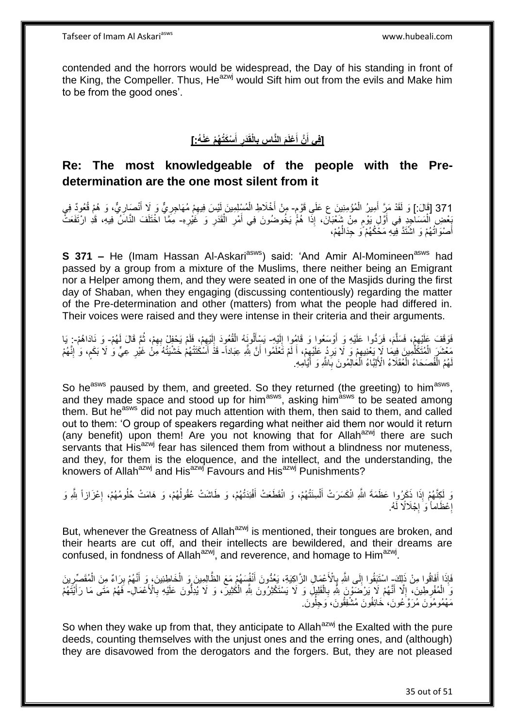contended and the horrors would be widespread, the Day of his standing in front of the King, the Compeller. Thus, He<sup>azwj</sup> would Sift him out from the evils and Make him to be from the good ones'.

#### **ْسَكُت ُه ْم َعْن ُه:[ أ َدر الْقَ ِس ب َم الَّنا ْعلَ َّن أ ]فِي أ َ ِ ِ َ َ**

## **Re: The most knowledgeable of the people with the Predetermination are the one most silent from it**

371 [قَالَ: ] وَ لَقَدْ مَنَّ أُمِيرُ الْمُؤْمِنِينَ ع عَلَي قَوْمٍ- مِنْ أَخْلَاطِ الْمُسْلِمِينَ لَيْسَ فِيهِمْ مُهَاجِرِيٌّ وَ لَا أَنْصَارِيٌّ، وَ هُمْ قُعُودٌ فِي<br>371 [قَالَ: ] وَ لَقَدْ مَنِّ أُمِيرُ الْمُؤْمِنِينَ ع ْ َ ِ َ ِ ِ ْ َ ُخْتَصِ الْمَسَاجِدِ فِي أَوَّلِ يَوْمٍ مِنْ شَعْبَانَ، إِذَا هُمُّ يَخُوضُونَ فِي أَمْرِ الْقَدَرِ وَ غَيْرِهِ- مِمَّاً اخْتَلَفَ النَّاسُ فِيهِ، قَدِ ارْتَفَعَتْ ֧֧֚֓֝֝֓֝ َ ْ **ٍ ٍ** ْ ِ َ أَصْوَاتُهُمْ وَ اشْتَدَّ فِيهِ مَخُكُهُمْ ًو حِدَالُهُمْ، ٔ<br>ا

**S 371 –** He (Imam Hassan Al-Askari<sup>asws</sup>) said: 'And Amir Al-Momineen<sup>asws</sup> had passed by a group from a mixture of the Muslims, there neither being an Emigrant nor a Helper among them, and they were seated in one of the Masjids during the first day of Shaban, when they engaging (discussing contentiously) regarding the matter of the Pre-determination and other (matters) from what the people had differed in. Their voices were raised and they were intense in their criteria and their arguments.

فَوَقَفَ عَلَيْهِمْ، فَسَلَّمَ، فَرَدُّوا عَلَيْهِ وَ أَوْسَعُوا وَ قَامُوا إِلَيْهِ- يَسْأَلُونَهُ الْقُعُودَ إِلَيْهِمْ، فَلَمْ يَحِفِلْ بِهِمْ، ثُمَّ قَالَ لَهُمْ- وَ نَادَاهُمْ- ٍ يَا لَ  $\frac{1}{2}$ اُ ه ِ ا<br>ا ِ ِ لَ  $\frac{1}{2}$ ْ َ مَعْشَنَ الْمُتَكَلِّمِينَ فِيمَا لَإِ يَغْنِيهِمْ وَ لَا يَرِدُ عَلَيْهِمْ، أَ لَمْ تَغْلَمُوا أَنَّ بَثَّهِ عِبَاداً- قَذْ أَسْكَتَتْهُمْ خَشْيَتُهُ مَنْ غَيْرِ عِيٍّ وَ لَا بَكَم، وَ إِنَّهُمْ اُ لَ َ ِ ِ ِ ِّ ْ ِ ֧֖֧֦֧֦֧֦֧֦֚֝֝֝֝֝ ِ نَهُمُ الْفُصَحَاءُ الْعُقَلَاءُ الْأَلِبَّاءُ الْعَالِمُونَ بِاللَّهِ وَ أَيَّامِهِ. َ **∶** ْ ْ ْ

So he<sup>asws</sup> paused by them, and greeted. So they returned (the greeting) to him<sup>asws</sup>, and they made space and stood up for him<sup>asws</sup>, asking him<sup>asws</sup> to be seated among them. But he<sup>asws</sup> did not pay much attention with them, then said to them, and called out to them: 'O group of speakers regarding what neither aid them nor would it return (any benefit) upon them! Are you not knowing that for Allah<sup>azwj</sup> there are such servants that His<sup>azwj</sup> fear has silenced them from without a blindness nor muteness, and they, for them is the eloquence, and the intellect, and the understanding, the knowers of Allah<sup>azwj</sup> and His<sup>azwj</sup> Favours and His<sup>azwj</sup> Punishments?

وَ لِكِنَّهُمْ إِذَا ذَكَرُوا عَظَمَةَ اللَّهِ انْكَسَرَتْ أَلْسِنَتُهُمْ، وَ انْقَطَعَتْ أَفْئِدَتُهُمْ، وَ طَاشَتْ عُقُولُهُمْ، وَ هَامَتْ حُلُومُهُمْ، إِعْزَازاً شِّهِ وَ ُ َ ْ َ ِ إِعْظَاماً وَ إِجْلَالًا لَهُ. ·<br>∶ ِ

But, whenever the Greatness of Allah<sup>azwj</sup> is mentioned, their tongues are broken, and their hearts are cut off, and their intellects are bewildered, and their dreams are confused, in fondness of Allah<sup>azwj</sup>, and reverence, and homage to Him<sup>azwj</sup>.

فَإِذَا أَفَاقُوا مِنْ ذَلِكَ اسْتَنِقُوا إِلَى اللَّهِ بِإِلْأَعْمَالِ الزَّاكِيَةِ، يَعُدُّونَ أَنْفُسَهُمْ مَعَ الظَّالِمِينَ وَ الْخَاطِئِينَ، وَ أَنَّهُمْ بِرَاءٌ مِنَ الْمُقَصِّرِينَ ∣∣<br>∶ ْ ِ َ ْ َ ·••• ِ وَ الْمُفْرِطِينَ، إِلَّا أَنَّهُمْ لَا يَرْضَوْنَ شِّهِ بِالْقَلِيلِ وَ لَا يَسْتَكْثِرُونَ شَّهِ الْكُثِيرَ، وَ لَا يُدِلْونَ عَلَيْهِ بِالْأَعْمَالِ- فَهُمْ مَتَى مَا رَأَيْتَهُمْ ْ ْ **∶** ِ ِ ُّ **∶** َ مَهْمُومُوَنَ مُرَوَّكُونَ، خَائِفُونَ مُشْفِقُونَ، وَجِلُونَ. ُ

So when they wake up from that, they anticipate to Allah<sup>azwj</sup> the Exalted with the pure deeds, counting themselves with the unjust ones and the erring ones, and (although) they are disavowed from the derogators and the forgers. But, they are not pleased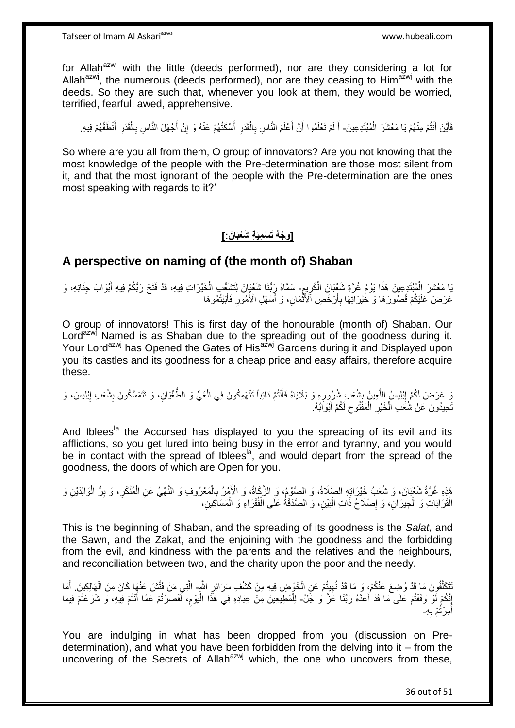for Allah<sup>azwj</sup> with the little (deeds performed), nor are they considering a lot for Allah<sup>azwj</sup>, the numerous (deeds performed), nor are they ceasing to Him<sup>azwj</sup> with the deeds. So they are such that, whenever you look at them, they would be worried, terrified, fearful, awed, apprehensive.

فَأَيْنَ أَنْتُمْ مِنْهُمْ يَا مَعْشَرَ الْمُبْتَدِعِينَ- أَ لَمْ تَعْلَمُوا أَنَّ أَعْلَمَ النَّاسِ بِالْقَدَرِ أَسْكَتُهُمْ عَنْهُ وَ إِنْ أَجْهَلَ النَّاسِ بِالْقَدَرِ أَنْطَقُهُمْ فِيهِ ْ َ َ َ اً لَ َ َ ِ ْ ِ َ ِ **∶** ْ ِ

So where are you all from them, O group of innovators? Are you not knowing that the most knowledge of the people with the Pre-determination are those most silent from it, and that the most ignorant of the people with the Pre-determination are the ones most speaking with regards to it?'

#### **]َو ْج ُه َت ْس ِمَي ِة َشْعَبا َن:[**

### **A perspective on naming of (the month of) Shaban**

يَا مَعْشَرَ الْمُبْتَدِعِينَ هَذَا يَوْمُ غُرَّةِ شُغِّبَانَ الْكَرِيمِ- سَمَّاهُ رِِبُّنَا شَعْبَانَ لِتَشَغْبِ الْخَيْرَاتِ فِيهِ، قَدْ فَتَحَ رَبُّكُمْ فِيهِ أَبْوَابَ جِنَانِهِ، وَ ْ ِ ِ َ ْ عَرَضَ كَلَيْكُمْ قُصُورَهَا وَ خُيْرَاتِهَا بِأَرْخَصِ ٱلْأَنْمَانِ، وَ أَسْهَلِ الْأُمُورِ فَأَبَيْتُمُوهَا َ **∶** َ **∶** َ ْ

O group of innovators! This is first day of the honourable (month of) Shaban. Our Lord<sup>azwj</sup> Named is as Shaban due to the spreading out of the goodness during it. Your Lord<sup>azwj</sup> has Opened the Gates of His<sup>azwj</sup> Gardens during it and Displayed upon you its castles and its goodness for a cheap price and easy affairs, therefore acquire these.

وَ عَرَضَ لَكُمْ إِبْلِيسُ اللَّعِينُ بِشُعَبِ شُرُورِهِ وَ بَلَايَاهُ فَأَنْتُمْ دَائِباً تَنْهَمِكُونَ فِي الْغَيِّ وَ الطُّغْيَانِ، وَ تَتَمَسَّكُونَ بِشُعَبِ إِبْلِيسَ، وَ ْ َ ِ ¦ ه <u>֖֓</u> ِ ِ تَحِيدُونَ عَنْ شُنَعَبِ الْخَيْرِ الْمَفْتُوحِ لَكُمْ أَبْوَابُهُ. َ  $\zeta$ ْ ِ ْ

And Iblees<sup>la</sup> the Accursed has displayed to you the spreading of its evil and its afflictions, so you get lured into being busy in the error and tyranny, and you would be in contact with the spread of Iblees<sup>la</sup>, and would depart from the spread of the goodness, the doors of which are Open for you.

هَذِهِ غُرَّةُ شَعْبَانَ، وَ شُعَبُ خَيْرَاتِهِ الصَّلَاةُ، وَ الصَّوْمُ، وَ الزَّهَاةُ، وَ الْأَهْرُ بِالْمَعْرُوفِ وَ النَّهْيُ عَنِ الْمُنْكَرِ، وَ بِرُّ الْوَالِدَيْنِ وَ ْ ِ ِ ِ ْ ْ الْقَرَابَاتِ وَ الْجِيرَانِ، وَ إِصْلَاحُ ذَاتِ الْبَيْنِ، وَ الصَّدَقَةُ عَلَى الْفُقَرَاءِ وَ الْمَسَاكِينِ، ْ ْ :<br>ا ِ ْ ْ

This is the beginning of Shaban, and the spreading of its goodness is the *Salat*, and the Sawn, and the Zakat, and the enjoining with the goodness and the forbidding from the evil, and kindness with the parents and the relatives and the neighbours, and reconciliation between two, and the charity upon the poor and the needy.

َنَّكَلَّفُونَ مَا قَدْ وُضِعَ عَنْكُمْ، وَ مَا قَدْ نُهِيتُمْ عَنِ الْخَوْضِ فِيهِ مِنْ كَشْفِ سَرَائِرِ اللَّهِ- الَّتِي مَنْ فَتَّشَ عَنْهَا كَانَ مِنَ الْهَالِكِينَ. أَمَا ه ِ ْ ِ ْ ه أَ إِنَّكُمْ لَوْ وَقَفْتُمْ عَلَى مَا قَدْ أَعَدَّهُ رَبُّنَا عَزَّ وَ جَلَّ- لِلْمُطِيعِينَ مِنْ عِبَادِهِ فِي هَذَا الْيَوْمِ، لَّقَصَرْتُمْ عَمَّا أَنْتُمْ فِيهِ، وَ شَرَعْتُمْ فِيمَا َ ِ ِ ْ َ أَمِرْثُمْ بِهِـ **∶** ُ

You are indulging in what has been dropped from you (discussion on Predetermination), and what you have been forbidden from the delving into it – from the uncovering of the Secrets of Allah<sup>azwj</sup> which, the one who uncovers from these,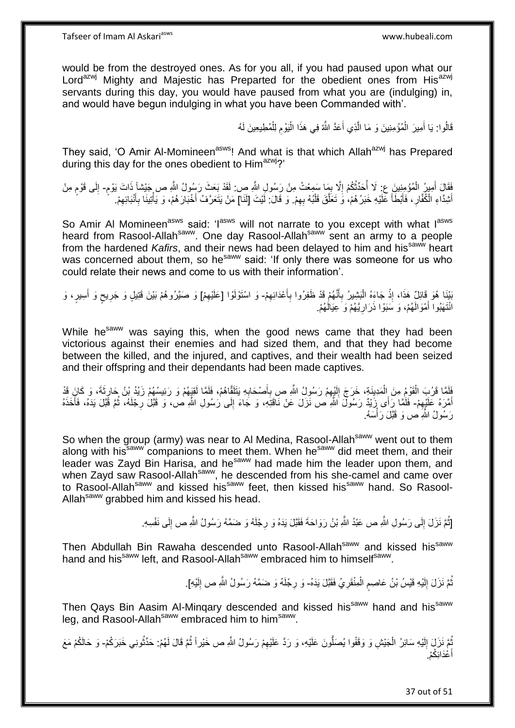would be from the destroyed ones. As for you all, if you had paused upon what our Lord<sup>azwj</sup> Mighty and Majestic has Preparted for the obedient ones from His<sup>azwj</sup> servants during this day, you would have paused from what you are (indulging) in, and would have begun indulging in what you have been Commanded with'.

> قَالُوا: يَا أَمِيرَ الْمُؤْمِنِينَ وَ مَا الَّذِي أَعَدَّ اللَّهُ فِي هَذَا الْيَوْمِ لِلْمُطِيعِينَ لَهُ ْ ِ ْ َ ه ْ َ

They said, 'O Amir Al-Momineen<sup>asws</sup>! And what is that which Allah<sup>azwj</sup> has Prepared during this day for the ones obedient to Him<sup>azwj</sup>?'

فَقَالَ أَمِيزُ الْمُؤْمِنِينَ عِ: لَا أَحَدَّثُكُمْ إِلَّا بِمَا سَمِعْتُ مِنْ رَسُولِ اللَّهِ ص: لَقَدْ بَعَثَ رَسُولُ اللَّهِ ص جَيْشاً ذَاتَ يَوْمٍ- إِلَى قَوْمِ مِنْ ِ ِ .<br>• • • • .<br>ا ْ َ ֧֖֧֖֖֖֖֖֧֖֖֧֧֧֧ׅ֧֧֧֧֧֧֧֧֧֧֧֧֚֚֚֚֚֚֚֚֝֝֟֓֝֓֝֓֝֬֟֓֟֓֝֬֝֬֝֓֝֬֜֓֝֬֜֓֝֬֝֓֝֬֝֓֝֬֝֬֓֝֬֝֬֝ **ื**  ِ أَشِدَّاءِ الْكُفَّارِ ، فَأَبْطَأَ عَلَيْهِ خَبَرُ هُمْ، وَ تَعَلَّقَ قَلْبُهُ بِهِمْ. وَ قَالَ: لَيْتَ [لَنَا] مَنْ يَتَعَرَّفُ أَخْبَارَ هُمْ، وَ يَأْتِينَا بِأَنْبَائِهِمْ. ِ ْ ه **∫** ر<br>ا ِ َ ِ َ **∶** ْ َ

So Amir Al Momineen<sup>asws</sup> said: 'I<sup>asws</sup> will not narrate to you except with what I<sup>asws</sup> heard from Rasool-Allah<sup>saww</sup>. One day Rasool-Allah<sup>saww</sup> sent an army to a people from the hardened *Kafirs*, and their news had been delayed to him and his<sup>saww</sup> heart was concerned about them, so he<sup>saww</sup> said: 'If only there was someone for us who could relate their news and come to us with their information'.

بَيْنَا هُوَ قَائِلٌ هَذَا، إِذْ جَاءَهُ الْبَشِيرُ بِأَنَّهُمْ قَدْ ظَفِرُوا بِأَعْدَائِهِمْ- وَ اسْتَوْلَوْا [عَلَيْهِمْ] وَ صَبَّرُوهُمْ بَيْنَ قَتِيلٍ وَ جَرِيحٍ وَ أَسِيرٍ، وَ ِ َ ِ َ ِ :<br>ا **ٔ** ِ َ ٍ ِ انْتَهَبُوا أَمْوَالَهُمْ، وَ سَبَوْا ذَرَارِيَّهُمْ وَ عِيَالُهُمْ. َ ِ

While he<sup>saww</sup> was saying this, when the good news came that they had been victorious against their enemies and had sized them, and that they had become between the killed, and the injured, and captives, and their wealth had been seized and their offspring and their dependants had been made captives.

فَلَمَّا قَرُبَ الْقَوْمُ مِنَ الْمَدِينَةِ، خَرَجَ إِلَيْهِمْ رَسُولُ اللَّهِ ص بِأَصْحَابِهِ يَتَلَقَّاهُمْ، فَلَمَّا لَقِيَهُمْ وَ رَئِيسُهُمْ زَيْدُ بْنُ حَارِثَةَ، وَ كَانَ قَدْ ِ َ ِ ِ لَ  $\frac{1}{2}$ ْ ْ ِ أَهْرَهُ عَلَيْهِمْ- فَلَٰمًا رَأَى زَيْدٌ رَسُولٌ اللَّهِ ص نَزَلَ عَنْ نَاقَتِهِ، وَ جَاءَ إِلَى رَسُولِ اللَّهِ ص، وَ قَبَلُ رِجْلَهُ، ثُمَّ قَبَّلَ يَدَهُ، فَأَخَذَهُ ِ َ ُ ِ ِ َ رَسُولُ اللَّهِ ٰص وَ قَبَّلَ رَأْسَهُ. .<br>ا

So when the group (army) was near to Al Medina, Rasool-Allah<sup>saww</sup> went out to them along with his<sup>saww</sup> companions to meet them. When he<sup>saww</sup> did meet them, and their leader was Zayd Bin Harisa, and he<sup>saww</sup> had made him the leader upon them, and when Zayd saw Rasool-Allah<sup>saww</sup>, he descended from his she-camel and came over to Rasool-Allah<sup>saww</sup> and kissed his<sup>saww</sup> feet, then kissed his<sup>saww</sup> hand. So Rasool-Allah<sup>saww</sup> grabbed him and kissed his head.

> [ثُمَّ نَزَلَ إِلَى رَسُولِ اللَّهِ ص عَبْدُ اللَّهِ بْنُ رَوَاحَةَ فَقَبَّلَ يَدَهُ وَ رِجْلَهُ وَ ضَمَّهُ رَسُولُ اللَّهِ ص إِلَى نَفْسِهِ. ِ ُ ِ ِ

Then Abdullah Bin Rawaha descended unto Rasool-Allah<sup>saww</sup> and kissed his<sup>saww</sup> hand and his<sup>saww</sup> left, and Rasool-Allah<sup>saww</sup> embraced him to himself<sup>saww</sup>.

> نُمَّ نَزَلَ إِلَيْهِ قَيْسُ بْنُ عَاصِمٍ الْمِنْقَرِيُ فَقَبَّلَ يَدَهُ- وَ رِجْلَهُ وَ ضَمَّهُ رَسُولُ اللَّهِ ص إِلَيْهِ]. ْ م لَ ِ ِ لَ ِ

Then Qays Bin Aasim Al-Minqary descended and kissed his<sup>saww</sup> hand and his<sup>saww</sup> leg, and Rasool-Allah<sup>saww</sup> embraced him to him<sup>saww</sup>.

ُمَّ نَزَلَ إِلَيْهِ سَائِرُ الْجَيْشِ وَ وَقَفُوا يُصَلُّونَ عَلَيْهِ، وَ رَدَّ عَلَيْهِمْ رَسُولُ اللَّهِ ص خَيْراً ثُمَّ قَالَ لَهُمْ: حَدِّثُونِي خَبَرَكُمْ- وَ حَالَكُمْ مَعَ ْ لَ  $\frac{1}{2}$ ا<br>ا ا<br>المقام ِ أَعْدَائِكُمْ. َ َ

37 out of 51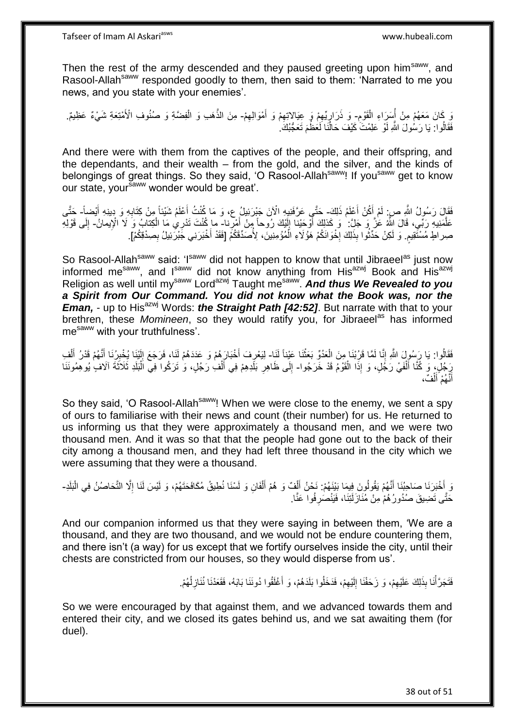Then the rest of the army descended and they paused greeting upon him<sup>saww</sup>, and Rasool-Allah<sup>saww</sup> responded goodly to them, then said to them: 'Narrated to me you news, and you state with your enemies'.

ِ نَ كَانَ مَعَهُمْ مِنْ أُسَرَاءِ الْقَوْمِ- وَ ذَرَارٍيِّهِمْ وَ عِيَالِاتِهِمْ وَ أَمْوَالِهِمْ- مِنَ الذَّهَبِ وَ الْفِضّةِ وَ صُنُوفِ الْأَمْتِعَةِ شَيْءٌ عَظِيمٌ. ْ ؚ<br>ا ِ َ ِ  $\zeta$ ِ ْ ه فَقَالُوا: يَا رَسُولَ اللَّهِ لَوْ عَلِمْتَ كَيْفَ حَالَنَا لَعَظُمَ تَعَجُّبُكَ ٰ ا<br>ا

And there were with them from the captives of the people, and their offspring, and the dependants, and their wealth – from the gold, and the silver, and the kinds of belongings of great things. So they said, 'O Rasool-Allah<sup>saww</sup>! If you<sup>saww</sup> get to know our state, your<sup>saww</sup> wonder would be great'.

فَقَالَ رَسُولُ اللَّهِ صِ لَمْ أَكُنْ أَعْلَمُ ذَلِكَ- حَتَّـي عَرَّفَنِيهِ الْآنَ جَبْرَئِيلُ ع، وَ مَا كُنْتُ أَعْلَمُ شَيْئاً مِنْ كِتَابِهِ وَ دِينِهِ أَيْضاً- حَتَّـى َ َ َ ِ عَلَّمَنِيهِ رَبِّي، قَالَ اللَّهُ عَلَّ وَ جَلَ: ۚ وَ كَذَلِكَ أَوْجَئِنا إِلَيْكَ رُوحاً مِنْ أَمْرِنا۔ ما كُنْتَ تَدْرِي مَا الْكِتابُ وَ لَا الْإِيمانُ- إِلَى قَوْلِهِ ه **∶** َ لَ ا ْ ٍ صِر اللّهِ مُسْتَقِيمٍ. وَ لَكِنْ حَدِّثُوا بِذَلِكَ إِخْوَانَكُمْ هَوُ لَاءِ الْمُؤْمِنِينَ، لِأُصَدِّقَكُمْ [فَقَدْ أَخْبَرَنِي جَبْرَتِيلُ بِصِدْقِكُمْ]. ر<br>نال ِ َ ْ **∶** 

So Rasool-Allah<sup>saww</sup> said: 'Isaww did not happen to know that until Jibraeel<sup>as</sup> just now informed me<sup>saww</sup>, and I<sup>saww</sup> did not know anything from His<sup>azwj</sup> Book and His<sup>azwj</sup> Religion as well until my<sup>saww</sup> Lord<sup>azwj</sup> Taught me<sup>saww</sup>. And thus We Revealed to you *a Spirit from Our Command. You did not know what the Book was, nor the Eman, - up to His<sup>azwj</sup> Words: the Straight Path [42:52]***. But narrate with that to your** brethren, these *Momineen*, so they would ratify you, for Jibraeel<sup>as</sup> has informed mesaww with your truthfulness'.

فَقَالُوا: يَا رَِسُولَ اللَّهِ إِنَّا لَمَّا قَرُبْنَا مِنَ الْعَدُوِّ بَعَثْنَا عَيْناً لَنَا- لِيَعْرِفَ أَخْبَارَهُمْ وَ عَدَدَهُمْ لَنَا، فَرَجَعَ إِلَيْنَا يُخْبِرُنَا أَنَّهُمْ قَدْرُ أَلْفِ ْ ْ ֦֦֦֧֦֧֦֧֦֧֚֚֚֚֚֚֚֚֚֝֝֝֝֬֝֓֡֝֬֝֓֕֝֬֝֓֬֝֓֝֬֝֓ َ ِ ْ َ َ ِ لَ ِ رَجُلٍ، وَ كُنَّا أَلْفَيْ رَجُلٍ، وَ إِذَا الْقَوْمُ قَدْ خَرَجُوا- إِلَى ظَاهِرِ بَلَدِهِمْ فِي أَلْفِ رَجُلٍ، وَ تَرَكُوا فِي اَلْبَلَدِ ثَلاَثَةَ آلَافٍ يُوهِمُونَنَا ْ ْ َ ْ ْ َ **ٍ**  $\frac{1}{2}$ ֪֪֪֪֪֪֪֪֪֪֪֪֪֪֪֪֦֪֪֦֞֘֝֟֘֝֟֟֓֟֘֟֟֘֝֟֟֓֟֟֟֟֓֞֟֡֟֟֟֟֟֟֟֞֟֟֓֞֞֟֩֞֟֓֞֞֞֞֟֞֟֟ أَنَّهُمْ أَلْفٌ، ْ َ

So they said, 'O Rasool-Allah<sup>saww</sup>! When we were close to the enemy, we sent a spy of ours to familiarise with their news and count (their number) for us. He returned to us informing us that they were approximately a thousand men, and we were two thousand men. And it was so that that the people had gone out to the back of their city among a thousand men, and they had left three thousand in the city which we were assuming that they were a thousand.

ُ وَ أَخْبَرَنَا صَاحِبُنَا أَنَّهُمْ يَقُولُونَ فِيمَا بَيْنَهُمْ: نَحْنُ أَلْفٌ وَ هُمْ أَلْفَانِ وَ لَسْنَا نُطِيقُ مُكَافَحَتَهُمْ، وَ لَيْسَ لَنَا إِلَّا التَّحَاصُنُ فِي الْبَلَدِ-َ ا<br>ا ْ َ ْ َ ْ حَتَّى تَضِيقَ صُدُورُ هُمْ مِنْ مُنَازَلَتِنَا، فَيَنْصَرِفُوا عَنَّا. **∶** 

And our companion informed us that they were saying in between them, 'We are a thousand, and they are two thousand, and we would not be endure countering them, and there isn't (a way) for us except that we fortify ourselves inside the city, until their chests are constricted from our houses, so they would disperse from us'.

> فَتَجَرَّأْنَا بِذَلِكَ عَلَيْهِمْ، وَ زَحَفْنَا إِلَيْهِمْ، فَدَخَلُوا بَلَدَهُمْ، وَ أَغْلَقُوا دُونَنَا بَابَهُ، فَقَعَدْنَا نُنَازِلُهُمْ. َ ِ لَ  $\frac{1}{2}$ ِ ْ ُ **ٍ**

So we were encouraged by that against them, and we advanced towards them and entered their city, and we closed its gates behind us, and we sat awaiting them (for duel).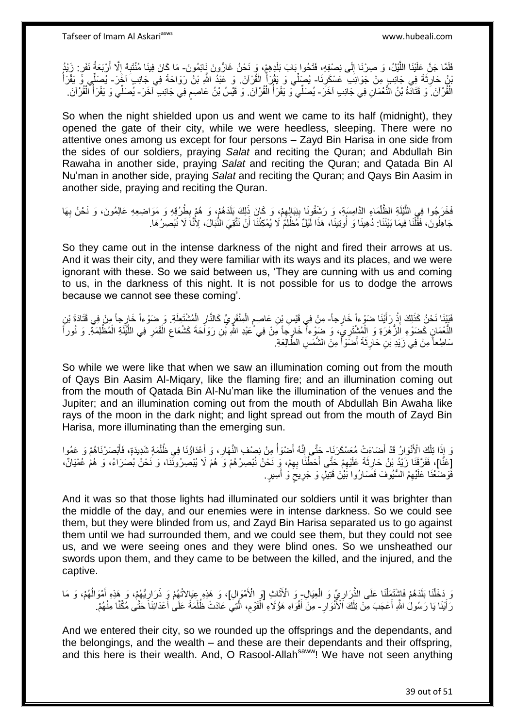لَفَلَمَا جَنَّ عَلَيْنَا اللَّيْلُ، وَ صِرْنَا إِلَى نِصْفِهِ، فَتَحُوا بَابَ بَلَدٍهِمْ، وَ نَحْنُ غَارُونَ نَإِيُهُونَ- مَا كَانَ فِينَا مُنْتَبِهٌ إِلَّا أَرْبَعَةُ نَفَرٍ. زَيْدُ ِ ه َ  $\frac{1}{2}$ ِ بْنُ حَارِثَةَ فِي جَانِبٍ مِنْ جَوَانِبَ عَسْكَرِنَا- يُصِلِّي وَ يَقْرَأْ الْقُرْآنَ. وَ عَبْدُ اللَّهِ بْنُ رَوَاحَةَ فِي جَانِبِ َآخَرَ- يُصَلِّي وَّ يَقْرَأُ ِ ِ ْ ُ ُ الْقُرْ آنَ ۖ وَ قَتَادَةُ بْنُ النُّعْمَانِ فِي جَانِبِ آخَرَ - يُصَلِّي وَ يَقْرَأُ الْقُرْآنَ. وَ قَيْسُ بْنُ عَاصِمٍ فِي جَانِبِ ٓ آخَرَ - يُصَلِّي وَ يَقْرَأُ الْقُرْآنَ. المناسبة المستقبل المستقبل المستقبل المستقبل المستقبل المستقبل المستقبل المستقبل المستقبل المستقبل المستقبل ال<br>المستقبل المستقبل المستقبل المستقبل المستقبل المستقبل المستقبل المستقبل المستقبل المستقبل المستقبل المستقبل ال ֧֖֧֖֖֖֖֖֧֖֖֖֖֧֧֧֧֧֧֧֧֧֧֧֧֧֧֧֧֧֚֚֚֚֚֚֚֚֚֚֚֝֝֟֓֝֓֝֓֝֬֟֓֝֬֟֓֝֬֝֓֝֓֝֬֝֓֝֬֝֬֝֓֝֬֝֬֓֝֬֝֬֝֬ ْ ا<br>أ

So when the night shielded upon us and went we came to its half (midnight), they opened the gate of their city, while we were heedless, sleeping. There were no attentive ones among us except for four persons – Zayd Bin Harisa in one side from the sides of our soldiers, praying *Salat* and reciting the Quran; and Abdullah Bin Rawaha in another side, praying *Salat* and reciting the Quran; and Qatada Bin Al Nu'man in another side, praying *Salat* and reciting the Quran; and Qays Bin Aasim in another side, praying and reciting the Quran.

فَخَرَجُوا فِي اللَّيْلَةِ الظَّلْمَاءِ الدَّامِسَةِ، وَ رَشْقُونَا بِنِبَالِمِمْ، وَ كَانَ ذَلِكَ بَلَدَهُمْ، وَ هُمْ بِطُرُقِهِ وَ مَوَاضِعِهِ عَالِمُونَ، وَ نَحْنُ بِهَا ِ ِ  $\frac{1}{2}$ ْ ه ِ جَاهِلُونَ، فَقَّلْنَا فِيمَا بَيْنَنَا: دُهِينَا وَ أُوتِينَاً، هَذَا لَّيْلٌ مُطْلِمٌ لَا يُمْكِنُنَا أَنْ نَتَّقِيَ النُّبَالَ، لِأَنَّا لَا نُبْصِرُ مَا ۖ اُ ُ ْ

So they came out in the intense darkness of the night and fired their arrows at us. And it was their city, and they were familiar with its ways and its places, and we were ignorant with these. So we said between us, 'They are cunning with us and coming to us, in the darkness of this night. It is not possible for us to dodge the arrows because we cannot see these coming'.

فَبَيْنَا نَحْنُ كَذَلِكَ إِذْ رَأَيْنَا ضَوْءاً خَارِجاً- مِنْ فِي قَيْسِ بْنِ عَاصِمٍ الْمِنْقَرِيِّ كَالنَّارِ الْمُشْتَعِلَةِ ۖ وَ ضَوْءاً خَارِجاً مِنْ فِي قَتَادَةَ بْنِ<br>وَمَنْ جَانِبَ مِنْ يُوتُونَ مِنْ وَقَائِمَةٍ َ **ٔ** ْ ِ **↓** ْ ٍ ْلِنُّعْمَانٍ كَضَوْءِ اَلَّأُ هُرَةِ وَ الْمُشْتَرِيِّ، وَ ضَوْءاً خَارِجًا مِنْ فِي ُعَبْدِ اللَّهِ نُنِ رَوَاحَةَ كَشُعَاعِ الْقَمَرِ فِي اللَّيْلَةِ الْمُظْلِمَةِ. وَ نُوراً ْ ه ِ ْ ِ ْ سَاطِعاً مِنْ فِي زَيْدِ بْنِ حَارِثَةَ أَضْوَأَ مِنَ الشَّمْسِ الطَّالِعَةِ. َ َ ِ

So while we were like that when we saw an illumination coming out from the mouth of Qays Bin Aasim Al-Miqary, like the flaming fire; and an illumination coming out from the mouth of Qatada Bin Al-Nu'man like the illumination of the venues and the Jupiter; and an illumination coming out from the mouth of Abdullah Bin Awaha like rays of the moon in the dark night; and light spread out from the mouth of Zayd Bin Harisa, more illuminating than the emerging sun.

وَ إِذَا تِلْكَ الْأَنُوَالُ قَدْ أَصْاءَتْ مُعَسْكَرَنَا- جَتَّى إِنَّهُ أَصْوَأُ مِنْ نِصْفِ النَّهَارِ ، وَ أَعْدَاؤُنَا فِي ظُلْمَةٍ شَدِيدَةٍ، فَأَبْصَرْنَاهُمْ وَ عَمُوا َ ْ المناسبة المستشفى.<br>أحداث َ ِ َ ْ َ **∶** [عَفًّا]، فَفَرَّقَنَا زَيْدُ بْنُ حَارِثَةَ عَلَيْهِمْ حَتَّى أَحَطْنَا بِهِمْ، وَبِ نَحْنُ نُبْصِرُهُمْ وَ ۚ هُمْ لَا يُبْصِرُوثَنَا، وَ نَحْنُ بُصَرَاءُ، وَ هُمْ عُمْيَانٌ، ِ َ ِ **∶** فَّوَضَعْنَا عَلَيْهِمُ السُّيُوفَ فَصَارُوا بَيْنَ قَتِيلٍ وَ جَرِيحٍ وَ أَسِيرٍ . َ ٍ ِ

And it was so that those lights had illuminated our soldiers until it was brighter than the middle of the day, and our enemies were in intense darkness. So we could see them, but they were blinded from us, and Zayd Bin Harisa separated us to go against them until we had surrounded them, and we could see them, but they could not see us, and we were seeing ones and they were blind ones. So we unsheathed our swords upon them, and they came to be between the killed, and the injured, and the captive.

وَ دَخَلْنَا بَلَدَهُمْ فَاشْتَمِلْنَا عَلَى الذِّرَارِيِّ وَ الْوَيَالِ- وَ الْأَثَاثِ [وَ الْأَمْوَالِل]، وَ هَذِهِ عِبَالاتُهُمْ وَ ذَرَارِيُّهُمْ، وَ هَذِهِ أَمْوَالُهُمْ، وَ هَا ْ ِ ْ ْ َ ُ َ ِ ِ رَ أَيْنَا يَا رَسُولُ اللَّهِ أَعْجَبَ مِنْ تِلْكَ الْأُنْوَارِ - مِنْ أَفْوَاهِ هَؤُلَاءِ الْقَوْمِ، الَّتِي عَادَتْ ظُلْمَةً عَلَىٰ أَعْدَانِنَا حَتَّى مُكِّنَّا مِنْهُمْ. ْ َ َ َ ْ ه ِ ْ َ

And we entered their city, so we rounded up the offsprings and the dependants, and the belongings, and the wealth – and these are their dependants and their offspring, and this here is their wealth. And, O Rasool-Allah<sup>saww</sup>! We have not seen anything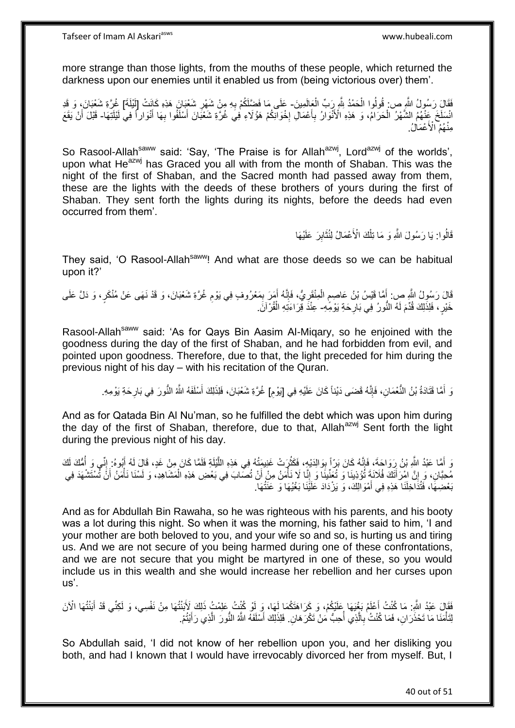more strange than those lights, from the mouths of these people, which returned the darkness upon our enemies until it enabled us from (being victorious over) them'.

فَقَالَ رَسُولُ اللَّهِ ص: قُولُوا الْحَمْدُ لِلَّهِ رَبِّ الْعِالَمِينَ- عَلَى مَا فَضَّلَكُمْ بِهِ مِنْ شَهْرِ شَعْبَانَ هَذِهِ كَانَتْ [لَيْلَةَ] غُرَّةِ شَعْبَانَ، وَ قَدِ ْ ْ ِ ِ انْسَلَخَ عِنْهُمُ الشَّهْرُ الْحَرَامُ، وَ هَذِهِ الْأَنْوَارُ بِأَعْمَالِ إِخْوَالَكُمْ هَؤُلَاءِ فِيَ غُرَّةِ شَعْبَانَ أَسْلَفُوا بِهَا أَنْوَاراً فِي لَيْلَتِهَا- قَبْلَ أَنْ يَقَعَ َ **∶** َ ِ ْ َ ِ َ مِنْهُمُ الْأَعْمَالُ.

So Rasool-Allah<sup>saww</sup> said: 'Say, 'The Praise is for Allah<sup>azwj</sup>, Lord<sup>azwj</sup> of the worlds', upon what He $^{azwj}$  has Graced you all with from the month of Shaban. This was the night of the first of Shaban, and the Sacred month had passed away from them, these are the lights with the deeds of these brothers of yours during the first of Shaban. They sent forth the lights during its nights, before the deeds had even occurred from them'.

> قَالُوا: يَا رَسُولَ اللَّهِ وَ مَا تِلْكَ الْأَعْمَالُ لِنُثَابِرَ عَلَيْهَا ِ َ ْ

They said, 'O Rasool-Allah<sup>saww</sup>! And what are those deeds so we can be habitual upon it?'

َالَ رَسُولُ اللَّهِ صِ: أَمَّا قَيْسُ بْنُ عَاصِمِ الْمِنْقَرِيُّ، فَإِنَّهُ أَمَرَ بِمَعْرُوفٍ فِي يَوْمِ غُرَّةِ شَعْبَانَ، وَ قَدْ نَهَى عَنْ مُنْكَرٍ، وَ دَلَّ عَلَى ِ ِ َ ׀ו<br>ְי ِ ْ ٍ َ ِ خَيْرٍ ، فَلِذَلِكَ قُدِّمَ لَهُ النُّورُ فِي بَارِحَةِ يَوْمِّهِ- عِنْدَ قِرَاءَتِهِ الْقُرْ'آنَ. ْ

Rasool-Allah<sup>saww</sup> said: 'As for Qays Bin Aasim Al-Migary, so he enjoined with the goodness during the day of the first of Shaban, and he had forbidden from evil, and pointed upon goodness. Therefore, due to that, the light preceded for him during the previous night of his day – with his recitation of the Quran.

> ِ وَ أَمَّا قَتَادَةُ بْنُ النُّعْمَانِ، فَإِنَّهُ قَضَى دَيْناً كَانَ عَلَيْهِ فِي [يَوْمِ] غُرَّةِ شَعْبَانَ، فَلِذَلِكَ أَسْلَفَهُ الثَّهُ النُّورَ فِي بَارِحَةِ يَوْمِهِ. ِ َ ِ

And as for Qatada Bin Al Nu'man, so he fulfilled the debt which was upon him during the day of the first of Shaban, therefore, due to that, Allah<sup>azwj</sup> Sent forth the light during the previous night of his day.

وَ أَمَّا عَبْدُ اللَّهِ بْنُ رَوَاجَةَ، فَإِنَّهُ كَانَ بَرِّاً بِوَالِدَيْهِ، فَكَثُرَتْ غَنِيمَتُهُ فِي هَذِهِ اللَّيْلَةِ فَلَمَّا كَانَ مِنْ غَدٍ، قَالَ لَهُ أَبُوهُ: إِنِّي وَ أَمُّكَ لَكَ َ ه افعال<br>أم ِ اا<br>و ُ  $\frac{1}{2}$ َ ا<br>المسلمان<br>المسلمان مُحِبَّانِ، وَ إِنَّ اِمْرَأَتَكَ فُلَانَةٍ تُؤْذِينَا وَ تُعَنِّينَا وَ إِنَّا لَا نَأْمَنُ مِنْ أَنْ تُصَابَ فِي بَعْضِ هَذِهِ الْمَشَاهِدِ، وَ لَسْنَا نَأْمَنُ أَنَّ تُسْتَشْهَدَ فِي ِ َ َ ا<br>أ ْ بَعْضِهَا، فَتُذَاخِلَنَا هَذِهِ فِي أَمْوَالِكَ، وَ يَزْدَادَ عَلَيْنَا بَغْيُهَا وَ عَنَتُهَا. َ

And as for Abdullah Bin Rawaha, so he was righteous with his parents, and his booty was a lot during this night. So when it was the morning, his father said to him, 'I and your mother are both beloved to you, and your wife so and so, is hurting us and tiring us. And we are not secure of you being harmed during one of these confrontations, and we are not secure that you might be martyred in one of these, so you would include us in this wealth and she would increase her rebellion and her curses upon us'.

فَقَالَ عَبْدُ اللَّهِ مَا كُنْتُ أَعْلَمُ بَغْيَهَا عَلَيْكُمْ، وَ كَرَاهَتَكُمَا لَهَا، وَ لَوْ كُنْتُ عَلِمْتُ ذَلِكَ لِأَبَنْتُهَا مِنْ نَفْسِي، وَ لَكِنِّي قَدْ أَبَنْتُهَا الْآنَ اً<br>ا َ لِتَأْمَنَا مَا تَحْذَرَانِ، فَمَا كُنْتُ بِالَّذِي أُحِبُّ مَنْ تَكْرَ هَانِ. فَلِذَلِكَ أَسْلَفَهُ الثَّهُ النُّورَ الَّذِي رَأَيْتُمْ. ه َ ا<br>ا ه **∶** ْ َ

So Abdullah said, 'I did not know of her rebellion upon you, and her disliking you both, and had I known that I would have irrevocably divorced her from myself. But, I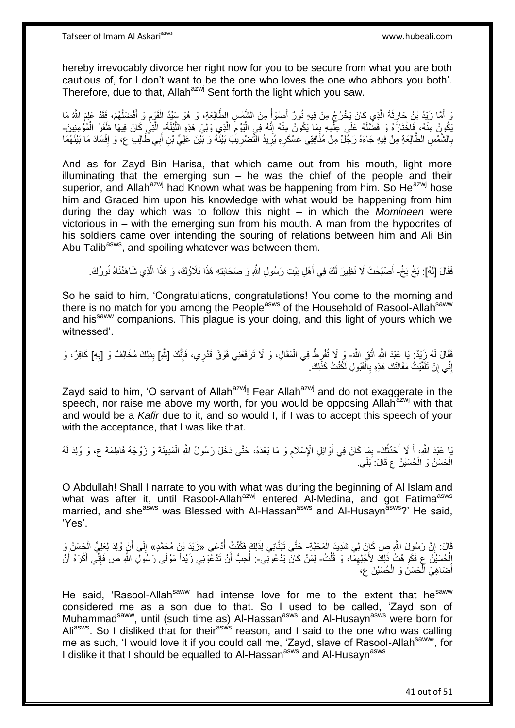hereby irrevocably divorce her right now for you to be secure from what you are both cautious of, for I don't want to be the one who loves the one who abhors you both'. Therefore, due to that, Allah<sup>azwj</sup> Sent forth the light which you saw.

وَ أَمَّا زَيْدُ بْنُ حَارِثَةَ الَّذِي كَانَ يَخْرُجُ مِنْ فِيهِ نُورٌ أَضْوَأُ مِنَ الشَّمْسِ الطَّالِعَةِ، وَ هُوَ سَيِّدُ الْقَوْمِ وَ أَفْضَلُهُمْ، فَقَدْ عَلِمَ اللَّهُ مَا<br>وَيَنْتُمُّ الْقَدِيثُ وَحَارِثَةَ الَّذِي ا<br>ا َ ه ِ َ ُ َ ِ ْ ه يَكُونُ مِنْهُ، فَاخْتَارَهُ وَ فَضَّلَهُ عَلَى عِلْمِهِ بِمَا يَكُونُ مِنْهُ إِنَّهُ فِي الْيَوْمَ الَّذِي وَلِيَ هَذِهِ اللَّيْلَةَ- الَّتِي كَانَ فِيهَا ظَفَرُ الْمُؤْمِنِينَ-ه ِ ا<br>ا ِ ِ ْ ْ بِالشَّمْسِ الطَّالِعَةِ مِنْ فِيهِ جَاءَهُ رَجُلٌ مِنْ مُنَافِقِي عَسْكَرِهِ يُرِيدُ النَّصْرْرِيُبَ بَيْنََهُ وَ بَيْنَ عَلِيٍّ بْنِ أَبِي طَالِبٍ ع، وَ إِفْسَادَ مَا بَيْنَهُمَا **∶ ∶** ِ َ **∶** ِ

And as for Zayd Bin Harisa, that which came out from his mouth, light more illuminating that the emerging sun  $-$  he was the chief of the people and their superior, and Allah<sup>azwj</sup> had Known what was be happening from him. So He<sup>azwj</sup> hose him and Graced him upon his knowledge with what would be happening from him during the day which was to follow this night – in which the *Momineen* were victorious in – with the emerging sun from his mouth. A man from the hypocrites of his soldiers came over intending the souring of relations between him and Ali Bin Abu Talib<sup>asws</sup>, and spoiling whatever was between them.

فَقَالَ [لَهُ]: بَخْ بَخْ- أَصْبَحْتَ لَا نَظِيرَ لَكَ فِي أَهْلِ بَيْتِ رَسُولِ اللَّهِ وَ صَحَابَتِهِ هَذَا بَلَاؤُكَ، وَ هَذَا الَّذِي شَاهَدْنَاهُ نُورُكَ. ه َ َ

So he said to him, 'Congratulations, congratulations! You come to the morning and there is no match for you among the People<sup>asws</sup> of the Household of Rasool-Allah<sup>saww</sup> and his<sup>saww</sup> companions. This plague is your doing, and this light of yours which we witnessed'.

فَقَالَ لَهُ زَيْدٌ: يَا عَبْدَ اللَّهِ اتَّقِ اللَّهَ- وَ لَا تُفْرِطْ فِي الْمَقَالِ، وَ لَا تَرْفَعْنِي فَوْقَ قَدْرِي، فَإِنَّكَ [بِئْلِكَ مُخَالِفٌ وَ [بِهِ] كَافِرٌ، وَ<br>فَقَالَ لَهُ زَيَّةٍ مُرْسَلَ تَبْرَيْنَ مَّذَ ِ ׀ו<br>ְי ِ إِنِّي إِنْ تَلَقَّيْتُ مَقَالَتَكَ هَذِهِ بِالْقَبُولِ لَكُنْتُ كَذَلِكَ. ِ ِ ْ **∶** 

Zayd said to him, 'O servant of Allah<sup>azwj</sup>! Fear Allah<sup>azwj</sup> and do not exaggerate in the speech, nor raise me above my worth, for you would be opposing Allah<sup>azwj</sup> with that and would be a *Kafir* due to it, and so would I, if I was to accept this speech of your with the acceptance, that I was like that.

َ يَا عَبْدَ اللَّهِ، أَ لَا أُحَدِّثُكَ- بِمَا كَانَ فِي أَوَائِلِ الْإِسْلَامِ وَ مَا بَعْدَهُ، حَتَّى دَخَلَ رَسُولُ اللَّهِ الْمَدِينَةَ وَ زَوَّجَهُ فَاطِمَةَ ع، وَ وُلِدَ لَهُ<br>نُفسها وسألمده الله ُ ا<br>ا ْ ِ َ ِ الْحَسَنُ وَ الْحُسَيْنُ عِ قَالَ: بَلَى. ْ ْ

O Abdullah! Shall I narrate to you with what was during the beginning of Al Islam and what was after it, until Rasool-Allah<sup>azwj</sup> entered Al-Medina, and got Fatima<sup>asws</sup> married, and she<sup>asws</sup> was Blessed with Al-Hassan<sup>asws</sup> and Al-Husayn<sup>asws</sup>?' He said, 'Yes'.

قَالَ: إِنَّ رَسُولَ اللَّهِ ص كَانَ لِي شَدِيدَ الْمَحَبَّةِ- حَتَّى تَبَنَّانِي لِذَلِكَ فَكُنْتُ أُدْعَى «زَيْدَ بْنَ مُحَمَّدٍ» إِلَى أَنْ وُلِدَ لِعَلِيٍّ الْحَسَنُ وَ ِ ْ َ ِ الْحُسَيْنَ ۚ عَ فَكَرِ مْتُ ذَلِكَ لِأَجْلِهِمَّا، وَ قُلْتُ- لِمَنْ كَانَ يَدْعُونِّي-: أُحِبُّ أَنْ تَدْعَوَنِي زَيْداً مَوْلَى رَسُولِ اللَّهِ ص فَإِنِّي أَكْرَهُ أَنْ ْ ِ ِ اُ :<br>ا َ َ  $\frac{1}{2}$ أَضَاهِيَ الْحَسَنَ وَ الْحُسَيْنَ عِ، ْ ْ ا<br>ا

He said. 'Rasool-Allah<sup>saww</sup> had intense love for me to the extent that he<sup>saww</sup> considered me as a son due to that. So I used to be called, 'Zayd son of Muhammad<sup>saww</sup>, until (such time as) Al-Hassan<sup>asws</sup> and Al-Husayn<sup>asws</sup> were born for Ali<sup>asws</sup>. So I disliked that for their<sup>asws</sup> reason, and I said to the one who was calling me as such, 'I would love it if you could call me, 'Zayd, slave of Rasool-Allah<sup>saww</sup>', for I dislike it that I should be equalled to Al-Hassan<sup>asws</sup> and Al-Husayn<sup>asws</sup>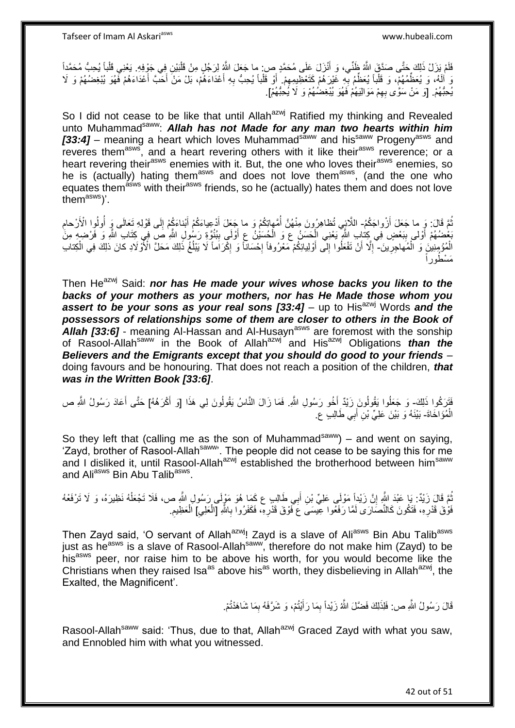فَلَمْ يَزَلْ ذَلِكَ حَتَّى صَدَّقَ اللَّهُ ظَنِّي، وَ أَنْزَلَ عَلَى مُحَمَّدٍ ص: ما جَعَلَ اللَّهُ لِرَجُلٍ مِنْ قَلْبَيْنِ فِي جَوْفِهِ. يَعْنِي قَلْباً يُحِبُّ مُحَمَّداً َ ْ ْ نَ إِلَهُ، وَ يُعَظُّمُهُمْ، وَ قَلْباً يُعَظِّمُ بِهِ غَيْرَهُمْ كَتَعْظِيمِهِمْ ۚ أَوْ قَلْباً يُحِبُّ بِهِ أَعْدَاءَهُمْ، اَلَّ مَنْ أَحَدَّ أَعْدَاءَهُمْ فَّهُوَ يُبْغِضُهُمْ وَ لَا  $\frac{1}{2}$ ِ ْ َ َ َ ِ ْ َ يُحِبُّهُمْ. [وَ مَنْ سَوَّى بِهِمْ مَوَالِيَهُمْ فَهُوَ يُبْغِضُهُمْ وَ لَا يُحِبُّهُمْ]. ِ

So I did not cease to be like that until Allah<sup>azwj</sup> Ratified my thinking and Revealed unto Muhammad<sup>saww</sup>: Allah has not Made for any man two hearts within him *[33:4]* – meaning a heart which loves Muhammad<sup>saww</sup> and his<sup>saww</sup> Progeny<sup>asws</sup> and reveres them<sup>asws</sup>, and a heart revering others with it like their<sup>asws</sup> reverence; or a heart revering their<sup>asws</sup> enemies with it. But, the one who loves their<sup>asws</sup> enemies, so he is (actually) hating them<sup>asws</sup> and does not love them<sup>asws</sup>, (and the one who equates themas with their<sup>asws</sup> friends, so he (actually) hates them and does not love them<sup>asws</sup>)'.

ُّمَّ قَالَ: وَ ما جَعَلَ أَزْواجَكُمُ- اللَّائِِي تُظاهِرُونَ مِنْهُنَّ أُمَّهاتِكُمْ وَ ما جَعَلَ أَدْعِياءَكُمْ أَبْناءَكُمْ إِلَى قَوْلِهِ تَعَالَى وَ أُولُوا الْأَرْحامِ َ َ َ ا<br>ا ِ ِ اُ بَعْضُهُمْ أَوْلَى بِبَعْضٍ فِي كِتَابِ اللَّهِ يَعْنِي الْحَسَنُ ع وَ الْحُسَيْنُ عِ أَوْلَى بِبُنُوَّةٍ رَسُولِ اللَّهِ صَ فِي كِتَابِ اللَّهِ وَ فَرْضِهِ مِنَّ َ ِ ¦ َ ْ الْمُؤْمِنِينَ وَ الْمُهَاجِرِينَ-"إِلّا أَنْ تَفْعَلُوا إِلَى أَوْلِيائِكُمْ مَعْرُوفاً إِحْسَاناً وَ إِكْرَاماً لَا يَبْلُغُ ذَلِكَ مَحَلَّ الْأَوْلَادِ كانَ ذَلِكَ فِي الْكِتاب **∶** ْ ِ َ ِ ِ **∶** ْ ُ مَسْطُوراً

Then He<sup>azwj</sup> Said: *nor has He made your wives whose backs you liken to the backs of your mothers as your mothers, nor has He Made those whom you*  **assert to be your sons as your real sons [33:4]** – up to His<sup>azwj</sup> Words and the *possessors of relationships some of them are closer to others in the Book of Allah [33:6]* - meaning Al-Hassan and Al-Husaynasws are foremost with the sonship of Rasool-Allah<sup>saww</sup> in the Book of Allah<sup>azwj</sup> and His<sup>azwj</sup> Obligations *than the Believers and the Emigrants except that you should do good to your friends* – doing favours and be honouring. That does not reach a position of the children, *that was in the Written Book [33:6]*.

فَتَرَكُوا ذَلِكَ- وَ جَعَلُوا يَقُولُونَ زَيْدٌ لِّخُو رَسُولِ اللَّهِ. فَمَا زَالَ النَّاسُ يَقُولُونَ لِي هَذَا [وَ أَكْرَهُهُ] حَتَّى أَعَادَ رَسُولُ اللَّهِ ص َ َ َ الْمُؤَاخَاةَ- بَيْنَهُ وَ بَيْنَ عَلِيٍّ بْنِ أَبِي طَالِبٍ عِ. ْ َ

So they left that (calling me as the son of Muhammad<sup>saww</sup>) – and went on saying, Exavd, brother of Rasool-Allah<sup>saww</sup>'. The people did not cease to be saying this for me and I disliked it, until Rasool-Allah<sup>azwj</sup> established the brotherhood between him<sup>saww</sup> and Ali<sup>asws</sup> Bin Abu Talib<sup>asws</sup>.

ثُمَّ قَالَ زَيْدٌ: يَا عَبْدَ اللَّهِ إِنَّ زَيْداً مَوْلَى عَلِيٍّ بْنِ أَبِي طَالِبٍ ع كَمَا هُوَ مَوْلَى زَسُولِ اللَّهِ ص، فَلَا تَجْعَلْهُ نَظِيرَهُ، وَ لَا تَرْفَعْهُ ُ ْ َ יֲ<br>י فَوْقَ قَدْرِهِ، فَتَكُونَ كَالنَّصَارَى لَمَّا رَفَعُوا عِيسَىَ عَ فَوْقَ قَدْرِهِ، فَكَفَرُوا بِاللَّهِ [الْعَلِي] الْعَظِيم ْ ِ ِ **∶** ِ ِ ْ

Then Zayd said, 'O servant of Allah<sup>azwj</sup>! Zayd is a slave of Ali<sup>asws</sup> Bin Abu Talib<sup>asws</sup> just as he<sup>asws</sup> is a slave of Rasool-Allah<sup>saww</sup>, therefore do not make him (Zayd) to be his<sup>asws</sup> peer, nor raise him to be above his worth, for you would become like the Christians when they raised Isa<sup>as</sup> above his<sup>as</sup> worth, they disbelieving in Allah<sup>azwj</sup>, the Exalted, the Magnificent'.

> قَالَ رَسُولُ اللَّهِ ص: فَلِذَلِكَ فَضَّلَ اللَّهُ زَيْداً بِمَا رَأَيْتُمْ، وَ شَرَّفَهُ بِمَا شَاهَدْتُمْ. ِ ِ َ

Rasool-Allah<sup>saww</sup> said: 'Thus, due to that, Allah<sup>azwj</sup> Graced Zayd with what you saw, and Ennobled him with what you witnessed.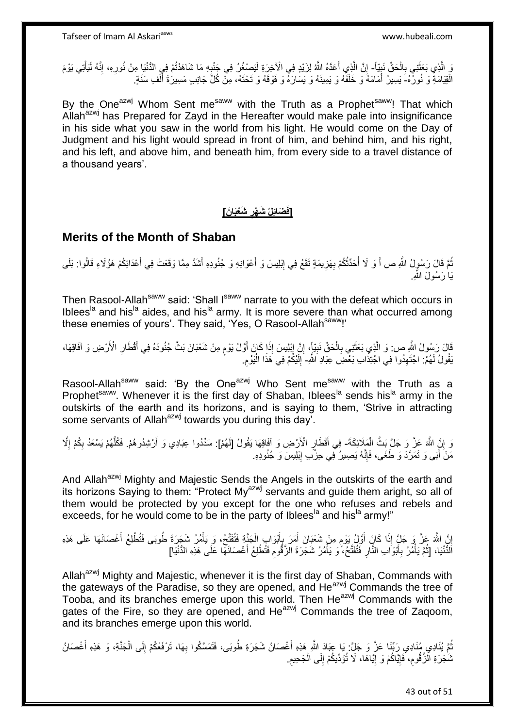رَ الَّذِي بَعَثَنِي بِالْحَقِّ نَبِيّاً- إِنَّ الَّذِي أَعَدَّهُ اللَّهُ لِزَيْدٍ فِي الْأَخِرَةِ لَيَصْغُرُ فِي جَنْبِهِ مَا شَاهَدْتُمْ فِي الْدُّنْيَا مِنْ نُورِهِ، إِنَّهُ لَيَأْتِي يَوْمَ ِ ْ ِ َ َ ه ِ ْ ِ ِ **∶** الْقِيَامَةِ ۖ وَ نُورٌ هُ- يَسِيرُ ۖ أَمَامَهُ وَ خَلْفَهُ وَ يَمِينَهُ وَ يَسَارَهُ ۖ وَ فَوْقَهُ وَ تَحْتَهُ، مِنْ كُلِّ جَانِبٍ مَسِيرَةَ ٱلْفِ سَنَةٍ. ْ َ ْ َ

By the One<sup>azwj</sup> Whom Sent me<sup>saww</sup> with the Truth as a Prophet<sup>saww</sup>! That which Allah<sup>azwj</sup> has Prepared for Zayd in the Hereafter would make pale into insignificance in his side what you saw in the world from his light. He would come on the Day of Judgment and his light would spread in front of him, and behind him, and his right, and his left, and above him, and beneath him, from every side to a travel distance of a thousand years'.

#### **[فَضَائِلُ شَهْرِ شَعْبَانَ] ِ**

#### **Merits of the Month of Shaban**

نُمَّ قَالَ رَسُولُ اللَّهِ ص أَ وَ لَا أُحَدِّثُكُمْ بِهَزِيمَةٍ تَقَعُ فِي إِبْلِيسَ وَ أَعْوَانِهِ وَ جُنُودِهِ أَشَدَّ مِمَّا وَقَعَتْ فِي أَعْدَائِكُمْ هَؤُلاءِ قَالُوا: بَلَى َ ِ ِ **∶** ُ ا<br>ا َ َ يَاٰ رَسُولَ اللَّهِ.ِ

Then Rasool-Allah<sup>saww</sup> said: 'Shall I<sup>saww</sup> narrate to you with the defeat which occurs in Iblees<sup>la</sup> and his<sup>la</sup> aides, and his<sup>la</sup> army. It is more severe than what occurred among these enemies of yours'. They said, 'Yes, O Rasool-Allahsaww!'

ِ الَّ رَسُولُ اللَّهِ ص: وَ الَّذِي بَعَثَنِي بِالْحَقِّ نَبِيٍّ}، إِنَّ إِبْلِيسَ إِذَا كَانَ أَوَّلُ يَوْمٍ مِنْ شَعْبَانَ بَثَّ جُنُودَهُ فِي أَقْطَارِ الْأَرْضِ وَ آفَاقِهَا، ْ ِ َ ه ِ َ ֧֧֧֖֧֧֧֧֦֧֧֧֚֓֝֬֝֝֓֝֬֟֓֟֓֓֝֓֝֬֝֓֝֓֟֓֟֓֝֬ َ ِ ِ َقُولُ لَهُمْ: اجْتَهِدُوا فِي اجْتِذَابِ بَعْضَِ عِبَادِ اَللَّهِ- إِلَيْكُمْ فِي هَذَا الْيَوْمِ. ِ **∶** ْ لَ ِ

Rasool-Allah<sup>saww</sup> said: 'By the One<sup>azwj</sup> Who Sent me<sup>saww</sup> with the Truth as a Prophet<sup>saww</sup>. Whenever it is the first day of Shaban, Iblees<sup>la</sup> sends his<sup>la</sup> army in the outskirts of the earth and its horizons, and is saying to them, 'Strive in attracting some servants of Allah<sup>azwj</sup> towards you during this day<sup>7</sup>.

وَ إِنَّ اللَّهَ عَزَّ وَ جَلَّ بَثَّ الْمَلَائِكَةَ- فِي أَقْطَارٍ الْأَرْضِ وَ آفَاقِهَا يَقُولُ [لَهُمْ]: سَدِّدُوا عِبَادِي وَ أَرْشِدُوهُمْ. فَكُلُّهُمْ يَسْعَدُ بِكُمْ إِلَّا ْ <u>֖֚֚֚֚֚֚֚֓</u> **∶** َ ِ ِ ُّ َ مَنْ أَبَى وَ تَمَرَّدَ وَ طَغَى، فَإِنَّهُ يَصِيرُ فِي حِزْبِ إِبْلِيسَ وَ جُنُودِهِ. ِ ِ

And Allah<sup>azwj</sup> Mighty and Majestic Sends the Angels in the outskirts of the earth and its horizons Saying to them: "Protect My<sup>azwj</sup> servants and quide them aright, so all of them would be protected by you except for the one who refuses and rebels and exceeds, for he would come to be in the party of Iblees<sup>la</sup> and his<sup>la</sup> army!"

إِنَّ اللَّهَ عَزَّ وَ جَلٍّ إِذَا كَانَ أَوَلْ يَوْمٍ مِنْ شَعْبَانَ أَمَرَ بِإِنَّوَابِ الْجَنَّةِ فَتُقَتِّحُ، وَ يَأْمُرُ شَجَرَةَ طُوبَى فَتُطْلِعُ أَغْصَانَهَا عَلَى هَذِهِ ْ ْ َ ِ َ م َ ا<br>؛ َ الْذَّنْيَا، [ثُمَّ يَأْمُرُ بِأَبْوَابِ النَّارِ فَتُفَتَّحُ، ۖ وَ يَأْمُرُ شَجَرَةَ الْزَفُّومِ فَتُطْلِعُ أَغْصَانَهَا عَلَى هَذِهِ الدُّنْيَا] َ **∶** ْ ِ َ ِ .<br>ا ا ماہ<br>سال

Allah<sup>azwj</sup> Mighty and Majestic, whenever it is the first day of Shaban, Commands with the gateways of the Paradise, so they are opened, and He<sup>azwj</sup> Commands the tree of Tooba, and its branches emerge upon this world. Then He<sup>azwj</sup> Commands with the gates of the Fire, so they are opened, and He<sup>azwj</sup> Commands the tree of Zagoom, and its branches emerge upon this world.

ُمَّ يُنَادِي رَبِّنَا عَزَّ وَ جَلَّ: يَا عِبَادَ اللَّهِ هَذِهِ أَغْصَانُ شَجَرَةِ طُوبَى، فَتَمَسَّكُوا بِهَا، تَرْفَعْكُمْ إِلَى الْجَنَّةِ، وَ هَذِهِ أَغْصَانُ ِ َ َ ْ ِ شَجَرَةِ الْزَّقُومِ، فَإِيَّاكُمْ وَ إِيَّاهَا، لَا تُؤَدِّيكُمْ إِلَى الْجَحِيمِ. ِ ِ ِ ِ ْ ِ

43 out of 51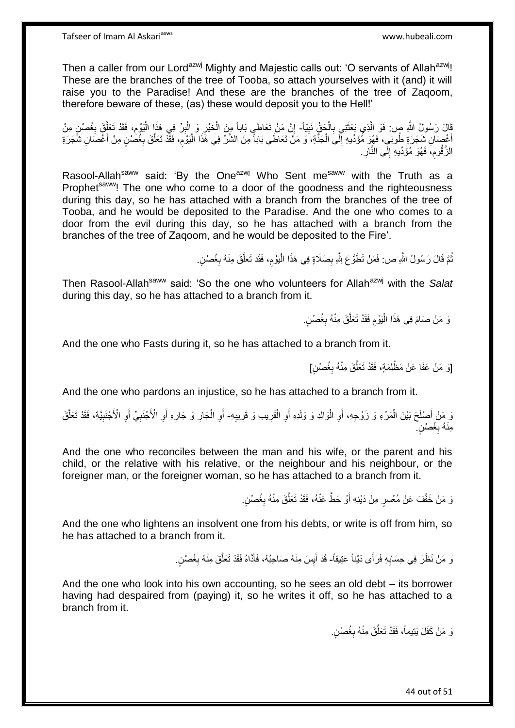Then a caller from our Lord<sup>azwj</sup> Mighty and Majestic calls out: 'O servants of Allah<sup>azwj</sup>! These are the branches of the tree of Tooba, so attach yourselves with it (and) it will raise you to the Paradise! And these are the branches of the tree of Zaqoom, therefore beware of these, (as) these would deposit you to the Hell!'

قَالَ رَسُولُ اللَّهِ صِ. فَوَ الَّذِي بَعَثَنِي بِالْجَقِّ نَبِيّاً- إِنَّ مَنْ تَعَاطَي بَاباً مِنَ الْخَيْرِ وَ الْبِرِّ فِي هَذَا الْيَوْمِ، فَقَدْ تَعَلَّقَ بِغُصْنٍ مِنْ<br>فَيْقِ الْبَوْمِ ِ ْ **∶** َ ه ِ ه ِ ْ ِ ْ ِ ْ أَغْصَانِ شَجَرَةِ طُوبَي، فَهُوَ مُؤَدِّدِهِ إِلَى الْجَنَّةِ، وَ مَنْ تَعَاطَى بَاباً مِنَ الشَّرِّ فِي هَذَا الْيَوْمِ، فَقَّدْ تَعَلَّقَ بِغُضَٰنٍ مِنْ أَغْصَانِ شَجَرَةِ ِ ْ ْ ِ َ َ ِ ه الزَّقُوم، فَهُوَ مُؤَدِّيهِ إِلَى النَّارِ ِ ِ ِ

Rasool-Allah<sup>saww</sup> said: 'By the One<sup>azwj</sup> Who Sent me<sup>saww</sup> with the Truth as a Prophet<sup>saww</sup>! The one who come to a door of the goodness and the righteousness during this day, so he has attached with a branch from the branches of the tree of Tooba, and he would be deposited to the Paradise. And the one who comes to a door from the evil during this day, so he has attached with a branch from the branches of the tree of Zaqoom, and he would be deposited to the Fire'.

> نْمَ قَالَ رَسُولُ اللَّهِ ص: فَمَنْ تَطَوَّعَ لِلَّهِ بِصَلَاةٍ فِي هَذَا الْيَوْمِ، فَقَدْ تَعَلَّقَ مِنْهُ بِغُصْنٍ ِ ُ ِ ه ِ ا.<br>إ

Then Rasool-Allah<sup>saww</sup> said: 'So the one who volunteers for Allah<sup>azwj</sup> with the Salat during this day, so he has attached to a branch from it.

> وَ مَنْ صَامَ فِي هَذَا الْيَوْمِ فَقَدْ تَعَلَّقَ مِنْهُ بِغُصْنٍ. ِ ه ِ ْ

And the one who Fasts during it, so he has attached to a branch from it.

[وَ مَنْ عَفَا عَنْ مَظْلِمَةٍ، فَقَدْ تَعَلَّقَ مِنْهُ بِغُصْنٍ] ِ ه

And the one who pardons an injustice, so he has attached to a branch from it.

وَ مَنْ أَصْلَحَ بَيْنَ الْمَرْءِ وَ زَوْجِهِ، أَوِ الْوَالِدِ وَ وَلَدِهِ أَوِ الْقَرِيبِ وَ قَرِيبِهِ- أَوِ الْجَارِ وَ جَارِهِ أَوِ الْأَجْنَبِيِّ أَوِ الْأَجْنَبِيَّةِ، فَقَدْ تَعَلَّقَ ْ ِ **∶** ِ ْ ِ اً ْ ِ اُ ِ ِ ْ ِ ه ِ ِ َ ِ ِ َ مِنْهُ بِغُصْنٍ ۖ **∶** 

And the one who reconciles between the man and his wife, or the parent and his child, or the relative with his relative, or the neighbour and his neighbour, or the foreigner man, or the foreigner woman, so he has attached to a branch from it.

> وَ مَنْ خَفَّفَ عَنْ مُعْسِرٍ مِنْ دَيْنِهِ أَوْ حَطٍّ عَنْهُ، فَقَدْ تَعَلَّقَ مِنْهُ بِغُصْنٍ. **∶** ه َ

And the one who lightens an insolvent one from his debts, or write is off from him, so he has attached to a branch from it.

> نَ مَنْ نَظَرَ فِي حِسَابِهِ فَرَأَى دَيْناً عَتِيقاً- قَدْ أَيِسَ مِنْهُ صَاحِبُهُ، فَأَدَّاهُ فَقَدْ تَعَلَّقَ مِنْهُ بِغُصْنٍ. **∶ ∶** ه َ **!** َ

And the one who look into his own accounting, so he sees an old debt – its borrower having had despaired from (paying) it, so he writes it off, so he has attached to a branch from it.

> وَ مَنْ كَفَلَ يَتِيماً، فَقَدْ تَعَلَّقَ مِنْهُ بِغُصْنٍ. ِ ه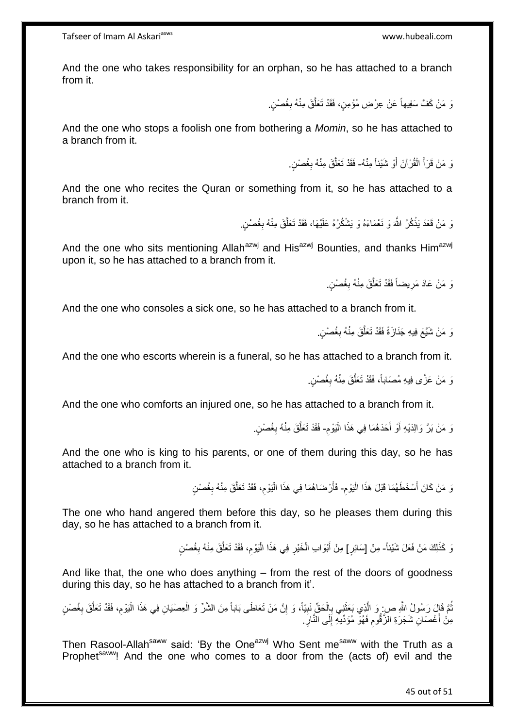And the one who takes responsibility for an orphan, so he has attached to a branch from it.

> وَ مَنْ كَفَّ سَفِيهاً عَنْ عِرْضِ مُؤْمِنٍ، فَقَدْ تَعَلَّقَ مِنْهُ بِغُصْنٍ. **∶** ه

And the one who stops a foolish one from bothering a *Momin*, so he has attached to a branch from it.

> نَ مَنْ قَرَأَ الْقُرْآنَ أَوْ شَيْئاً مِنْهُ- فَقَدْ تَعَلَّقَ مِنْهُ بِغُصْنٍ. َ ْ َ ِ ه

And the one who recites the Quran or something from it, so he has attached to a branch from it.

> َوَ مَنْ قَعَدَ يَذْكُرُ اللَّهَ وَ نَعْمَاءَهُ وَ يَشْكُرُهُ عَلَيْهَا، فَقَدْ تَعَلَّقَ مِنْهُ بِغُصْنٍ. **ٔ** ِ ه

And the one who sits mentioning Allah<sup>azwj</sup> and His<sup>azwj</sup> Bounties, and thanks Him<sup>azwj</sup> upon it, so he has attached to a branch from it.

> وَ مَنْ عَادَ مَرِيضاً فَقَدْ تَعَلَّقَ مِنْهُ بِغُصْنٍ. ِ ه ِ

And the one who consoles a sick one, so he has attached to a branch from it.

وَ مَنْ شَبَّعَ فِيهِ جَذَازَةً فَقَدْ تَعَلَّقَ مِنْهُ بِغُصْنٍ. ِ ه

And the one who escorts wherein is a funeral, so he has attached to a branch from it.

وَ مَنْ عَزَّى فِيهِ مُصَاباً، فَقَدْ تَعَلَّقَ مِنْهُ بِغُصْنٍ. ِ ه

And the one who comforts an injured one, so he has attached to a branch from it.

ِ نَ مَنْ بَرَّ وَالِدَيْهِ أَوْ أَحَدَهُمَا فِي هَذَا الْيَوْمِ- فَقَدْ تَعَلَّقَ مِنْهُ بِغُصْنٍ. ْ َ َ **∶** ه

And the one who is king to his parents, or one of them during this day, so he has attached to a branch from it.

> ِ وَ مَنْ كَانَ أَسْخَطَهُمَا قَبْلَ هَذَا الْيَوْمِ- فَأَرْضَاهُمَا فِي هَذَا الْيَوْمِ، فَقَدْ تَعَلَّقَ مِنْهُ بِغُصْنٍ :<br>ا ِ ه ِ ،<br>ا اُ

The one who hand angered them before this day, so he pleases them during this day, so he has attached to a branch from it.

> نَ كَذَلِكَ مَنْ فَعَلَ شَيْئاً- مِنْ [سَائِرٍ] مِنْ أَبْوَابِ الْخَيْرِ فِي هَذَا الْيَوْمِ، فَقَدْ تَعَلَّقَ مِنْهُ بِغُصْنٍ ِ ه ِ ْ **∶** ْ َ

And like that, the one who does anything – from the rest of the doors of goodness during this day, so he has attached to a branch from it'.

نُّمَّ فَإِلَ رَسُولُ اللَّهِ ص: وَ الَّذِي بَعَثَنِي بِالْحَقِّ نَبِيّاً، وَ إِنَّ مَنْ تَعَاطَى بَاباً مِنَ الشَّرِّ وَ الْعِصْيَانِ فِي هَذَا الْيَوْمِ، فَقَدْ تَعَلَّقَ بِغُصْنٍ ْ ِ **!** ْ ¦ ة<br>أ ه ُ ِ ه ِ ْ مِنْ أَغْصَانِ شَجَرَةِ الزَّقُومِ فَهُوَ مُؤَدِّيهِ إِلَى النَّارِ ِ ِ اً<br>ا **∶** ِ

Then Rasool-Allah<sup>saww</sup> said: 'By the One<sup>azwj</sup> Who Sent me<sup>saww</sup> with the Truth as a Prophet<sup>saww</sup>! And the one who comes to a door from the (acts of) evil and the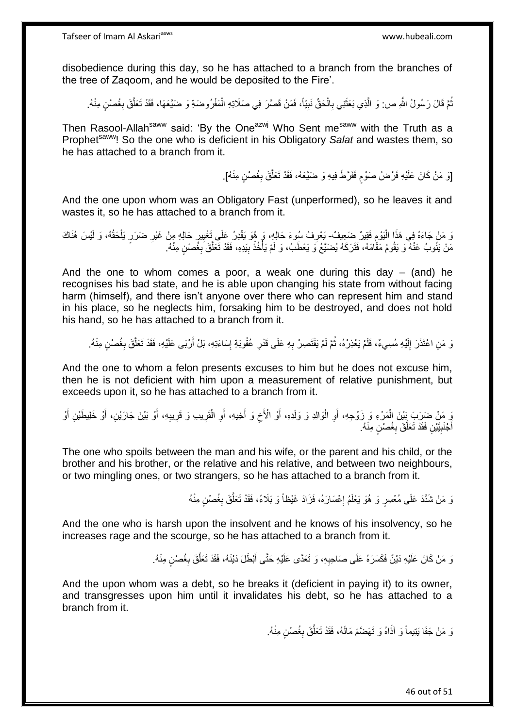disobedience during this day, so he has attached to a branch from the branches of the tree of Zaqoom, and he would be deposited to the Fire'.

نُمَّ قَالَ رَسُولُ اللَّهِ ص: وَ الَّذِي بَعَثَنِي بِالْحَقِّ نَبِيّاً، فَمَنْ قَصَّرَ فِي صَلَاتِهِ الْمَفْرُوضَةِ وَ ضَيَّعَهَا، فَقَدْ تَعَلَّقَ بِغُصْنٍ مِنْهُ. ْ ِ ْ ِ َ ه ُ **∶** ه

Then Rasool-Allah<sup>saww</sup> said: 'By the One<sup>azwj</sup> Who Sent me<sup>saww</sup> with the Truth as a Prophet<sup>saww</sup>! So the one who is deficient in his Obligatory *Salat* and wastes them, so he has attached to a branch from it.

> [وَ مَنْ كَانَ عَلَيْهِ فَرْضُ صَوْمٍ فَفَرَّطَ فِيهِ وَ ضَيَّعَهُ، فَقَدْ تَعَلَّقَ بِغُصْنٍ مِنْهُ]. ِ ه ٍ

And the one upon whom was an Obligatory Fast (unperformed), so he leaves it and wastes it, so he has attached to a branch from it.

َن مَنْ جَاءَهُ فِي هَذَا الْيَوْمِ فَقِيرٌ ضَعِيفٌ يَعْرِفُ سُوءَ حَالِهِ، وَ هُوَ يَقْدِرُ عَلَى تَغْيِيرٍ حَالِهِ مِنْ غَيْرِ ضَرَرٍ يَلْحَقُهُ، وَ لَيْسَ هُذَاكَ ِ ْ ِ ْ **∶** <u>ِ</u> ِ مَنْ يَذُوبُ عَنْهُ وَ يَقُومُ مَقَّامَهُ، فَتَرَكَهُ يُضَنَّعُ وَ يَعْطَبُ، وَ لَمْ يَأْخُذُ بِيَدِهِ، فَقَدْ تَعَلَّقَ بِغُصْنٍ مِنْهُ. ِ **ٔ** ا<br>أ ِ ه

And the one to whom comes a poor, a weak one during this day  $-$  (and) he recognises his bad state, and he is able upon changing his state from without facing harm (himself), and there isn't anyone over there who can represent him and stand in his place, so he neglects him, forsaking him to be destroyed, and does not hold his hand, so he has attached to a branch from it.

وَ مَنِ اعْتَذَرَ إِلَيْهِ مُسِيءٌ، فَلَمْ يَعْذِرْهُ، ثُمَّ لَمْ يَقْتَصِرْ بِهِ عَلَى قَدْرِ عُقُوبَةِ إِسَاءَتِهِ، بَلْ أَرْبَى عَلَيْهِ، فَقَدْ تَعَلَّقَ بِغُصْنٍ مِنْهُ. لَ יִי<br>; **∶** ِ ُ ِ ه اً ِ

And the one to whom a felon presents excuses to him but he does not excuse him, then he is not deficient with him upon a measurement of relative punishment, but exceeds upon it, so he has attached to a branch from it.

َ مِنْ ضَرَبَ بَيْنَ الْمَرْءِ وَ زَوْجِهِ، أَوِ الْوَالِدِ وَ وَلَدِهِ، أَوْ الْأَخِ وَ أَخِيهِ، أَوِ الْقَرِيبِ وَ قَرِيبِهِ، أَوْ بَيْنَ جَارَيْنِ، أَوْ خَلِيطَيْنِ أَوْ َ **∶** ِ ِ ْ ِ َ َ ِ َ :<br>ا ِ اً َ َ أَجْنَبِيَّيْنِ فَقَدْ تَعَلَّقَ بِغُصْنٍ مِنْهُ. **! ∶** ه

The one who spoils between the man and his wife, or the parent and his child, or the brother and his brother, or the relative and his relative, and between two neighbours, or two mingling ones, or two strangers, so he has attached to a branch from it.

> َوَ مَنْ شَدَّدَ عَلَى مُعْسِرٍ وَ هُوَ يَعْلَمُ إِعْسَارَهُ، فَزَادَ غَيْظاً وَ بَلَاءً، فَقَدْ تَعَلَّقَ بِغُصْنٍ مِنْهُ **∶** ه ِ

And the one who is harsh upon the insolvent and he knows of his insolvency, so he increases rage and the scourge, so he has attached to a branch from it.

> وَ مَنْ كَانَ عَلَيْهِ دَيْنٌ فَكَسَرَهُ عَلَى صَاحِبِهِ، وَ تَعَدَّى عَلَيْهِ حَتَّى أَبْطَلَ دَيْنَهُ، فَقَدْ تَعَلَّقَ بِغُصْنٍ مِنْهُ. َ **∶** ِ ه

And the upon whom was a debt, so he breaks it (deficient in paying it) to its owner, and transgresses upon him until it invalidates his debt, so he has attached to a branch from it.

> وَ مَنْ جَفَا يَتِيماً وَ آذَاهُ وَ تَهَضَّمَ مَالَهُ، فَقَدْ تَعَلَّقَ بِغُصْنٍ مِنْهُ. **∶** ه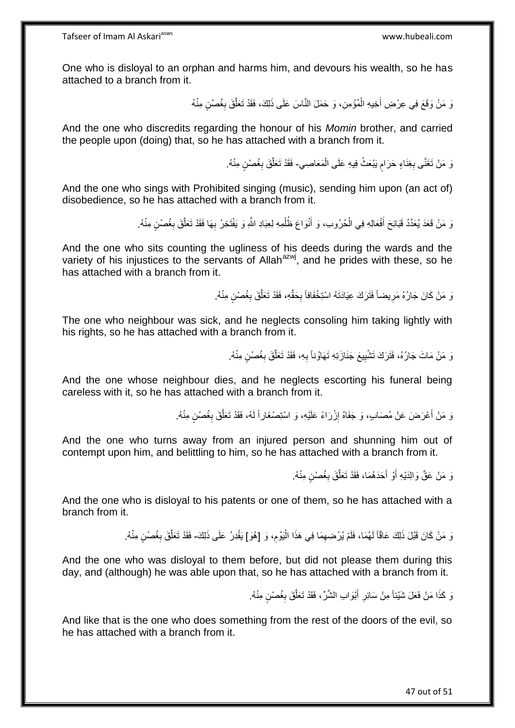One who is disloyal to an orphan and harms him, and devours his wealth, so he has attached to a branch from it.

> نَ مَنْ وَقَعَ فِي عِرْضِ أَخِيهِ الْمُؤْمِنِ، وَ حَمَلَ النَّاسَ عَلَى ذَلِكَ، فَقَدْ تَعَلَّقَ بِغُصْنٍ مِنْهُ **∶** ه ْ َ

And the one who discredits regarding the honour of his *Momin* brother, and carried the people upon (doing) that, so he has attached with a branch from it.

> رَ مَنْ تَغَنَّى بِغِنَاءٍ حَرَامٍ يَبْعَثُ فِيهِ عَلَى الْمَعَاصِي- فَقَدْ تَعَلَّقَ بِغُصْنٍ مِنْهُ. ْ ٍ ِ ِ ه

And the one who sings with Prohibited singing (music), sending him upon (an act of) disobedience, so he has attached with a branch from it.

> وَ مَنْ قَعَدَ يُعَدِّدُ قَبَائِحَ أَفْعَالِهِ فِي الْحُرُوبِ، وَ أَنْوَاعَ ظُلْمِهِ لِعِبَادِ اللَّهِ وَ يَفْتَخِرُ بِهَا فَقَدْ تَعَلَّقَ بِغُصْنٍ مِنْهُ. ِ ْ َ ْ َ ِ ه

And the one who sits counting the ugliness of his deeds during the wards and the variety of his injustices to the servants of Allah<sup>azwj</sup>, and he prides with these, so he has attached with a branch from it.

> وَ مَنْ كَانَ جَارُهُ مَرِيضاً فَثَرَكَ عِيَادَتَهُ اسْتِخْفَافاً بِحَقِّهِ، فَقَدْ تَعَلَّقَ بِغُصْنٍ مِنْهُ. **∶** ِ ِ ه

The one who neighbour was sick, and he neglects consoling him taking lightly with his rights, so he has attached with a branch from it.

> نَ مَنْ مَاتَ جَارُهُ، فَثَرَكَ تَشْيِيعَ جَذَازَتِهِ تَهَاوُناً بِهِ، فَقَدْ تَعَلَّقَ بِغُصْنٍ مِنْهُ. **∶ !** ِ ه

And the one whose neighbour dies, and he neglects escorting his funeral being careless with it, so he has attached with a branch from it.

> َوَ مَنْ أَعْرَضَ عَنْ مُصَابٍ، وَ جَفَاهُ إِزْرَاءً عَلَيْهِ، وَ اسْتِصْغَاراً لَهُ، فَقَدْ تَعَلَّقَ بِغُصْنٍ مِنْهُ. لَ ِ َ **∶** ه

And the one who turns away from an injured person and shunning him out of contempt upon him, and belittling to him, so he has attached with a branch from it.

> وَ مَنْ عَقَّ وَالِدَيْهِ أَوْ أَحَدَهُمَا، فَقَدْ تَعَلَّقَ بِغُصْنٍ مِنْهُ. ِ ه َ َ

And the one who is disloyal to his patents or one of them, so he has attached with a branch from it.

> وَ مَنْ كَانَ قَبْلَ ذَلِكَ عَاقًاً لَهُمَا، فَلَمْ يُرْضِعِهَا فِي هَذَا الْيَوْمِ، وَ [هُوَ] يَقْدِرُ عَلَى ذَلِكَ- فَقَدْ تَعَلَّقَ بِغُصْنٍ مِنْهُ. ِ ا<br>ا ِ لَ ِ ه

And the one who was disloyal to them before, but did not please them during this day, and (although) he was able upon that, so he has attached with a branch from it.

> وَ كَذَا مَنْ فَعَلَ شَيْئاً مِنْ سَائِرِ أَبْوَابِ الشَّرِّ ، فَقَدْ تَعَلَّقَ بِغُصْنٍ مِنْهُ. **∶** ه َ **∶**

And like that is the one who does something from the rest of the doors of the evil, so he has attached with a branch from it.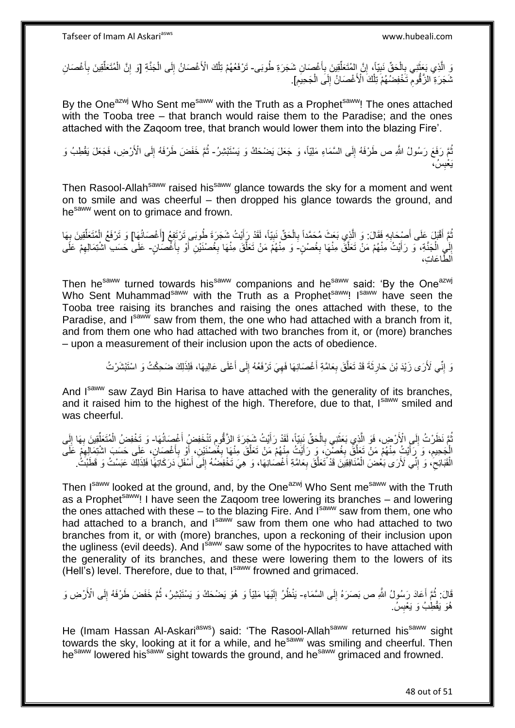وَ الَّذِي بَعَثَنِي بِالْحَقِّ نَبِيّاً، إِنَّ المُتَعَلِّقِينَ بِأَغْصَانِ شَجَرَةِ طُوبَى- تَرْفَعُهُمْ تِلْكَ الْأَغْصَانُ إِلَى الْجَنَّةِ [وَ إِنَّ الْمُتَعَلِّقِينَ بِأَغْصَانِ ا<br>استعمال ِ ِّ ِ **!** ْ ِ ٔ, ْ َ ِ ِّ ْ ِ ْ ِ ِ شَجَرَةِ الزَّقُومِ تَخْفِضُّهُمْ تِلْكَ الْأَغْصَانُ إِلَى الْجَحِيْمِ]. ْ ∣∣<br>∶ ْ ِ

By the One<sup>azwj</sup> Who Sent me<sup>saww</sup> with the Truth as a Prophet<sup>saww</sup>! The ones attached with the Tooba tree – that branch would raise them to the Paradise; and the ones attached with the Zaqoom tree, that branch would lower them into the blazing Fire'.

نُّمَّ رَفَعَ رَسُولُ اللَّهِ ص طَرْفَهُ إِلَى السَّمَاءِ مَلِيّاً، وَ جَعَلَ يَضْحَكُ وَ يَسْتَبْشِرُ- ثُمَّ خَفَضَ طَرْفَهُ إِلَى الْأَرْضِ، فَجَعَلَ يَقْطِبُ وَ ∣∣<br>∶ ُ ِ ُس، َي ْعب **ِ** 

Then Rasool-Allah<sup>saww</sup> raised his<sup>saww</sup> glance towards the sky for a moment and went on to smile and was cheerful – then dropped his glance towards the ground, and he<sup>saww</sup> went on to grimace and frown.

ثُمَّ أَقْبَلَ عَلَى أَصْحَابِهِ فَقَالَ: وَ الَّذِي بَعَثَ مُحَمَّداً بِالْحَقِّ نَبِيّاً، لَقَدْ رَأَيْتُ شَجَرَةَ طُوبَى تَرْتَفِعُ [أَغْصَانُهَا] وَ تَرْفَعُ الْمُتَعَلِّقِينَ بِهَا ُ ِ ْ َ َ ِ ْ ِ ه .<br>€ ِّ إِلَي الْجَنَّةِ، وَ رَأَيْتُ مِنْهُمْ مَنْ تَعَلَّقُ مِنْهَا بِغُصْنٍ-َ وَ مِنْهُمْ مَنْ تَعَلَّقَ مِنْهَا بِغُصْنَيْنِ أَوْ بِأَغْصَانٍ- عَلَى حَسَب اشْتِمَالِهِمْ عَلَى **∶** ه َ ْ ِ ه َ ِ َ **∶** ِ هطا َعا ِت، ال

Then he<sup>saww</sup> turned towards his<sup>saww</sup> companions and he<sup>saww</sup> said: 'By the One<sup>azwj</sup> Who Sent Muhammad<sup>saww</sup> with the Truth as a Prophet<sup>saww</sup>! I<sup>saww</sup> have seen the Tooba tree raising its branches and raising the ones attached with these, to the Paradise, and Isawy saw from them, the one who had attached with a branch from it. and from them one who had attached with two branches from it, or (more) branches – upon a measurement of their inclusion upon the acts of obedience.

> وَ إِنِّي لَأَرَى زَيْدَ بْنَ حَارِثَةَ قَدْ تَعَلَّقَ بِعَامَّةِ أَغْصَانِهَا فَهِيَ تَرْفَعُهُ إِلَى أَعْلَى عَالِيهَا، فَلِذَلِكَ ضَحِكْتُ وَ اسْتَبْشَرْتُ َ ∣ا<br>∶ ِ َ **∶** ه **∶** ِ

And I<sup>saww</sup> saw Zayd Bin Harisa to have attached with the generality of its branches, and it raised him to the highest of the high. Therefore, due to that, Isaww smiled and was cheerful.

ُمَّ نَظَرْتُ إِلَى الْأَرْضِ، فَوَ الَّذِي بَعَثَنِي بِالْحَقِّ نَبِيّاً، لَقَدْ رَأَيْتُ شَجَرَةَ الزَّقُومِ تَنْخَفِضْ أَغْصِدَاتُهَا- وَ تَخْفِضُ الْمُتَعَلِّقِينَ بِهَا إِلَى َ ِ ْ **∶** ة<br>أ ه  $\frac{1}{2}$ ُ َ ِ لَ ِ ِ ِّ ْ َ الْجَحِيمِ، وَ رَأَيْتُ مِنْهُمْ مَنْ تَعَلَّقُ بِغُصْنِ، وَ رَأَيْتُ مِنْهُمْ مَنْ تَعَلَّقَ مِنْهَا بِغُصَّنَيْنِ، أَوْ بِأَغْصَانٍ، عَلَى حَسَبَ اشْتِمَالِهِمْ عَلَى ِ َ **∶** ه َ **∶** ه َ **ُ** ِ الْقَبَائِحِ ۖ، وَ إِنِّي لَأَرَى بَعْضَ الْمُنَافِقِيَنَ قَدْ تَعَلَّقَ بِعَامَّةِ أَغْصُبَانِهَا، وَ هِيَ تَخْفِضُهُ إِلَى أَسْفَلِ دَرَكَاتِهًا فَلِذَلِكَ عَبَسْتُ وَ قَطَبْتُ ۖ. َ ِ َ ِ ه ْ ِ ِ  $\ddot{\cdot}$ 

Then Isaww looked at the ground, and, by the One<sup>azwj</sup> Who Sent me<sup>saww</sup> with the Truth as a Prophet<sup>saww</sup>! I have seen the Zaqoom tree lowering its branches – and lowering the ones attached with these – to the blazing Fire. And  $I<sup>saww</sup>$  saw from them, one who had attached to a branch, and Isaww saw from them one who had attached to two branches from it, or with (more) branches, upon a reckoning of their inclusion upon the ugliness (evil deeds). And Isaww saw some of the hypocrites to have attached with the generality of its branches, and these were lowering them to the lowers of its (Hell's) level. Therefore, due to that, Isaww frowned and grimaced.

قَالَ: ثُمَّ أَعَادَ رَسُولُ اللَّهِ ص بَصَرَهُ إِلَى السَّمَاءِ- يَنْظُرُ إِلَيْهَا مَلِيَّاً وَ هُوَ يَضْحَكُ وَ يَسْنَبْشِرُ، ثُمَّ خَفَضَ طَرْفَهُ إِلَى الْأَرْضِ وَ ِ َ ٔ.<br>ـ ِ ُ لَ ِ هُوَ يَقْطِبُ وَ يَعْبِسُ ِ

He (Imam Hassan Al-Askari<sup>asws</sup>) said: 'The Rasool-Allah<sup>saww</sup> returned his<sup>saww</sup> sight towards the sky, looking at it for a while, and he<sup>saww</sup> was smiling and cheerful. Then hesaww lowered his<sup>saww</sup> sight towards the ground, and he<sup>saww</sup> grimaced and frowned.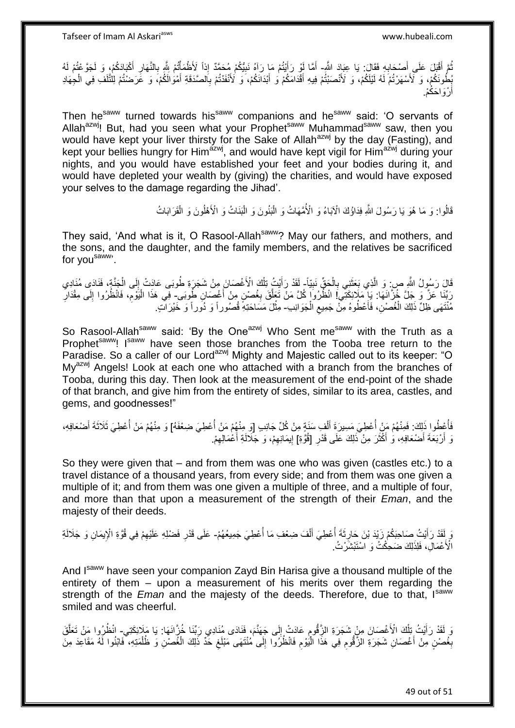ُّمَّ أَقْبَلَ عَلَى أَصْحَابِهِ فَقَالَ: يَا عِبَادَ اللَّهِ- أَمَّا لَوْ رَأَيْتُمْ مَا رَآهُ نَبِيُّكُمْ مُحَمَّدٌ إِذاً لَأَظْمَأْتُمْ بِلَّهِ بِالنَّهَارِ أَكْبَادَكُمْ، وَ لَجَوَعْتُمْ لَهُ<br>أَمَّارَ أَجْبَادَكُمْ، و ِ َ ُ َ ِ ِ ْ ِ َ بِطُونَكُمْ، وَ لَأَسْهَرْتُمْ لَهُ لَيْلَكُمْ، وَ لَأَنْصَنْتُمْ فِيهِ أَقْدَامَكُمْ وَ أَبْدَانَكُمْ، وَ لَأَنْفَدْتُمْ بِالصَّدَقَةِ أَمْوَالَكُمْ، وَ عََرَضتُتُمْ لِلْتَلَفِّ فِي الْجِهَادِ َ َ ْ لَ َ ِ أَرْوَاحَكُمْ. اً

Then he<sup>saww</sup> turned towards his<sup>saww</sup> companions and he<sup>saww</sup> said: 'O servants of Allah<sup>azwj</sup>! But, had you seen what your Prophet<sup>saww</sup> Muhammad<sup>saww</sup> saw, then you would have kept your liver thirsty for the Sake of Allah<sup>azwj</sup> by the day (Fasting), and kept your bellies hungry for Him<sup>azwj</sup>, and would have kept vigil for Him<sup>azwj</sup> during your nights, and you would have established your feet and your bodies during it, and would have depleted your wealth by (giving) the charities, and would have exposed your selves to the damage regarding the Jihad'.

> قَالُوا: وَ مَا هُوَ يَا رَسُولَ اللَّهِ فِدَاؤُكَ الْآبَاءُ وَ الْأُمَّهَاتُ وَ الْبَنُونَ وَ الْبَنَاتُ وَ الْأَهْلُونَ وَ الْقَرَابَاتُ ْ ْ ْ

They said, 'And what is it, O Rasool-Allah<sup>saww</sup>? May our fathers, and mothers, and the sons, and the daughter, and the family members, and the relatives be sacrificed for you<sup>saww</sup>'.

قَالَ رَسُولُ اللَّهِ صِ: وَ الَّذِي بَعَثَنِي بِالْحَقِّ نَبِيّاً- لَقَدْ رَأَيْتُ تِلْكَ الْأَغْصَانَ مِنْ شَجَرَةِ طُوبَى عَادَتْ إِلَى الْجَنَّةِ، فَنَادَى مُنَادِي **!** ْ ِ ٔ, ه ْ ِ ْ َ َ رَبِّنَا عَنَّ وَ جَلَّ خُزَّانَهَا: يَإِ مَلَائِكَتِّي! انْظُرُوا كُلَّ مَنْ تَعَلَّقَ بِغُصْنٍ مِنْ أَغْصَانِ طُوِبَى- فِي هَذَا الْيَوْمِ، فَانْظُرُوا إِلَى مِقْدَارِ ِ ه ِ ِ ِ ْ مُنْتَهَى ظِلِّ ذَلِكَ الْغُصْنِ، فَأَعْطُوهُ مِنّْ جَمِيعِ الْجَوَانِبِ- مِثْلَ مَسَاحَتِهِ قُصُوراً وَ دُوَراً وَ خَيْرَاتٍ ْ ِ َ ْ **ٔ** 

So Rasool-Allah<sup>saww</sup> said: 'By the One<sup>azwj</sup> Who Sent me<sup>saww</sup> with the Truth as a Prophet<sup>saww</sup>! I<sup>saww</sup> have seen those branches from the Tooba tree return to the Paradise. So a caller of our Lord<sup>azwj</sup> Mighty and Majestic called out to its keeper: "O My<sup>azwj</sup> Angels! Look at each one who attached with a branch from the branches of Tooba, during this day. Then look at the measurement of the end-point of the shade of that branch, and give him from the entirety of sides, similar to its area, castles, and gems, and goodnesses!"

فَأُعِْظُوا ذَلِكَ: فَمِنْهُمْ مَنْ أُعْطِيَ مَسِيرَةَ أَلْفِ سَنَةٍ مِنْ كُلِّ جَانِبِ [وَ مِنْهُمْ مَنْ أُعْطِيَ مَعْفَهُ] وَ مِنْهُمْ مَنْ أُعْطِيَ ثَلَاثَةَ أَضْعَافِهِ، ُ ا<br>أ ْ َ المناسب المستقبل المستقبل المستقبل المستقبل المستقبل المستقبل المستقبل المستقبل المستقبل المستقبل المستقبل الم<br>المستقبل المستقبل المستقبل المستقبل المستقبل المستقبل المستقبل المستقبل المستقبل المستقبل المستقبل المستقبل ال َ ا<br>أ وَ أَرْبَعَةَ أَصْعَافِهِ، وَ أَكْثَرَ مِنْ ذَلِكَ عَلَى قَدْرِ [قُوَّةٍ] إِيمَانِهِمْ، وَ جَلَالَةِ أَعْمَالِهِمْ. ِ ة<br>أ َ ِ ِ ِ َ

So they were given that – and from them was one who was given (castles etc.) to a travel distance of a thousand years, from every side; and from them was one given a multiple of it; and from them was one given a multiple of three, and a multiple of four, and more than that upon a measurement of the strength of their *Eman*, and the majesty of their deeds.

رَ أَقَدْ رَأَيْتُ صَاحِبَكُمْ زَيْدَ بْنَ حَارِثَةَ أُعْطِيَ أَلْفَ ضِعْفِ مَا أُعْطِيَ جَمِيعُهُمْ- عَلَى قَدْرِ فَضْلِهِ عَلَيْهِمْ فِي قُوَّةِ الْإِيمَانِ وَ جَلَالَةِ<br>وَيَمَد بِي بَيَنِينِ ْ َ ِ َ ِ ِ الْأَعْمَالِّ، فَلِذَلِكَ ضَحِكْتُ وَ اسْتَبْشَّرْتُ.

And Isaum have seen your companion Zayd Bin Harisa give a thousand multiple of the entirety of them – upon a measurement of his merits over them regarding the strength of the *Eman* and the majesty of the deeds. Therefore, due to that, Isaww smiled and was cheerful.

وَ لَقَدْ رَأَيْتُ تِلْكَ الْأَغْصَانَ مِنْ شَجَرَةِ الزَّقُومِ عَادَتْ إِلَى جَهَنَّمَ، فَنَادَى مُنَادِي رَبِّنَا خُزَّانَهَا: يَا مَلَائِكَتِي- انْظُرُوا مَنْ تَعَلَّقَ  $\frac{1}{2}$ ِ ْ َ ه بِغُصْنٍ مِنْ أَغْصَانِ شَجَرَةِ الزَّقُّومِ فِي هَذَا الْيُوْمِ فَانْظُرُوا إِلَى مُنْتَهَى مَبْلَغِ خَدِّ ذَلِكَ الْغُصْنِ وَ ظُلْمَتِهِ، فَابْنُوا لَهُ مَقَاعِدَ مِنَ ْ ِ ِ ِ :<br>ا ِ اً<br>ا **∶** ْ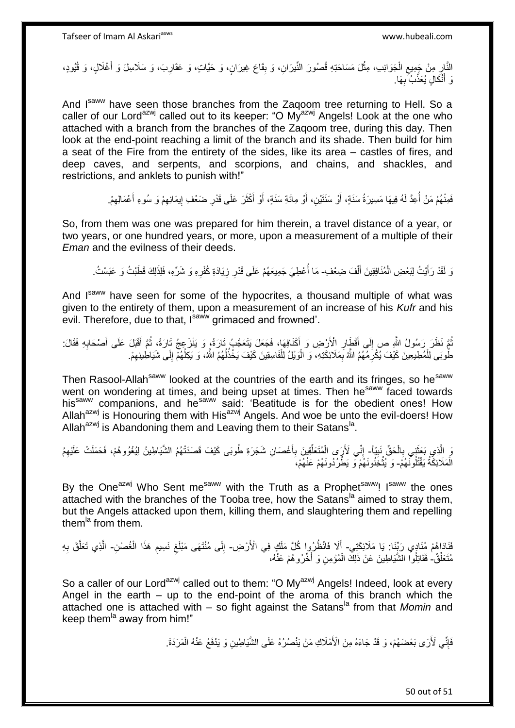النَّارِ مِنْ جَمِيعِ الْجَوَانِبِ، مِثْلَ مَسَاحَتِهِ قُصُورَ النِّيرَانِ، وَ بِقَاعَ غِيرَانٍ، وَ حَيَّاتٍ، وَ عَقَارِبَ، وَ سَلَاسِلَ وَ أَغْلَالٍ، وَ قُيُودٍ، ْ ِ ِ َ ِ **ِ** ْ وَ أَنْكَالٍ يُعَذَّبُ بِهَا. ِ َ

And I<sup>saww</sup> have seen those branches from the Zagoom tree returning to Hell. So a caller of our Lord<sup>azwj</sup> called out to its keeper: "O My<sup>azwj</sup> Angels! Look at the one who attached with a branch from the branches of the Zaqoom tree, during this day. Then look at the end-point reaching a limit of the branch and its shade. Then build for him a seat of the Fire from the entirety of the sides, like its area – castles of fires, and deep caves, and serpents, and scorpions, and chains, and shackles, and restrictions, and anklets to punish with!"

> َ فَمِنْهُمْ مَنْ أَعِدَّ لَهُ فِيهَا مَسِيرَةُ سَنَةٍ، أَوْ سَنَتَيْنِ، أَوْ مِائَةِ سَنَةٍ، أَوْ أَكْثَرَ عَلَى قَدْرِ ضَعْفِ إِيمَانِهِمْ وَ سُوءِ أَعْمَالِهِمْ. اُ ِ َ ِ יִון<br>י ِ  $\ddot{\phantom{0}}$ َ َ

So, from them was one was prepared for him therein, a travel distance of a year, or two years, or one hundred years, or more, upon a measurement of a multiple of their *Eman* and the evilness of their deeds.

وَ لَقَدْ رَأَيْتُ لِبَعْضِ الْمُنَافِقِينَ أَلْفَ ضِعْفِ مَا أُعْطِيَ جَمِيعَهُمْ عَلَى قَدْرِ زِيَادَةِ كُفْرِهِ وَ شَرِّهِ، فَلِذَلِكَ قَطَبْتُ وَ عَبَسْتُ. ْ َ ْ َ **∶ ٍ** ا<br>أ

And Isaww have seen for some of the hypocrites, a thousand multiple of what was given to the entirety of them, upon a measurement of an increase of his *Kufr* and his evil. Therefore, due to that, Isaww grimaced and frowned'.

نْمَ نَظَرَ رَسُولُ اللَّهِ ص إِلَى أَفْطَارِ الْأَرْضِ وَ أَكْنَافِهَا، فَجَعَلَ يَتَعَجَّبُ تَارَةً، وَ يَنْزَعِجُ تَارَةً، ثُمَّ أَفْبَلَ عَلَى أَصْحَابِهِ فَقَالَ: َ **∶** َ ِ ُ ِ َ َ ا<br>ا طُوبَى لِلْمُطِيعِينَ كَيْفَ يُكْرِمُهُمُ اللَّهُ بِمَلَائِكَتِهِ، ۖ وَ الْوَيْلُ لِلْفَاسِقِينَ كَيْفَ يَخْذُلُهُمُ اللَّهُ، وَ يَكِلُهُمْ إِلَى شَيَاطِينِهِمْ. ُ ْ ْ ِ ِ ْ ِ ِ ُ

Then Rasool-Allah<sup>saww</sup> looked at the countries of the earth and its fringes, so he<sup>saww</sup> went on wondering at times, and being upset at times. Then he<sup>saww</sup> faced towards his<sup>saww</sup> companions, and he<sup>saww</sup> said: 'Beatitude is for the obedient ones! How Allah<sup>azwj</sup> is Honouring them with His<sup>azwj</sup> Angels. And woe be unto the evil-doers! How Allah<sup>azwj</sup> is Abandoning them and Leaving them to their Satans<sup>la</sup>.

يَ الَّذِي بَخَتَنِي بِالْحَقِّ نَبِيِّاً- إِنِّي لَأَرَى الْمُتَعَلِّقِينَ بِأَغْصَانِ شَجَرَةِ طُوبَى كَيْفَ قَصَدَتْهُمُ الشَّيَاطِينُ لِيُغْوُوهُمْ، فَحَمَلَتْ عَلَيْهِمُ **!** ْ **∶** َ ا<br>استعمال **∶** ِّ ْ ِ ِ الْمَلَائِكَٰهُ يَقْتُلُونَّـهُمْ- وَ يُثْخِذُونَـهُمْ وَ يَطْرُدُونَـهُمْ عَنْـهُمْ، ْ

By the One<sup>azwj</sup> Who Sent me<sup>saww</sup> with the Truth as a Prophet<sup>saww</sup>! Isaww the ones attached with the branches of the Tooba tree, how the Satans<sup>1a</sup> aimed to stray them, but the Angels attacked upon them, killing them, and slaughtering them and repelling them $\mathrm{^{la}}$  from them.

فَاَدَاهُمْ مُنَادِي رَبِّنَا: يَا مَلَائِكَتِي- أَلَا فَانْظُرُوا كُلَّ مَلَكٍ فِي الْأَرْضِ- إِلَى مُنْتَهَى مَبْلَغِ نَسِيمِ هَذَا الْغُصْنِ- الَّذِي تَعَلَّقَ بِهِ<br>يَهِ يَوْمَ مَنَادِي رَبِّنَا: يَا مَلَائِكَتِي- أَلَ َ ∣∣<br>∶ ْ ِ ِ ه ه مُتَعَلِّقٌ فَقَاتِلُوا الشَّيَاطِينَ عَنْ ذَلِكَ الْمُؤْمِنِ وَ أَخِّرُوهُمْ عَنْهُ، ْ **ٔ** َ

So a caller of our Lord<sup>azwj</sup> called out to them: "O My<sup>azwj</sup> Angels! Indeed, look at every Angel in the earth – up to the end-point of the aroma of this branch which the attached one is attached with – so fight against the Satans<sup>la</sup> from that *Momin* and keep them<sup>la</sup> away from him!"

> فَإِنِّي لَأَرَى بَعْضَهُمْ، وَ قَدْ جَاءَهُ مِنَ الْأَمْلَاكِ مَنْ يَنْصُرُهُ عَلَى الشَّيَاطِينِ وَ يَدْفَعُ عَنْهُ الْمَرَدَةَ. ِ ْ